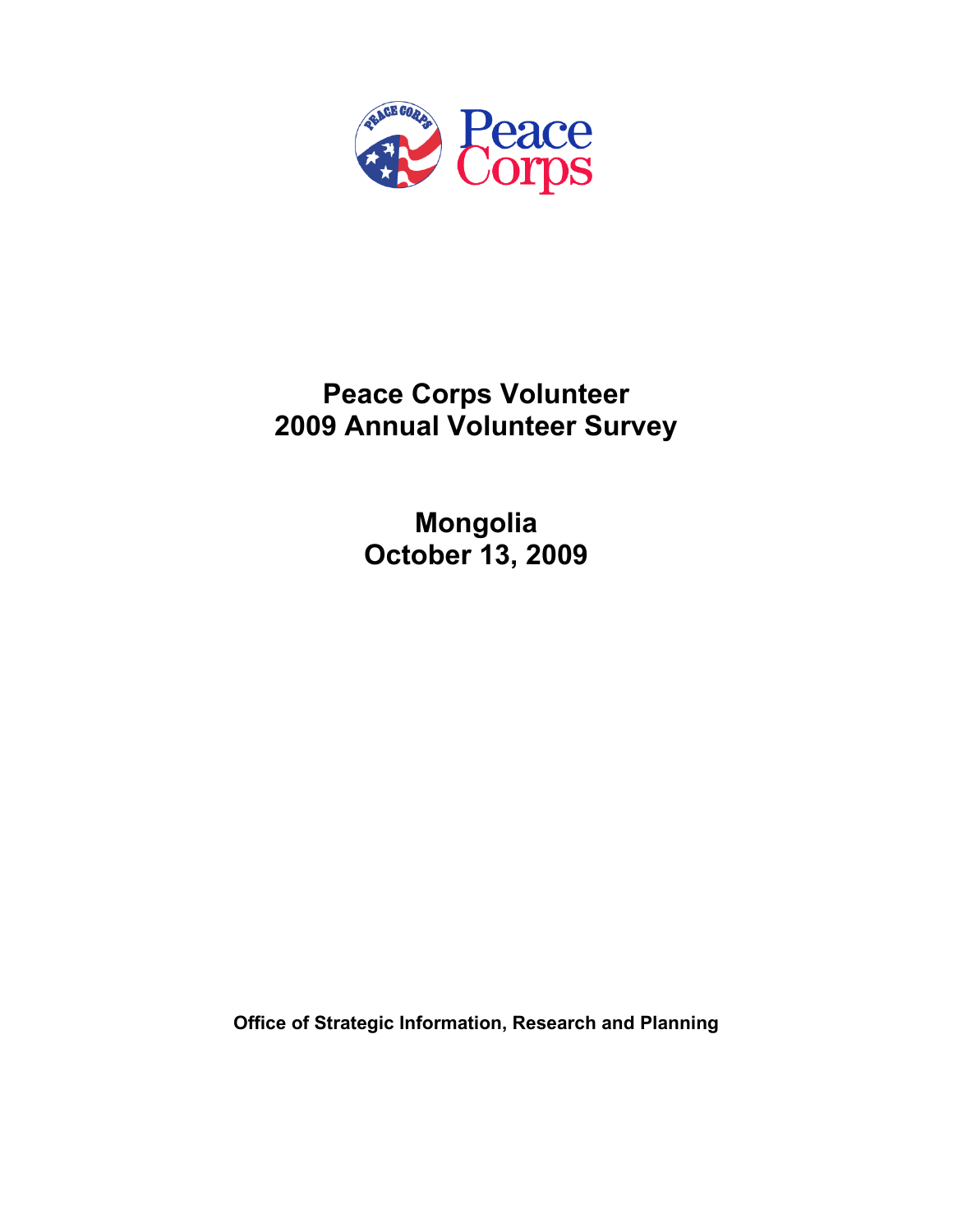

# **Peace Corps Volunteer 2009 Annual Volunteer Survey**

**Mongolia October 13, 2009** 

**Office of Strategic Information, Research and Planning**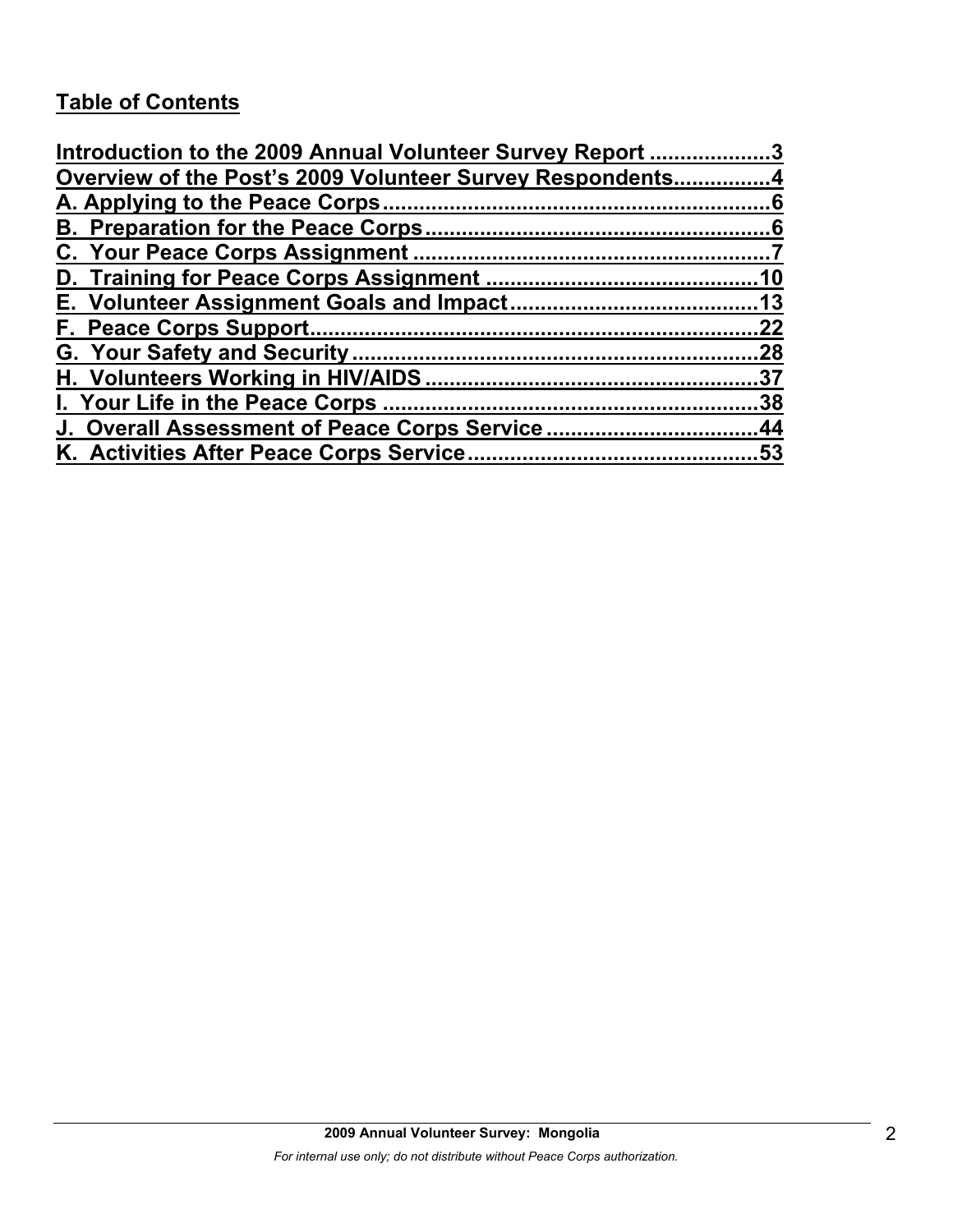# **Table of Contents**

| Introduction to the 2009 Annual Volunteer Survey Report 3 |     |
|-----------------------------------------------------------|-----|
| Overview of the Post's 2009 Volunteer Survey Respondents4 |     |
|                                                           |     |
|                                                           |     |
|                                                           |     |
|                                                           |     |
|                                                           |     |
|                                                           | 22  |
|                                                           | .28 |
|                                                           | .37 |
|                                                           | 38  |
| J. Overall Assessment of Peace Corps Service44            |     |
|                                                           |     |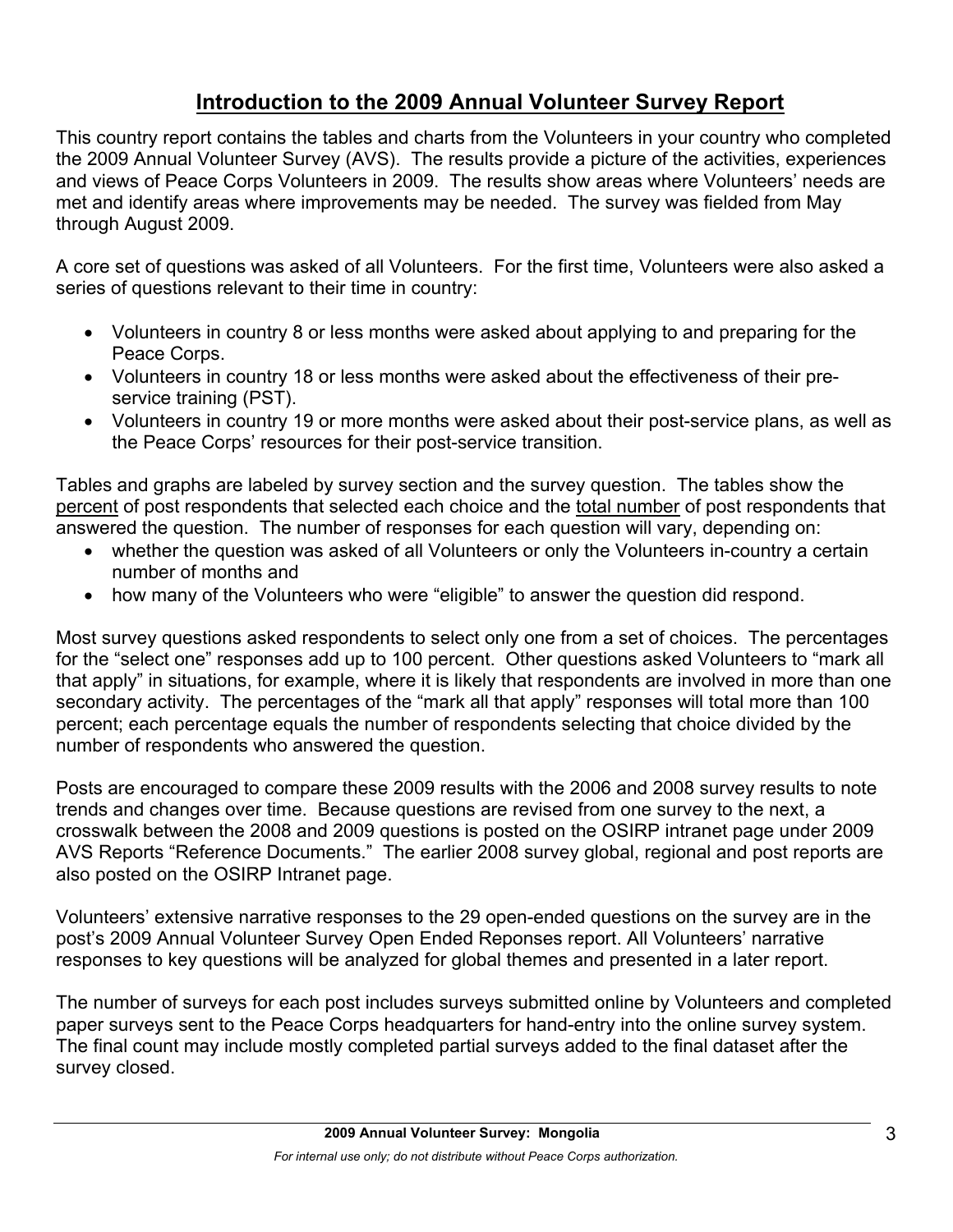# **Introduction to the 2009 Annual Volunteer Survey Report**

This country report contains the tables and charts from the Volunteers in your country who completed the 2009 Annual Volunteer Survey (AVS). The results provide a picture of the activities, experiences and views of Peace Corps Volunteers in 2009. The results show areas where Volunteers' needs are met and identify areas where improvements may be needed. The survey was fielded from May through August 2009.

A core set of questions was asked of all Volunteers. For the first time, Volunteers were also asked a series of questions relevant to their time in country:

- Volunteers in country 8 or less months were asked about applying to and preparing for the Peace Corps.
- Volunteers in country 18 or less months were asked about the effectiveness of their preservice training (PST).
- Volunteers in country 19 or more months were asked about their post-service plans, as well as the Peace Corps' resources for their post-service transition.

Tables and graphs are labeled by survey section and the survey question. The tables show the percent of post respondents that selected each choice and the total number of post respondents that answered the question. The number of responses for each question will vary, depending on:

- whether the question was asked of all Volunteers or only the Volunteers in-country a certain number of months and
- how many of the Volunteers who were "eligible" to answer the question did respond.

Most survey questions asked respondents to select only one from a set of choices. The percentages for the "select one" responses add up to 100 percent. Other questions asked Volunteers to "mark all that apply" in situations, for example, where it is likely that respondents are involved in more than one secondary activity. The percentages of the "mark all that apply" responses will total more than 100 percent; each percentage equals the number of respondents selecting that choice divided by the number of respondents who answered the question.

Posts are encouraged to compare these 2009 results with the 2006 and 2008 survey results to note trends and changes over time. Because questions are revised from one survey to the next, a crosswalk between the 2008 and 2009 questions is posted on the OSIRP intranet page under 2009 AVS Reports "Reference Documents." The earlier 2008 survey global, regional and post reports are also posted on the OSIRP Intranet page.

Volunteers' extensive narrative responses to the 29 open-ended questions on the survey are in the post's 2009 Annual Volunteer Survey Open Ended Reponses report. All Volunteers' narrative responses to key questions will be analyzed for global themes and presented in a later report.

The number of surveys for each post includes surveys submitted online by Volunteers and completed paper surveys sent to the Peace Corps headquarters for hand-entry into the online survey system. The final count may include mostly completed partial surveys added to the final dataset after the survey closed.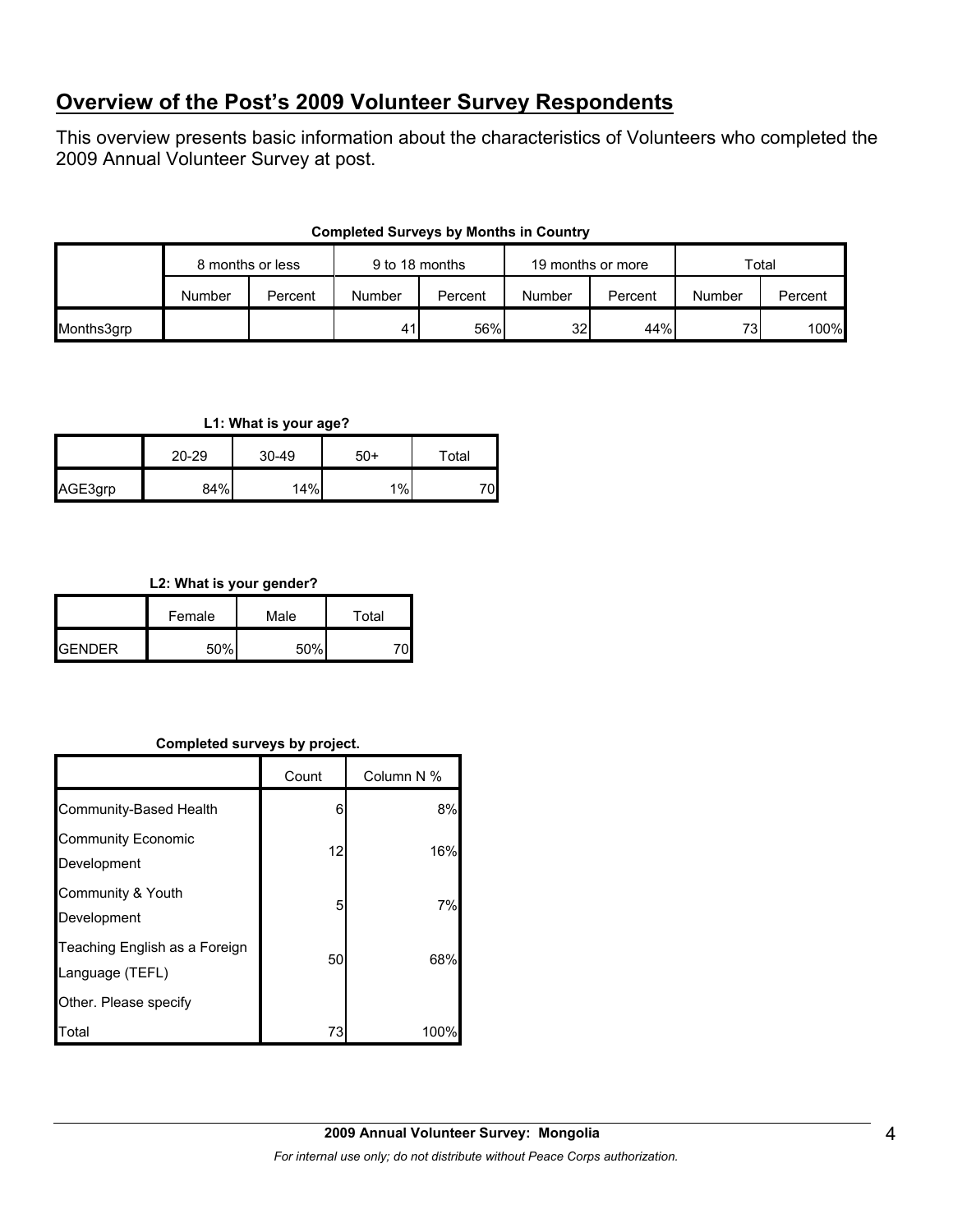## **Overview of the Post's 2009 Volunteer Survey Respondents**

This overview presents basic information about the characteristics of Volunteers who completed the 2009 Annual Volunteer Survey at post.

|            | 8 months or less |         | 9 to 18 months |         | 19 months or more |         | Total  |         |
|------------|------------------|---------|----------------|---------|-------------------|---------|--------|---------|
|            | Number           | Percent | Number         | Percent | Number            | Percent | Number | Percent |
| Months3grp |                  |         | 41             | 56%     | 32 <sub>l</sub>   | 44%     | 731    | 100%    |

#### **Completed Surveys by Months in Country**

#### **L1: What is your age?**

|         | 20-29 | $30 - 49$ | $50+$ | Total |
|---------|-------|-----------|-------|-------|
| AGE3grp | 84%   | 14%       | 1%    | 70    |

#### **L2: What is your gender?**

|                 | Female | Male | Total |  |
|-----------------|--------|------|-------|--|
| <b>I</b> GENDER | 50%    | 50%  |       |  |

#### **Completed surveys by project.**

|                                                  | Count | Column N % |
|--------------------------------------------------|-------|------------|
| Community-Based Health                           | 6     | 8%         |
| <b>Community Economic</b><br>Development         | 12    | 16%        |
| Community & Youth<br>Development                 | 5     | 7%         |
| Teaching English as a Foreign<br>Language (TEFL) | 50    | 68%        |
| Other. Please specify                            |       |            |
| Total                                            | 73    | 100        |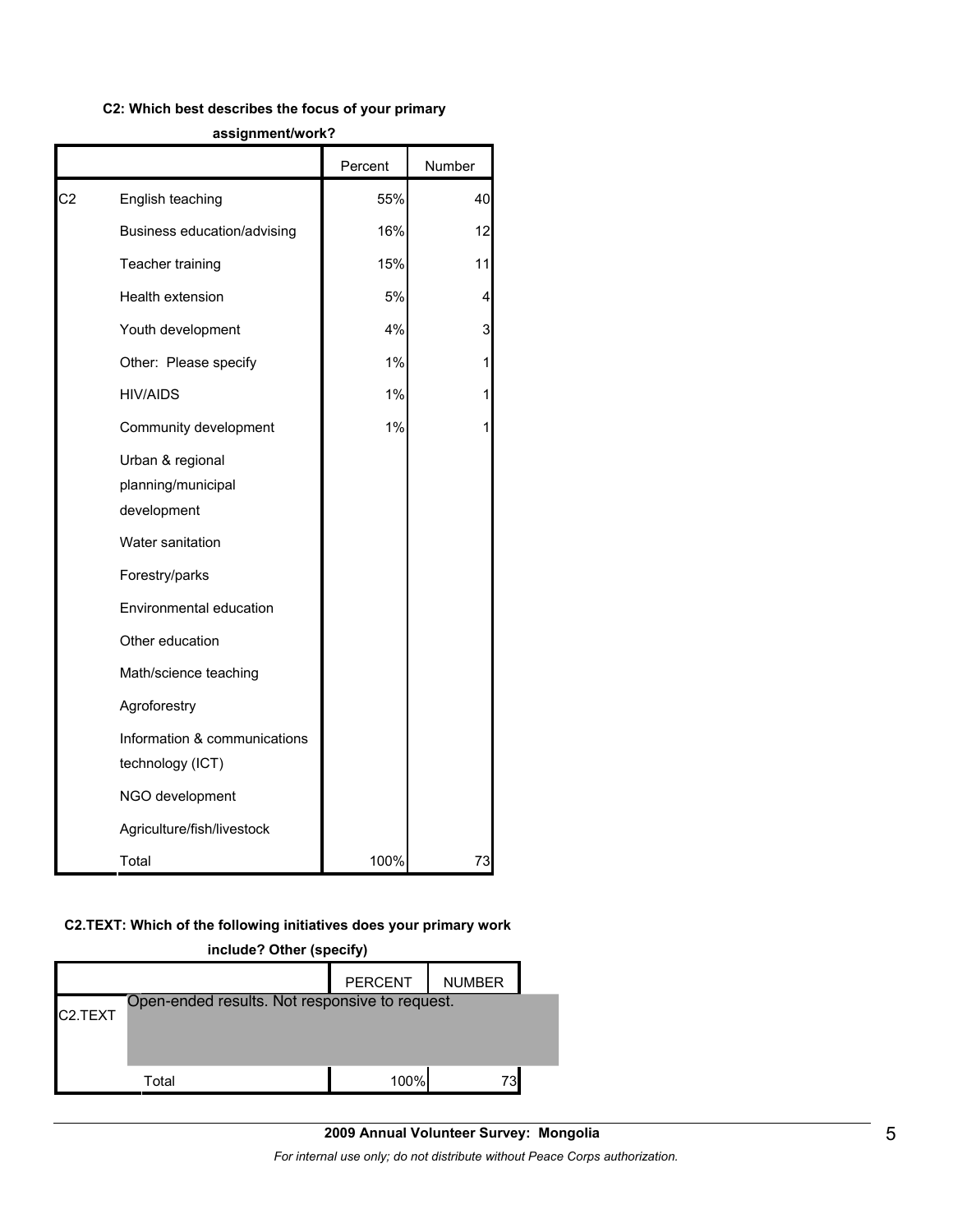#### **C2: Which best describes the focus of your primary**

|                |                                                       | Percent | Number |
|----------------|-------------------------------------------------------|---------|--------|
| C <sub>2</sub> | English teaching                                      | 55%     | 40     |
|                | Business education/advising                           | 16%     | 12     |
|                | Teacher training                                      | 15%     | 11     |
|                | Health extension                                      | 5%      | 4      |
|                | Youth development                                     | 4%      | 3      |
|                | Other: Please specify                                 | 1%      | 1      |
|                | <b>HIV/AIDS</b>                                       | 1%      | 1      |
|                | Community development                                 | 1%      | 1      |
|                | Urban & regional<br>planning/municipal<br>development |         |        |
|                | Water sanitation                                      |         |        |
|                | Forestry/parks                                        |         |        |
|                | Environmental education                               |         |        |
|                | Other education                                       |         |        |
|                | Math/science teaching                                 |         |        |
|                | Agroforestry                                          |         |        |
|                | Information & communications<br>technology (ICT)      |         |        |
|                | NGO development                                       |         |        |
|                | Agriculture/fish/livestock                            |         |        |
|                | Total                                                 | 100%    | 73     |

#### **assignment/work?**

#### **C2.TEXT: Which of the following initiatives does your primary work**

# **include? Other (specify)** PERCENT | NUMBER C2.TEXT Total 100% 73 Open-ended results. Not responsive to request.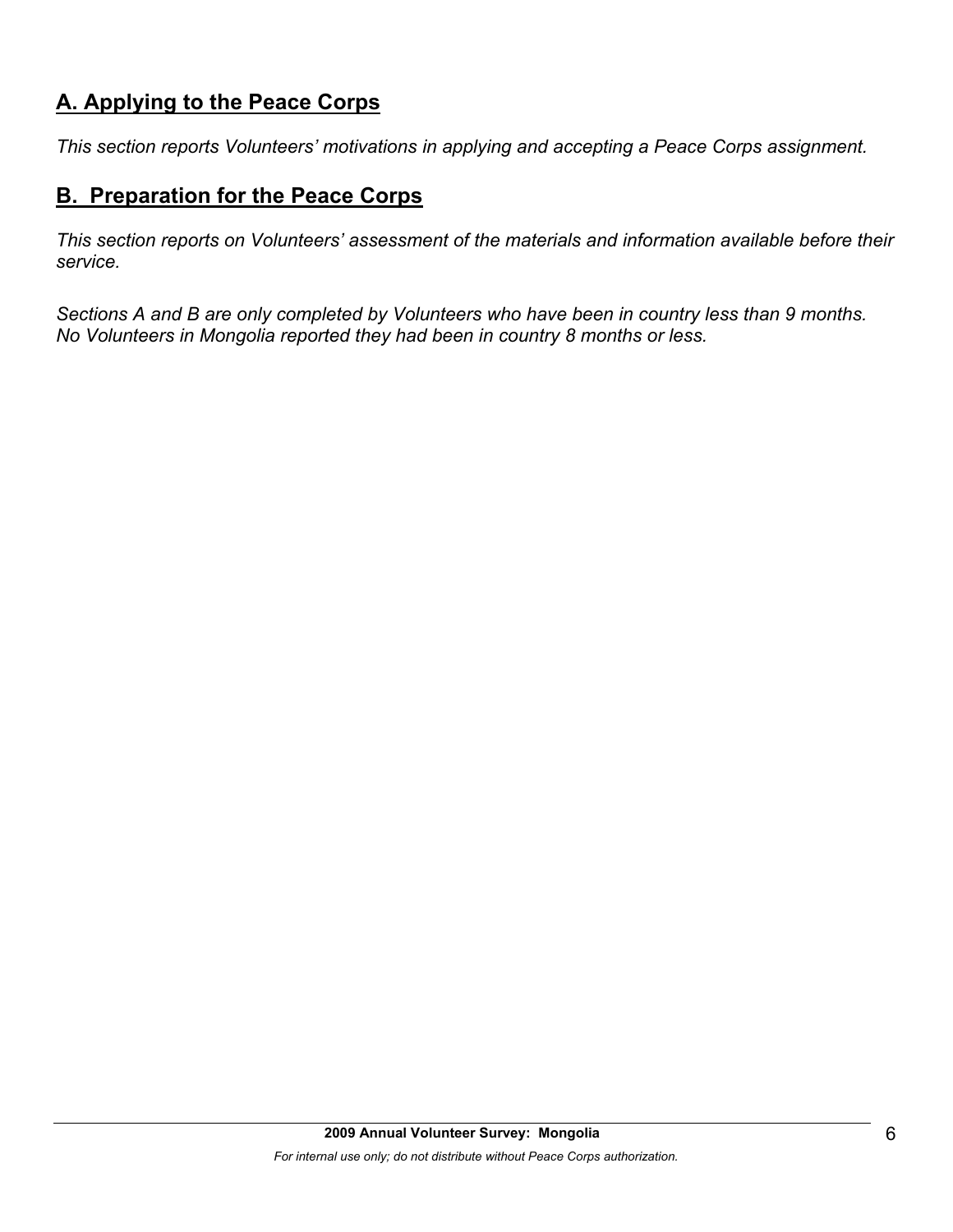# **A. Applying to the Peace Corps**

*This section reports Volunteers' motivations in applying and accepting a Peace Corps assignment.* 

### **B. Preparation for the Peace Corps**

*This section reports on Volunteers' assessment of the materials and information available before their service.* 

*Sections A and B are only completed by Volunteers who have been in country less than 9 months. No Volunteers in Mongolia reported they had been in country 8 months or less.*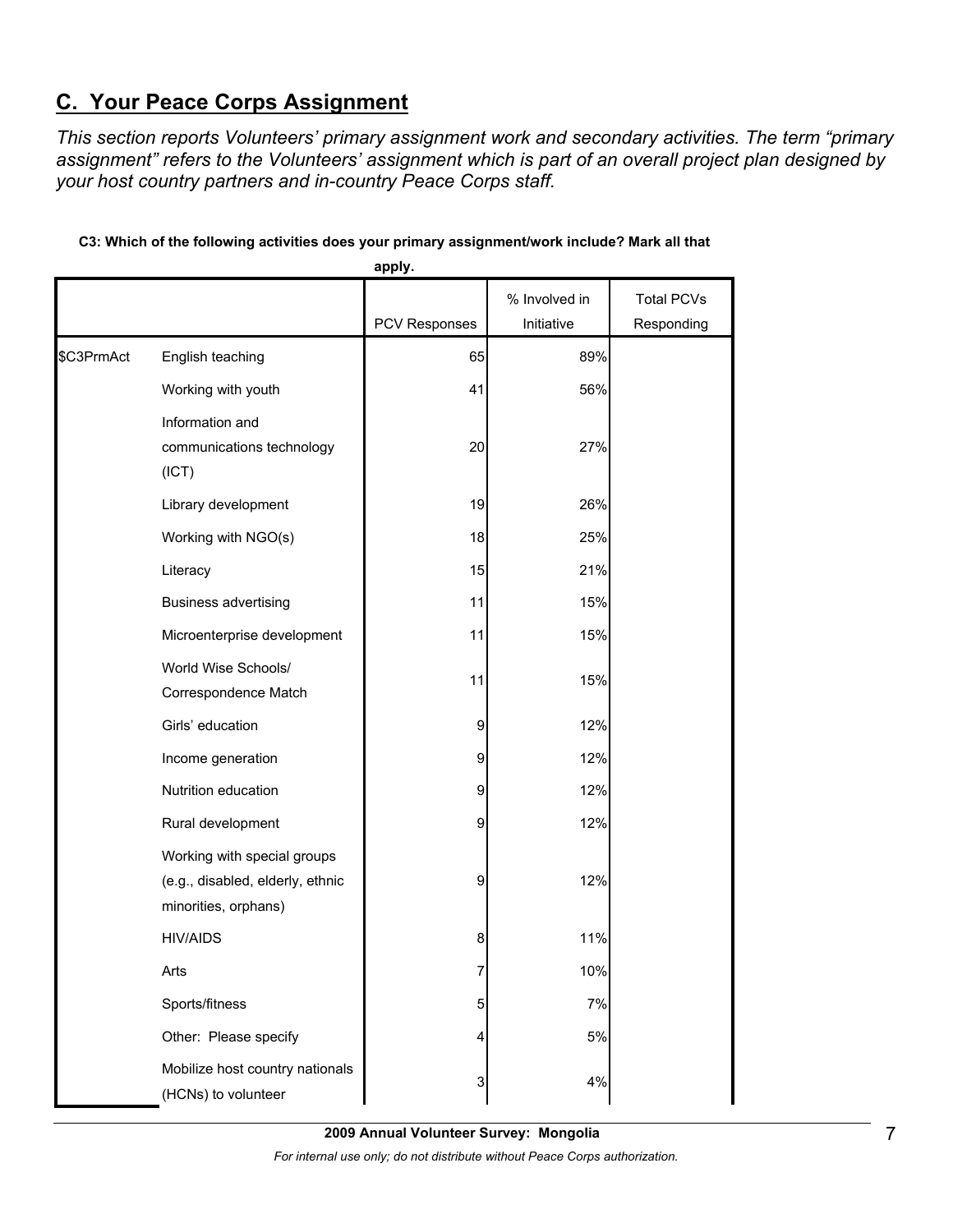# **C. Your Peace Corps Assignment**

*This section reports Volunteers' primary assignment work and secondary activities. The term "primary assignment" refers to the Volunteers' assignment which is part of an overall project plan designed by your host country partners and in-country Peace Corps staff.* 

|            |                                                                                         | apply.               |                             |                                 |
|------------|-----------------------------------------------------------------------------------------|----------------------|-----------------------------|---------------------------------|
|            |                                                                                         | <b>PCV Responses</b> | % Involved in<br>Initiative | <b>Total PCVs</b><br>Responding |
| \$C3PrmAct | English teaching                                                                        | 65                   | 89%                         |                                 |
|            | Working with youth                                                                      | 41                   | 56%                         |                                 |
|            | Information and<br>communications technology<br>(ICT)                                   | 20                   | 27%                         |                                 |
|            | Library development                                                                     | 19                   | 26%                         |                                 |
|            | Working with NGO(s)                                                                     | 18                   | 25%                         |                                 |
|            | Literacy                                                                                | 15                   | 21%                         |                                 |
|            | <b>Business advertising</b>                                                             | 11                   | 15%                         |                                 |
|            | Microenterprise development                                                             | 11                   | 15%                         |                                 |
|            | World Wise Schools/<br>Correspondence Match                                             | 11                   | 15%                         |                                 |
|            | Girls' education                                                                        | 9                    | 12%                         |                                 |
|            | Income generation                                                                       | 9                    | 12%                         |                                 |
|            | Nutrition education                                                                     | 9                    | 12%                         |                                 |
|            | Rural development                                                                       | 9                    | 12%                         |                                 |
|            | Working with special groups<br>(e.g., disabled, elderly, ethnic<br>minorities, orphans) | 9                    | 12%                         |                                 |
|            | <b>HIV/AIDS</b>                                                                         | 8                    | 11%                         |                                 |
|            | Arts                                                                                    | 7                    | 10%                         |                                 |
|            | Sports/fitness                                                                          | 5                    | 7%                          |                                 |
|            | Other: Please specify                                                                   | 4                    | 5%                          |                                 |
|            | Mobilize host country nationals<br>(HCNs) to volunteer                                  | 3                    | 4%                          |                                 |

#### **C3: Which of the following activities does your primary assignment/work include? Mark all that**

**2009 Annual Volunteer Survey: Mongolia**  *For internal use only; do not distribute without Peace Corps authorization.*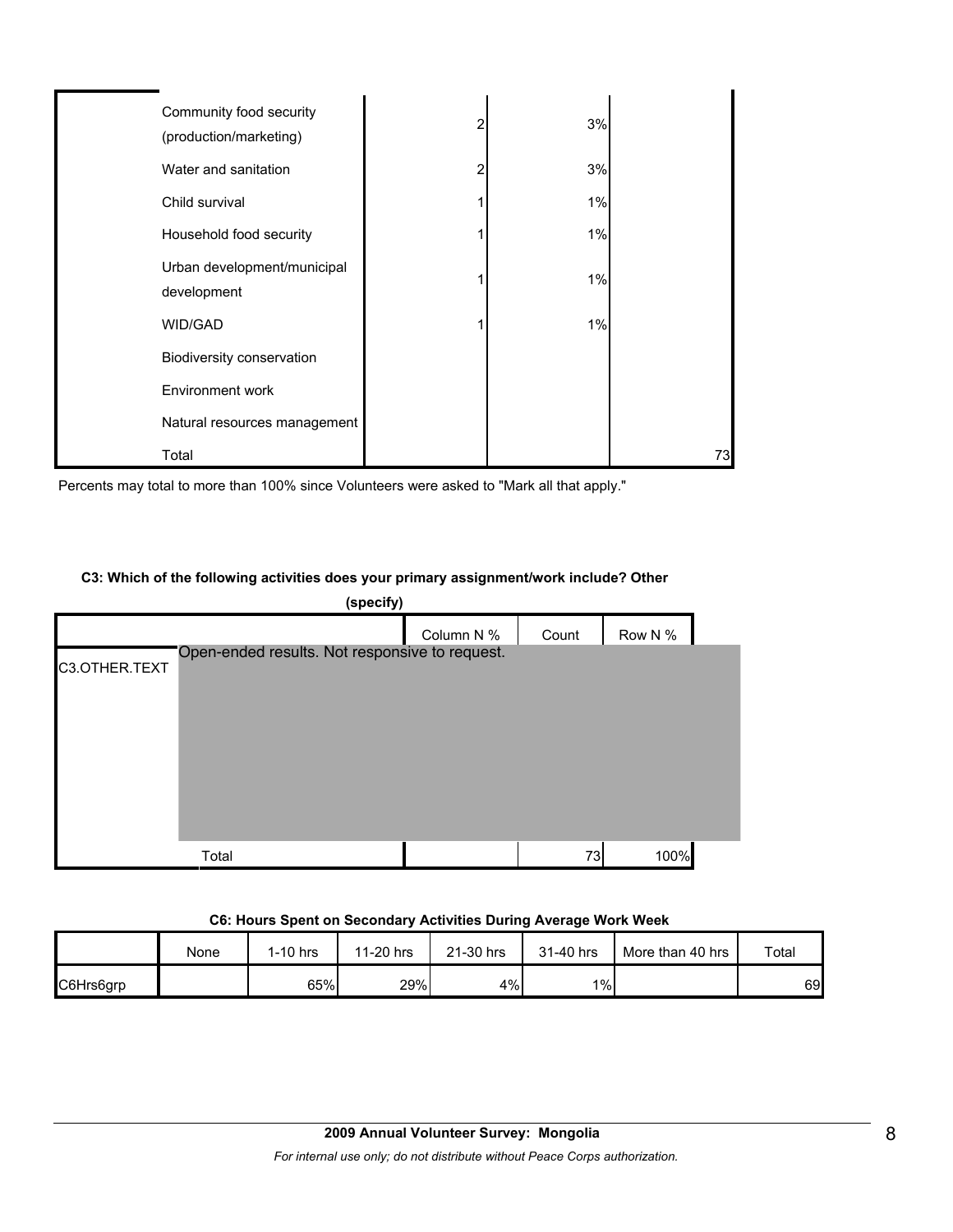| Community food security<br>(production/marketing) | 2 | 3% |    |
|---------------------------------------------------|---|----|----|
| Water and sanitation                              | 2 | 3% |    |
| Child survival                                    |   | 1% |    |
| Household food security                           |   | 1% |    |
| Urban development/municipal<br>development        |   | 1% |    |
| WID/GAD                                           |   | 1% |    |
| Biodiversity conservation                         |   |    |    |
| Environment work                                  |   |    |    |
| Natural resources management                      |   |    |    |
| Total                                             |   |    | 73 |

Percents may total to more than 100% since Volunteers were asked to "Mark all that apply."

#### **C3: Which of the following activities does your primary assignment/work include? Other**

| (specify)     |                                                |            |       |         |  |  |
|---------------|------------------------------------------------|------------|-------|---------|--|--|
|               |                                                | Column N % | Count | Row N % |  |  |
| C3.OTHER.TEXT | Open-ended results. Not responsive to request. |            |       |         |  |  |
|               | Total                                          |            | 73    | 100%    |  |  |

#### **C6: Hours Spent on Secondary Activities During Average Work Week**

|           | None | 1-10 hrs | 11-20 hrs | 21-30 hrs | 31-40 hrs | More than 40 hrs | Total |
|-----------|------|----------|-----------|-----------|-----------|------------------|-------|
| C6Hrs6grp |      | 65%      | 29%       | 4%        | $1\%$     |                  | 69    |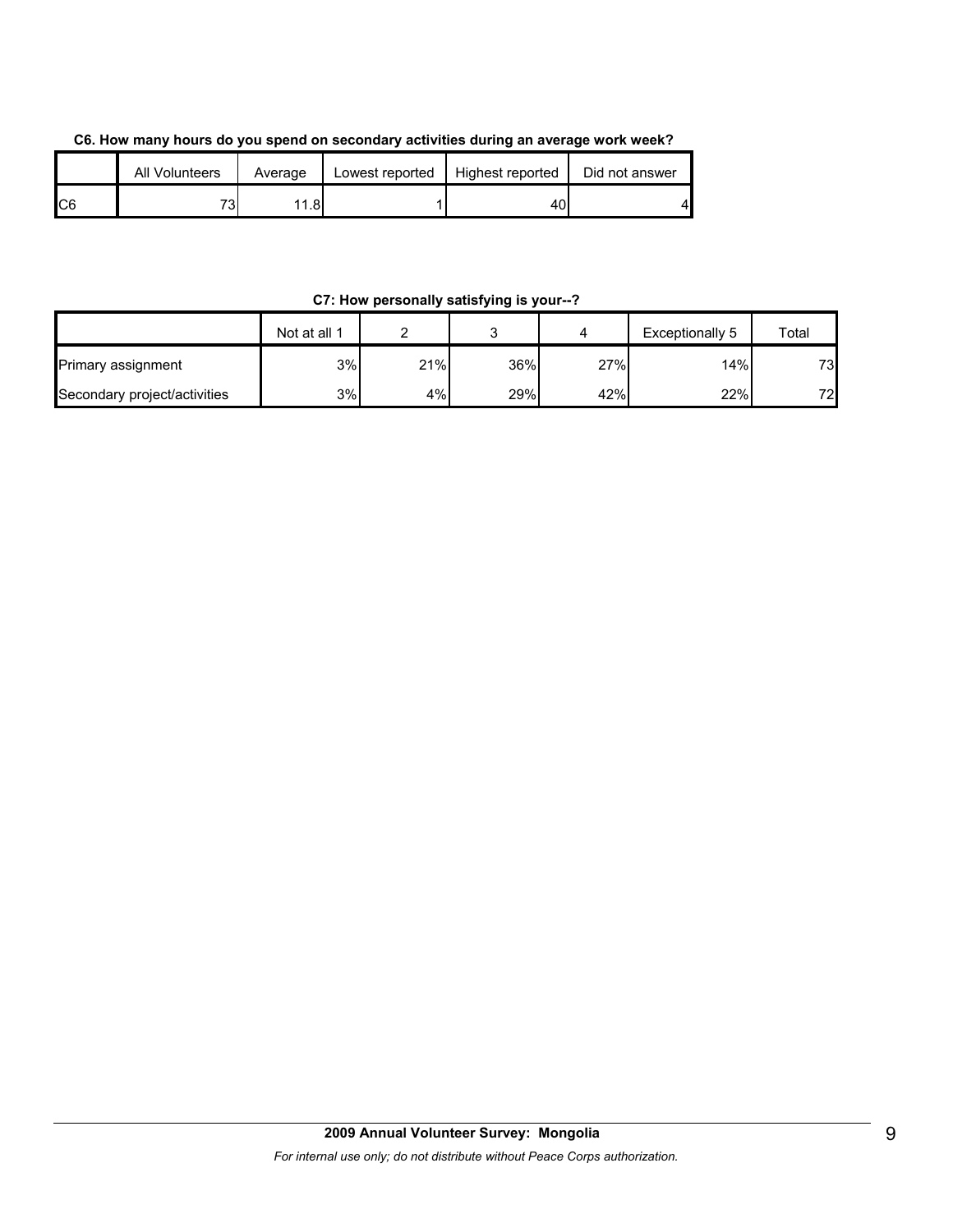| C6. How many hours do you spend on secondary activities during an average work week? |  |
|--------------------------------------------------------------------------------------|--|
|--------------------------------------------------------------------------------------|--|

|                | All Volunteers | Average | Lowest reported | Highest reported | Did not answer |
|----------------|----------------|---------|-----------------|------------------|----------------|
| C <sub>6</sub> | 73             | 11.81   |                 | 4UI              | Δ.             |

#### **C7: How personally satisfying is your--?**

|                              | Not at all 1 |     |     |     | Exceptionally 5 | Total |
|------------------------------|--------------|-----|-----|-----|-----------------|-------|
| <b>Primary assignment</b>    | 3%           | 21% | 36% | 27% | 14%             | 73    |
| Secondary project/activities | 3%           | 4%  | 29% | 42% | 22%             | 72    |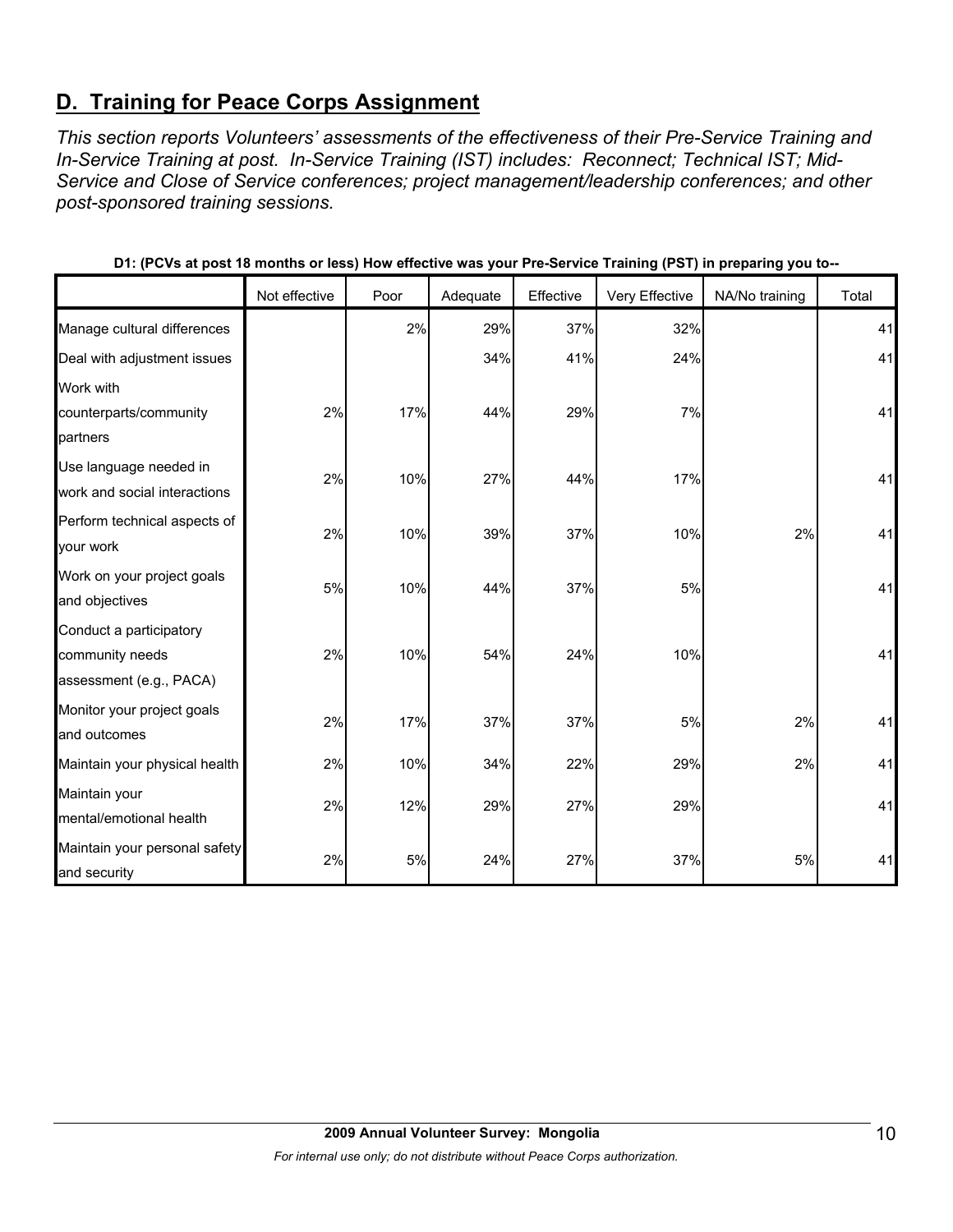# **D. Training for Peace Corps Assignment**

*This section reports Volunteers' assessments of the effectiveness of their Pre-Service Training and In-Service Training at post. In-Service Training (IST) includes: Reconnect; Technical IST; Mid-Service and Close of Service conferences; project management/leadership conferences; and other post-sponsored training sessions.* 

|                               |               |      |          |           | . .            | . .            |       |
|-------------------------------|---------------|------|----------|-----------|----------------|----------------|-------|
|                               | Not effective | Poor | Adequate | Effective | Very Effective | NA/No training | Total |
| Manage cultural differences   |               | 2%   | 29%      | 37%       | 32%            |                | 41    |
| Deal with adjustment issues   |               |      | 34%      | 41%       | 24%            |                | 41    |
| Work with                     |               |      |          |           |                |                |       |
| counterparts/community        | 2%            | 17%  | 44%      | 29%       | 7%             |                | 41    |
| partners                      |               |      |          |           |                |                |       |
| Use language needed in        | 2%            | 10%  | 27%      | 44%       | 17%            |                | 41    |
| work and social interactions  |               |      |          |           |                |                |       |
| Perform technical aspects of  | 2%            | 10%  | 39%      | 37%       | 10%            | 2%             | 41    |
| your work                     |               |      |          |           |                |                |       |
| Work on your project goals    | 5%            | 10%  | 44%      | 37%       | 5%             |                | 41    |
| and objectives                |               |      |          |           |                |                |       |
| Conduct a participatory       |               |      |          |           |                |                |       |
| community needs               | 2%            | 10%  | 54%      | 24%       | 10%            |                | 41    |
| assessment (e.g., PACA)       |               |      |          |           |                |                |       |
| Monitor your project goals    | 2%            | 17%  | 37%      | 37%       | 5%             | 2%             | 41    |
| and outcomes                  |               |      |          |           |                |                |       |
| Maintain your physical health | 2%            | 10%  | 34%      | 22%       | 29%            | 2%             | 41    |
| Maintain your                 | 2%            | 12%  | 29%      | 27%       | 29%            |                | 41    |
| mental/emotional health       |               |      |          |           |                |                |       |
| Maintain your personal safety | 2%            | 5%   | 24%      | 27%       | 37%            | 5%             | 41    |
| and security                  |               |      |          |           |                |                |       |

**D1: (PCVs at post 18 months or less) How effective was your Pre-Service Training (PST) in preparing you to--**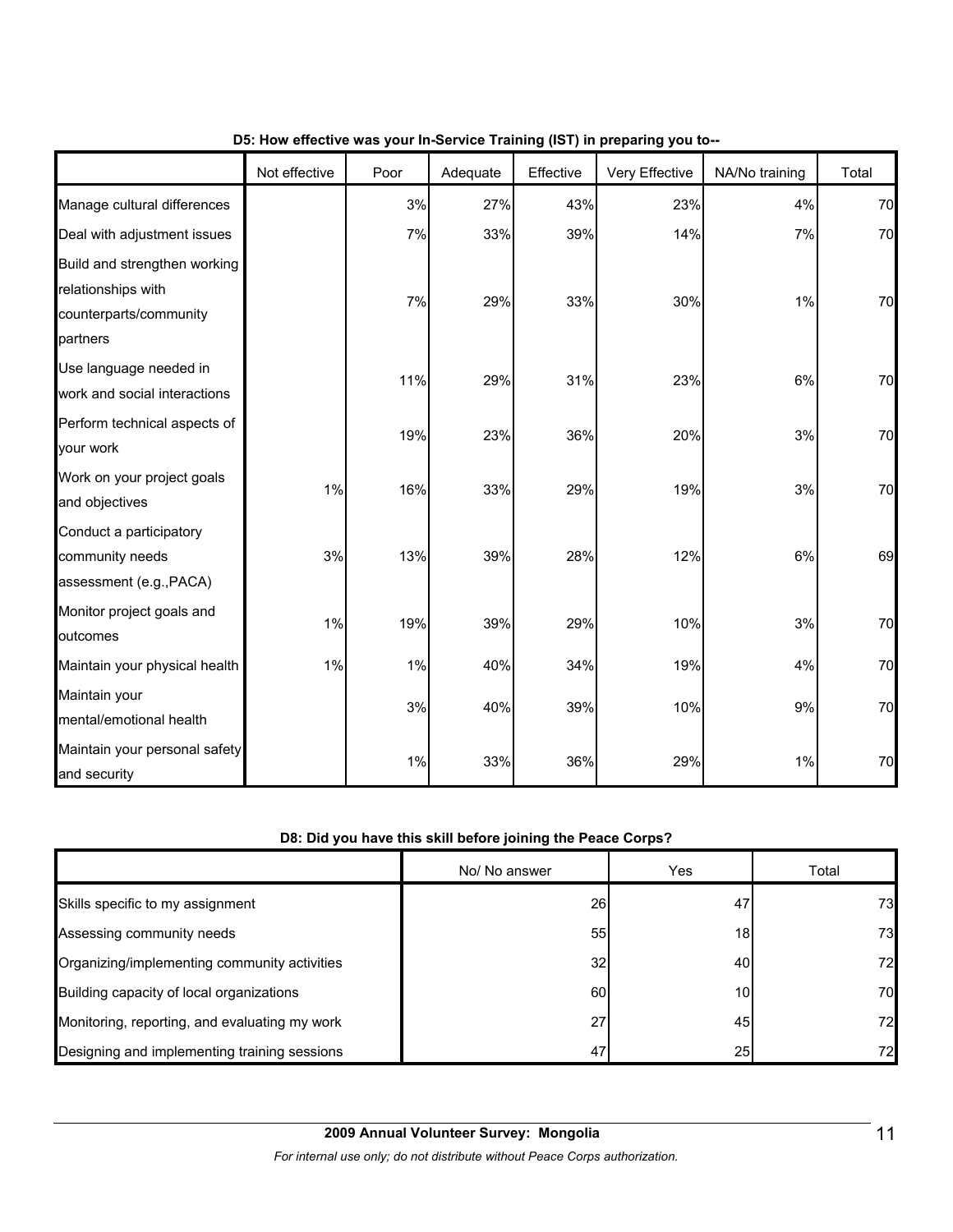|                                                                                          | Not effective | Poor | Adequate | Effective | Very Effective | NA/No training | Total |
|------------------------------------------------------------------------------------------|---------------|------|----------|-----------|----------------|----------------|-------|
| Manage cultural differences                                                              |               | 3%   | 27%      | 43%       | 23%            | 4%             | 70    |
| Deal with adjustment issues                                                              |               | 7%   | 33%      | 39%       | 14%            | 7%             | 70    |
| Build and strengthen working<br>relationships with<br>counterparts/community<br>partners |               | 7%   | 29%      | 33%       | 30%            | 1%             | 70    |
| Use language needed in<br>work and social interactions                                   |               | 11%  | 29%      | 31%       | 23%            | 6%             | 70    |
| Perform technical aspects of<br>your work                                                |               | 19%  | 23%      | 36%       | 20%            | 3%             | 70    |
| Work on your project goals<br>and objectives                                             | 1%            | 16%  | 33%      | 29%       | 19%            | 3%             | 70    |
| Conduct a participatory<br>community needs<br>assessment (e.g., PACA)                    | 3%            | 13%  | 39%      | 28%       | 12%            | 6%             | 69    |
| Monitor project goals and<br>outcomes                                                    | 1%            | 19%  | 39%      | 29%       | 10%            | 3%             | 70    |
| Maintain your physical health                                                            | 1%            | 1%   | 40%      | 34%       | 19%            | 4%             | 70    |
| Maintain your<br>mental/emotional health                                                 |               | 3%   | 40%      | 39%       | 10%            | 9%             | 70    |
| Maintain your personal safety<br>and security                                            |               | 1%   | 33%      | 36%       | 29%            | 1%             | 70    |

#### **D5: How effective was your In-Service Training (IST) in preparing you to--**

#### **D8: Did you have this skill before joining the Peace Corps?**

|                                               | No/ No answer | Yes | Total |
|-----------------------------------------------|---------------|-----|-------|
| Skills specific to my assignment              | 26            | 47  | 73    |
| Assessing community needs                     | 55            | 18  | 73    |
| Organizing/implementing community activities  | 32            | 40  | 72    |
| Building capacity of local organizations      | 60            | 10I | 70    |
| Monitoring, reporting, and evaluating my work | 27            | 45  | 72    |
| Designing and implementing training sessions  | 47            | 25  | 72    |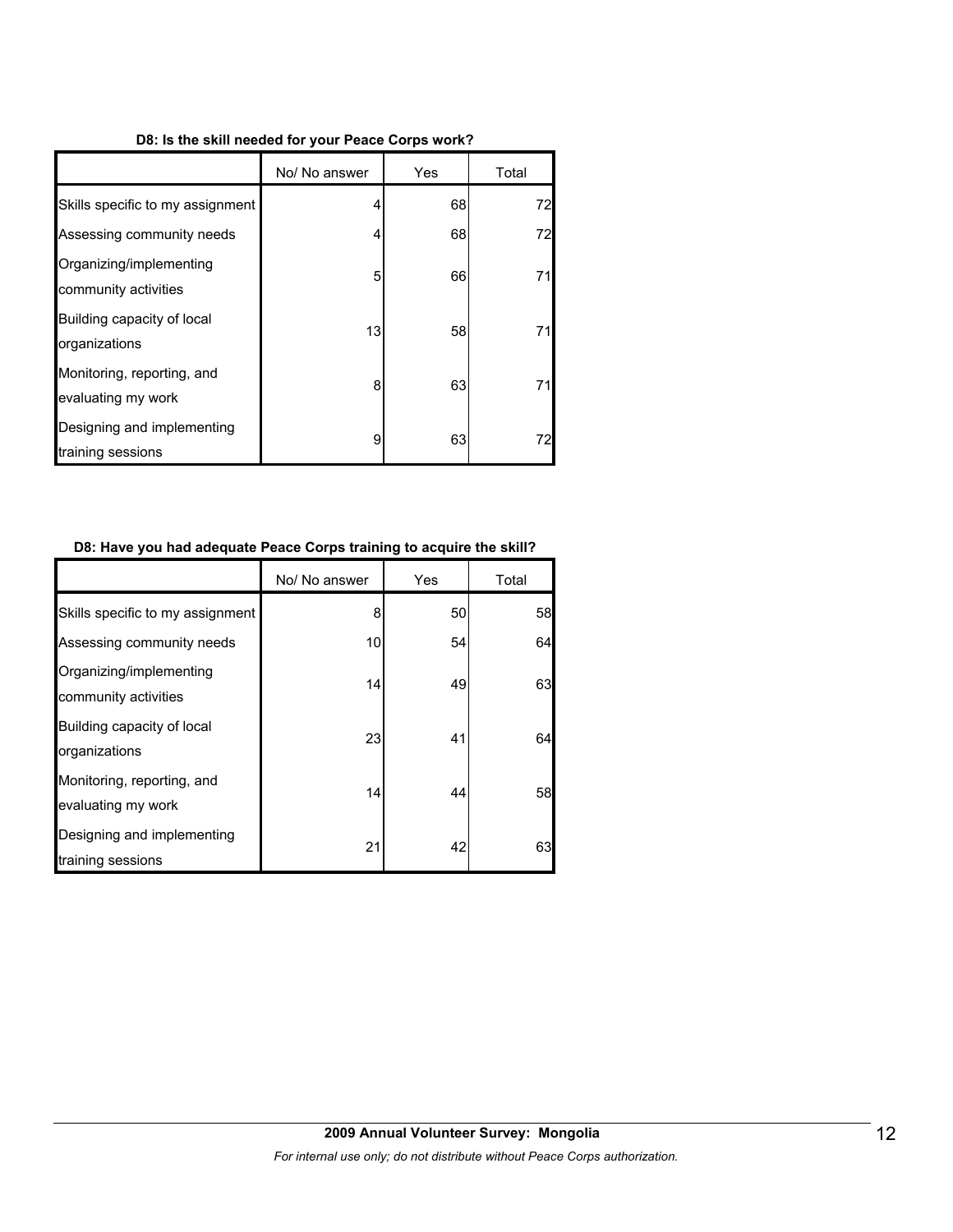#### **D8: Is the skill needed for your Peace Corps work?**

|                                                  | No/ No answer | Yes | Total |
|--------------------------------------------------|---------------|-----|-------|
| Skills specific to my assignment                 | 4             | 68  | 72    |
| Assessing community needs                        | 4             | 68  | 72    |
| Organizing/implementing<br>community activities  | 5             | 66  | 71    |
| Building capacity of local<br>organizations      | 13            | 58  | 71    |
| Monitoring, reporting, and<br>evaluating my work | 8             | 63  | 71    |
| Designing and implementing<br>training sessions  | 9             | 63  | 72    |

#### **D8: Have you had adequate Peace Corps training to acquire the skill?**

|                                                  | No/ No answer | Yes | Total |
|--------------------------------------------------|---------------|-----|-------|
| Skills specific to my assignment                 | 8             | 50  | 58    |
| Assessing community needs                        | 10            | 54  | 64    |
| Organizing/implementing<br>community activities  | 14            | 49  | 63    |
| Building capacity of local<br>organizations      | 23            | 41  | 64    |
| Monitoring, reporting, and<br>evaluating my work | 14            | 44  | 58    |
| Designing and implementing<br>training sessions  | 21            | 42  | 63    |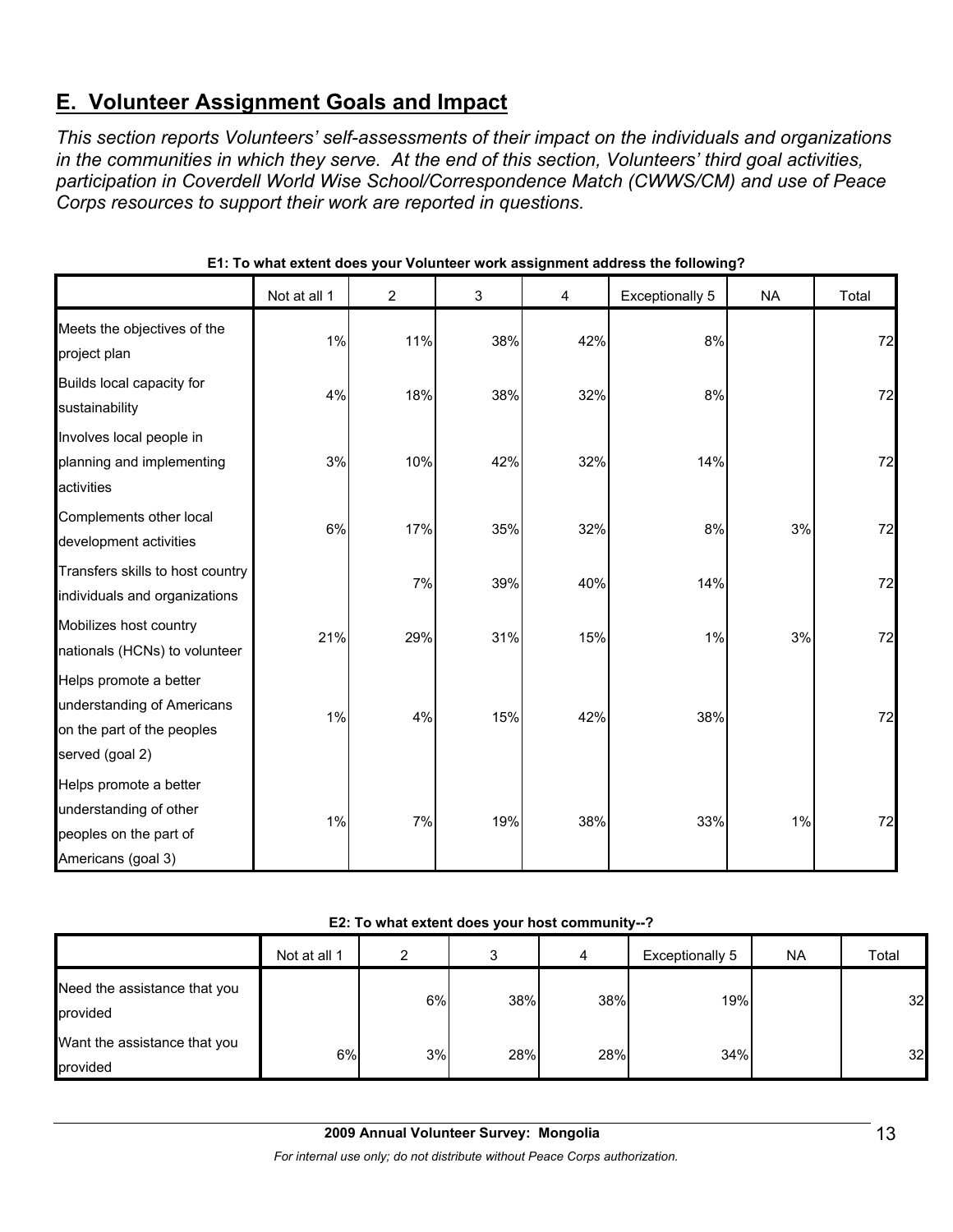# **E. Volunteer Assignment Goals and Impact**

*This section reports Volunteers' self-assessments of their impact on the individuals and organizations in the communities in which they serve. At the end of this section, Volunteers' third goal activities, participation in Coverdell World Wise School/Correspondence Match (CWWS/CM) and use of Peace Corps resources to support their work are reported in questions.* 

|                                                                                                       | Not at all 1 | $\overline{2}$ | $\mathfrak{S}$ | 4   | <b>Exceptionally 5</b> | <b>NA</b> | Total |
|-------------------------------------------------------------------------------------------------------|--------------|----------------|----------------|-----|------------------------|-----------|-------|
| Meets the objectives of the<br>project plan                                                           | 1%           | 11%            | 38%            | 42% | 8%                     |           | 72    |
| Builds local capacity for<br>sustainability                                                           | 4%           | 18%            | 38%            | 32% | 8%                     |           | 72    |
| Involves local people in<br>planning and implementing<br>activities                                   | 3%           | 10%            | 42%            | 32% | 14%                    |           | 72    |
| Complements other local<br>development activities                                                     | 6%           | 17%            | 35%            | 32% | 8%                     | 3%        | 72    |
| Transfers skills to host country<br>individuals and organizations                                     |              | 7%             | 39%            | 40% | 14%                    |           | 72    |
| Mobilizes host country<br>nationals (HCNs) to volunteer                                               | 21%          | 29%            | 31%            | 15% | $1\%$                  | 3%        | 72    |
| Helps promote a better<br>understanding of Americans<br>on the part of the peoples<br>served (goal 2) | 1%           | 4%             | 15%            | 42% | 38%                    |           | 72    |
| Helps promote a better<br>understanding of other<br>peoples on the part of<br>Americans (goal 3)      | 1%           | 7%             | 19%            | 38% | 33%                    | 1%        | 72    |

**E1: To what extent does your Volunteer work assignment address the following?**

#### **E2: To what extent does your host community--?**

|                                          | Not at all 1 | ◠  |     | 4   | Exceptionally 5 | NA. | Total |
|------------------------------------------|--------------|----|-----|-----|-----------------|-----|-------|
| Need the assistance that you<br>provided |              | 6% | 38% | 38% | 19%             |     | 32    |
| Want the assistance that you<br>provided | 6%           | 3% | 28% | 28% | 34%             |     | 32    |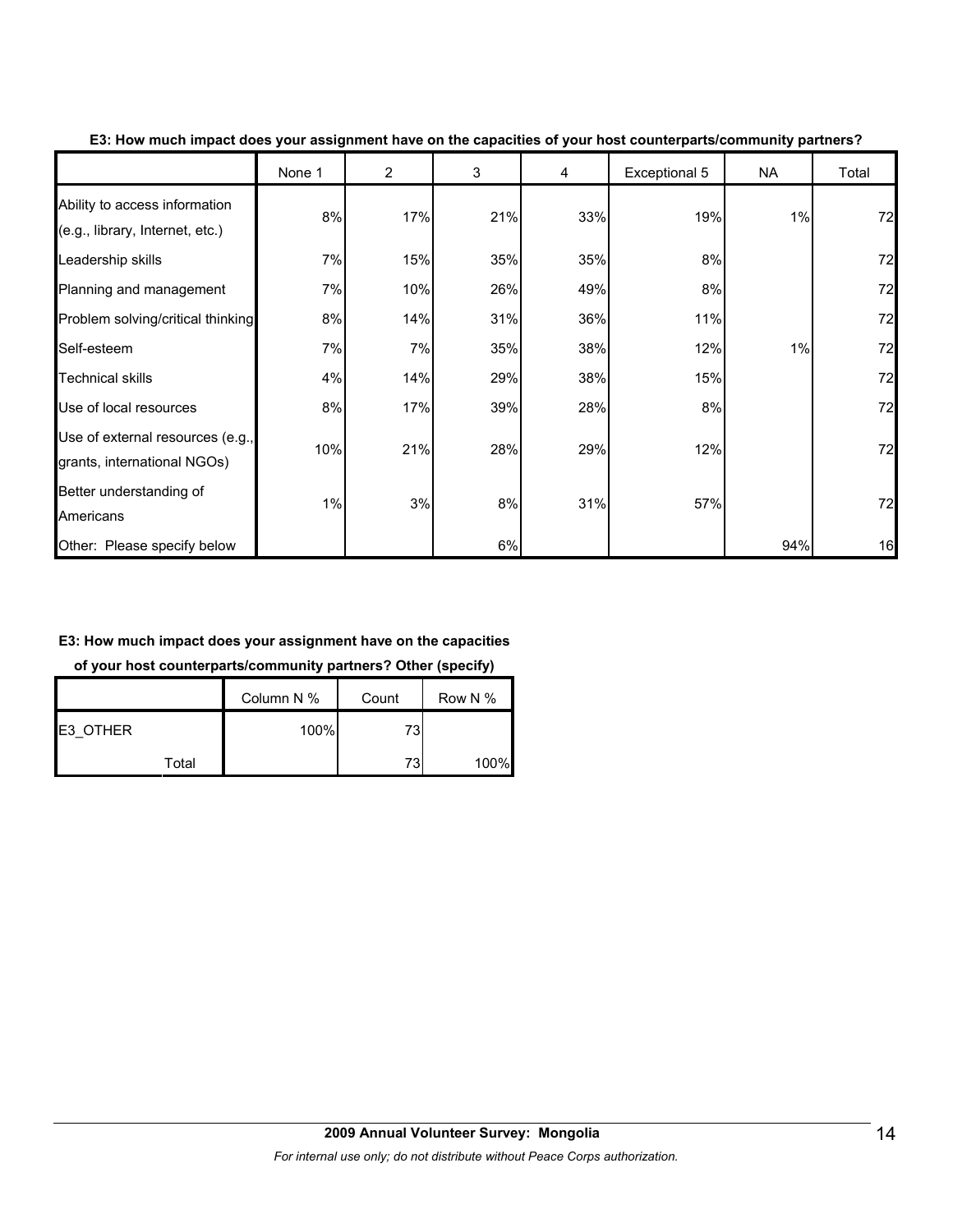|                                                                  | None 1 | $\overline{2}$ | 3   | 4   | Exceptional 5 | NA  | Total |
|------------------------------------------------------------------|--------|----------------|-----|-----|---------------|-----|-------|
| Ability to access information<br>(e.g., library, Internet, etc.) | 8%     | 17%            | 21% | 33% | 19%           | 1%  | 72    |
| Leadership skills                                                | 7%     | 15%            | 35% | 35% | 8%            |     | 72    |
| Planning and management                                          | 7%     | 10%            | 26% | 49% | 8%            |     | 72    |
| Problem solving/critical thinking                                | 8%     | 14%            | 31% | 36% | 11%           |     | 72    |
| Self-esteem                                                      | 7%     | 7%             | 35% | 38% | 12%           | 1%  | 72    |
| <b>Technical skills</b>                                          | 4%     | 14%            | 29% | 38% | 15%           |     | 72    |
| Use of local resources                                           | 8%     | 17%            | 39% | 28% | 8%            |     | 72    |
| Use of external resources (e.g.,<br>grants, international NGOs)  | 10%    | 21%            | 28% | 29% | 12%           |     | 72    |
| Better understanding of<br>Americans                             | 1%     | 3%             | 8%  | 31% | 57%           |     | 72    |
| Other: Please specify below                                      |        |                | 6%  |     |               | 94% | 16    |

#### **E3: How much impact does your assignment have on the capacities of your host counterparts/community partners?**

#### **E3: How much impact does your assignment have on the capacities**

#### **of your host counterparts/community partners? Other (specify)**

|                 | Column N % | Count | Row N % |
|-----------------|------------|-------|---------|
| <b>E3 OTHER</b> | 100%       | 73    |         |
| Total           |            | 73    | 100%    |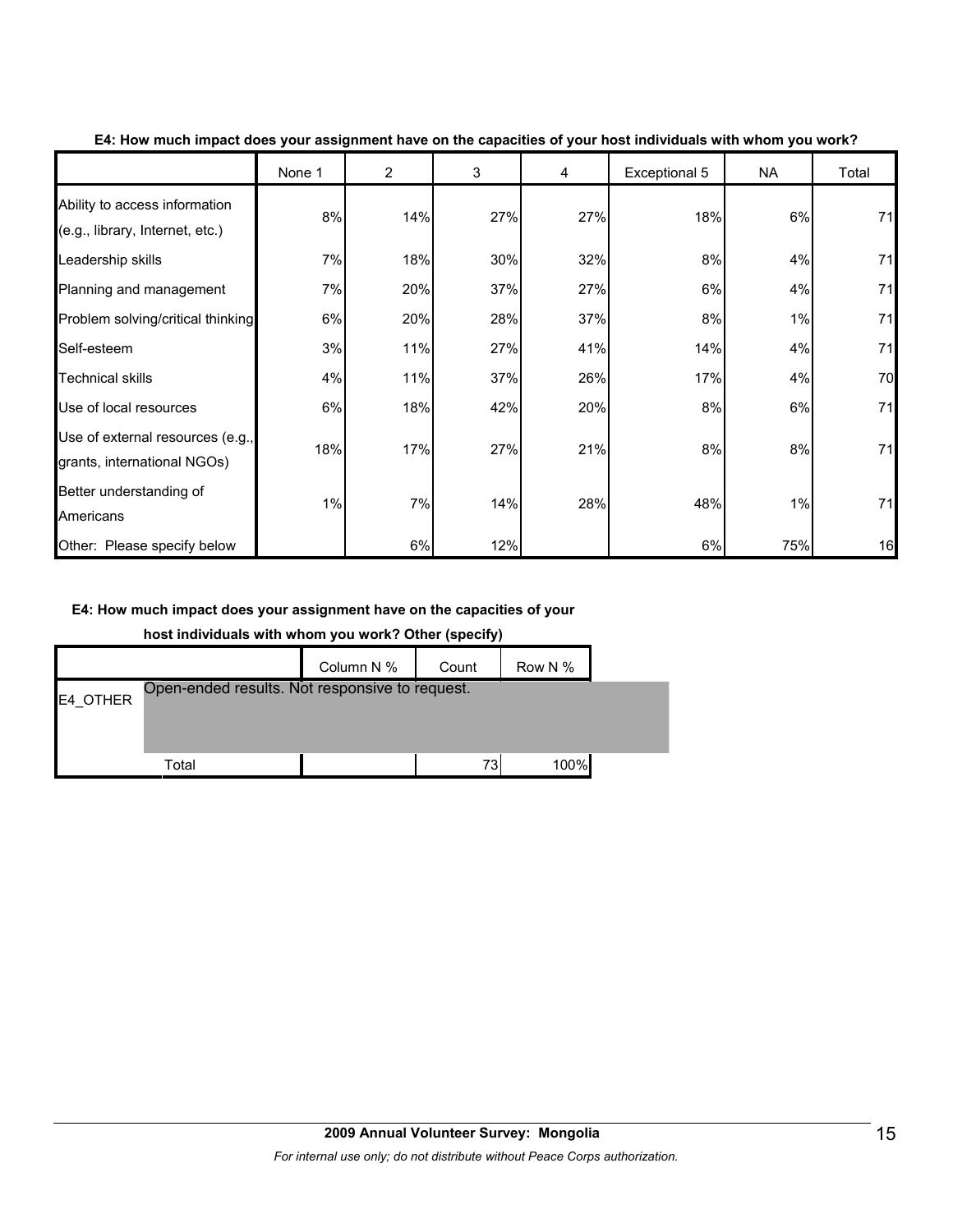|                                                                  | None 1 | $\overline{2}$ | 3   | 4   | Exceptional 5 | NA  | Total |
|------------------------------------------------------------------|--------|----------------|-----|-----|---------------|-----|-------|
| Ability to access information<br>(e.g., library, Internet, etc.) | 8%     | 14%            | 27% | 27% | 18%           | 6%  | 71    |
| Leadership skills                                                | 7%     | 18%            | 30% | 32% | 8%            | 4%  | 71    |
| Planning and management                                          | 7%     | 20%            | 37% | 27% | 6%            | 4%  | 71    |
| Problem solving/critical thinking                                | 6%     | 20%            | 28% | 37% | 8%            | 1%  | 71    |
| Self-esteem                                                      | 3%     | 11%            | 27% | 41% | 14%           | 4%  | 71    |
| <b>Technical skills</b>                                          | 4%     | 11%            | 37% | 26% | 17%           | 4%  | 70    |
| Use of local resources                                           | 6%     | 18%            | 42% | 20% | 8%            | 6%  | 71    |
| Use of external resources (e.g.,<br>grants, international NGOs)  | 18%    | 17%            | 27% | 21% | 8%            | 8%  | 71    |
| Better understanding of<br>Americans                             | 1%     | 7%             | 14% | 28% | 48%           | 1%  | 71    |
| Other: Please specify below                                      |        | 6%             | 12% |     | 6%            | 75% | 16    |

#### **E4: How much impact does your assignment have on the capacities of your host individuals with whom you work?**

#### **E4: How much impact does your assignment have on the capacities of your**

**host individuals with whom you work? Other (specify)**

|          |                                                | Column N % | Count | Row N % |  |
|----------|------------------------------------------------|------------|-------|---------|--|
| E4_OTHER | Open-ended results. Not responsive to request. |            |       |         |  |
|          |                                                |            |       |         |  |
|          | Total                                          |            | 73    | 100%    |  |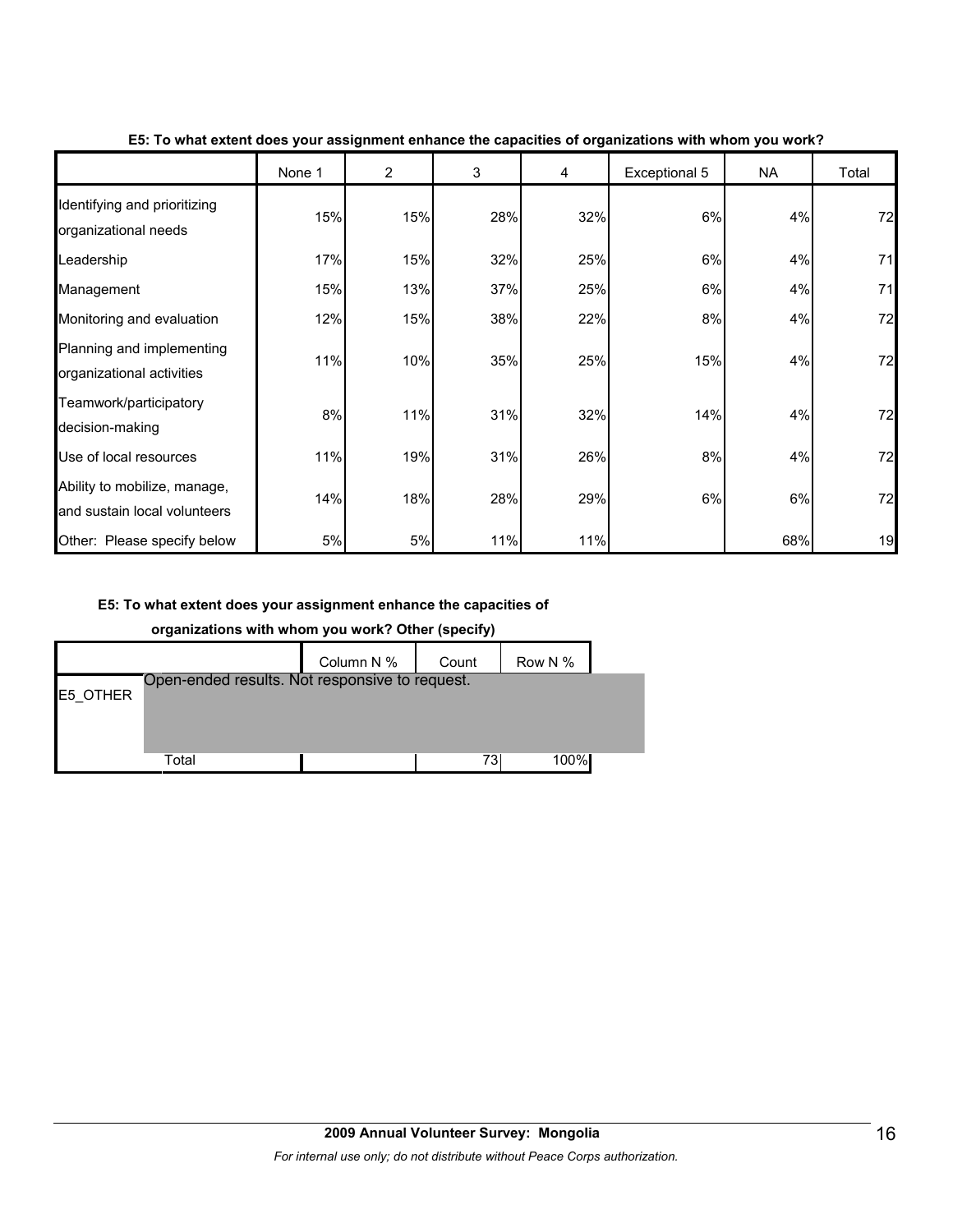|                                                              | None 1 | $\overline{2}$ | 3   | 4   | Exceptional 5 | <b>NA</b> | Total |
|--------------------------------------------------------------|--------|----------------|-----|-----|---------------|-----------|-------|
| Identifying and prioritizing<br>organizational needs         | 15%    | 15%            | 28% | 32% | 6%            | 4%        | 72    |
| Leadership                                                   | 17%    | 15%            | 32% | 25% | 6%            | 4%        | 71    |
| Management                                                   | 15%    | 13%            | 37% | 25% | 6%            | 4%        | 71    |
| Monitoring and evaluation                                    | 12%    | 15%            | 38% | 22% | 8%            | 4%        | 72    |
| Planning and implementing<br>organizational activities       | 11%    | 10%            | 35% | 25% | 15%           | 4%        | 72    |
| Teamwork/participatory<br>decision-making                    | 8%     | 11%            | 31% | 32% | 14%           | 4%        | 72    |
| Use of local resources                                       | 11%    | 19%            | 31% | 26% | 8%            | 4%        | 72    |
| Ability to mobilize, manage,<br>and sustain local volunteers | 14%    | 18%            | 28% | 29% | 6%            | 6%        | 72    |
| Other: Please specify below                                  | 5%     | $5%$           | 11% | 11% |               | 68%       | 19    |

**E5: To what extent does your assignment enhance the capacities of organizations with whom you work?**

#### **E5: To what extent does your assignment enhance the capacities of**

#### **organizations with whom you work? Other (specify)**

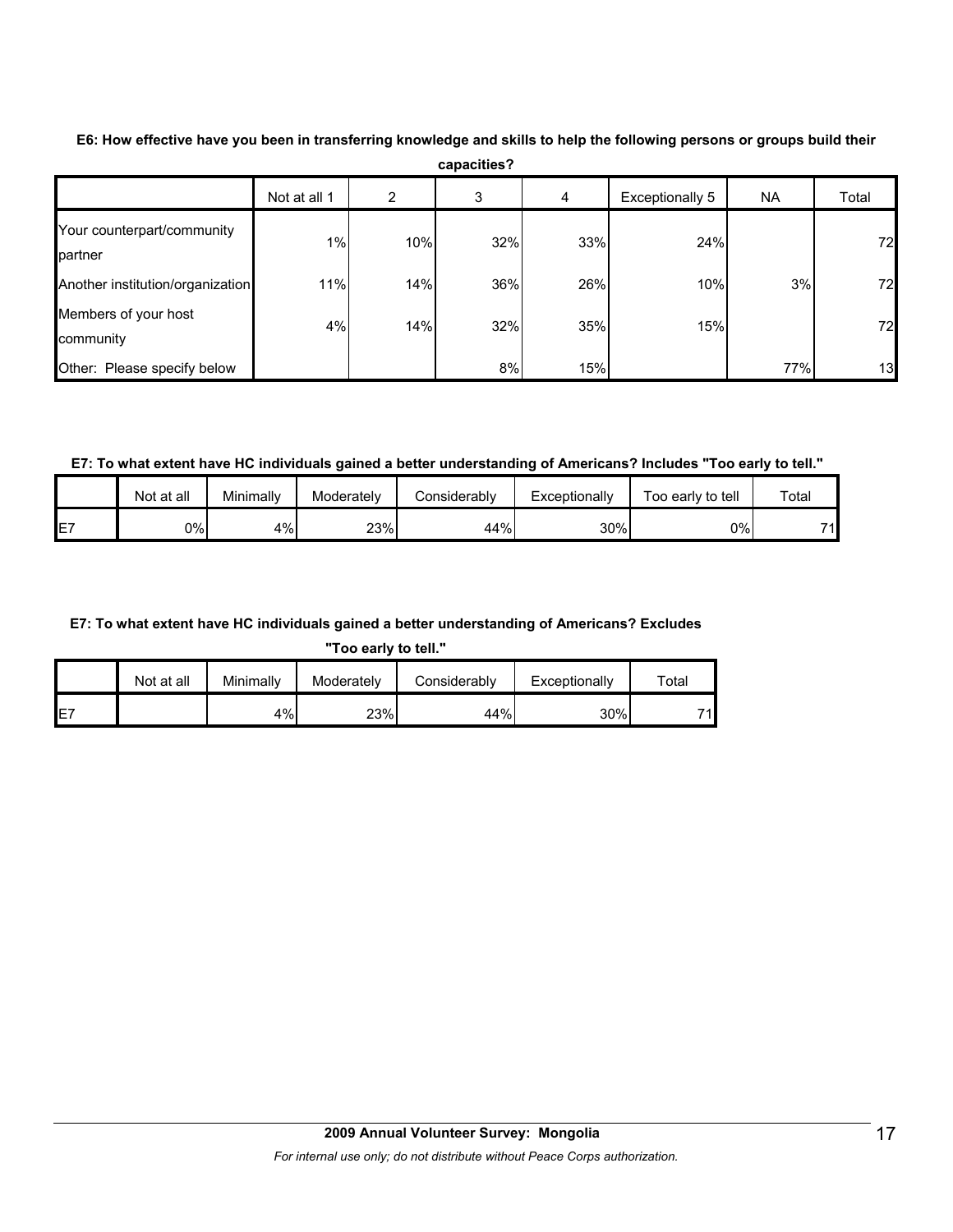|                                       | Not at all 1 | 2   | 3   | 4   | Exceptionally 5 | <b>NA</b> | Total |
|---------------------------------------|--------------|-----|-----|-----|-----------------|-----------|-------|
| Your counterpart/community<br>partner | 1%           | 10% | 32% | 33% | 24%             |           | 72    |
| Another institution/organization      | 11%          | 14% | 36% | 26% | 10%             | 3%        | 72    |
| Members of your host<br>community     | 4%           | 14% | 32% | 35% | 15%             |           | 72    |
| Other: Please specify below           |              |     | 8%  | 15% |                 | 77%       | 13    |

**E6: How effective have you been in transferring knowledge and skills to help the following persons or groups build their capacities?**

**E7: To what extent have HC individuals gained a better understanding of Americans? Includes "Too early to tell."**

|    | Not at all | Minimally | Moderatelv | Considerabl∨ | Exceptionally | Foo early to tell | Total |
|----|------------|-----------|------------|--------------|---------------|-------------------|-------|
| E7 | 0%         | 4%        | 23%        | 44%          | 30%           | 0%                | 74    |

#### **E7: To what extent have HC individuals gained a better understanding of Americans? Excludes**

**"Too early to tell."**

|     | Not at all | Minimally | Moderately | Considerably | Exceptionally | $\tau$ otar |
|-----|------------|-----------|------------|--------------|---------------|-------------|
| IE7 |            | 4%        | 23%        | 44%          | 30%           | 71          |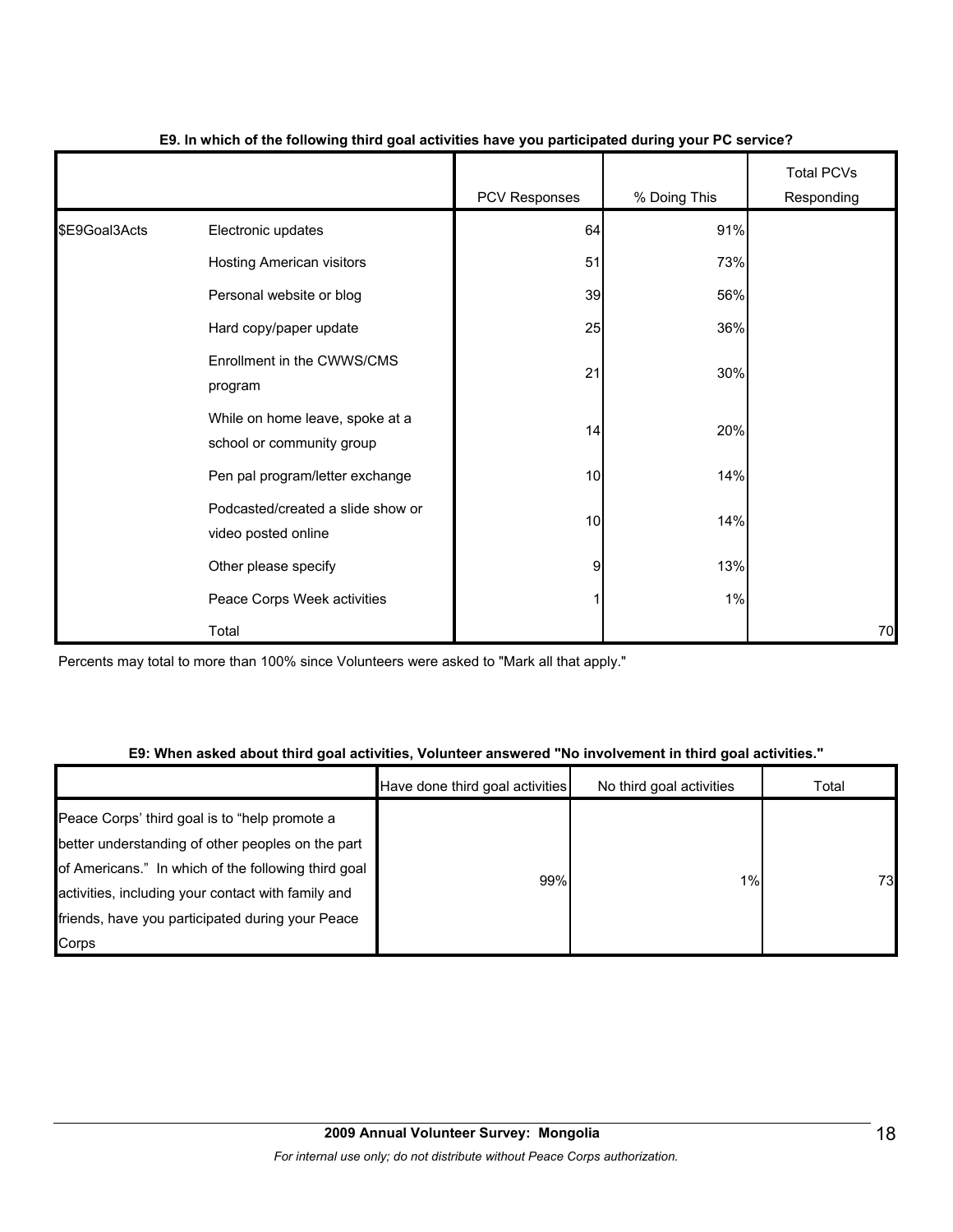|               |                                                              | PCV Responses  | % Doing This | <b>Total PCVs</b><br>Responding |
|---------------|--------------------------------------------------------------|----------------|--------------|---------------------------------|
| \$E9Goal3Acts | Electronic updates                                           | 64             | 91%          |                                 |
|               | <b>Hosting American visitors</b>                             | 51             | 73%          |                                 |
|               | Personal website or blog                                     | 39             | 56%          |                                 |
|               | Hard copy/paper update                                       | 25             | 36%          |                                 |
|               | Enrollment in the CWWS/CMS<br>program                        | 21             | 30%          |                                 |
|               | While on home leave, spoke at a<br>school or community group | 14             | 20%          |                                 |
|               | Pen pal program/letter exchange                              | 10             | 14%          |                                 |
|               | Podcasted/created a slide show or<br>video posted online     | 10             | 14%          |                                 |
|               | Other please specify                                         | $\overline{9}$ | 13%          |                                 |
|               | Peace Corps Week activities                                  | 1              | $1\%$        |                                 |
|               | Total                                                        |                |              | 70                              |

#### **E9. In which of the following third goal activities have you participated during your PC service?**

Percents may total to more than 100% since Volunteers were asked to "Mark all that apply."

#### **E9: When asked about third goal activities, Volunteer answered "No involvement in third goal activities."**

|                                                                                                           | Have done third goal activities | No third goal activities | Total |
|-----------------------------------------------------------------------------------------------------------|---------------------------------|--------------------------|-------|
| Peace Corps' third goal is to "help promote a<br>better understanding of other peoples on the part        |                                 |                          |       |
| of Americans." In which of the following third goal<br>activities, including your contact with family and | 99%                             | $1\%$                    | 73    |
| friends, have you participated during your Peace                                                          |                                 |                          |       |
| Corps                                                                                                     |                                 |                          |       |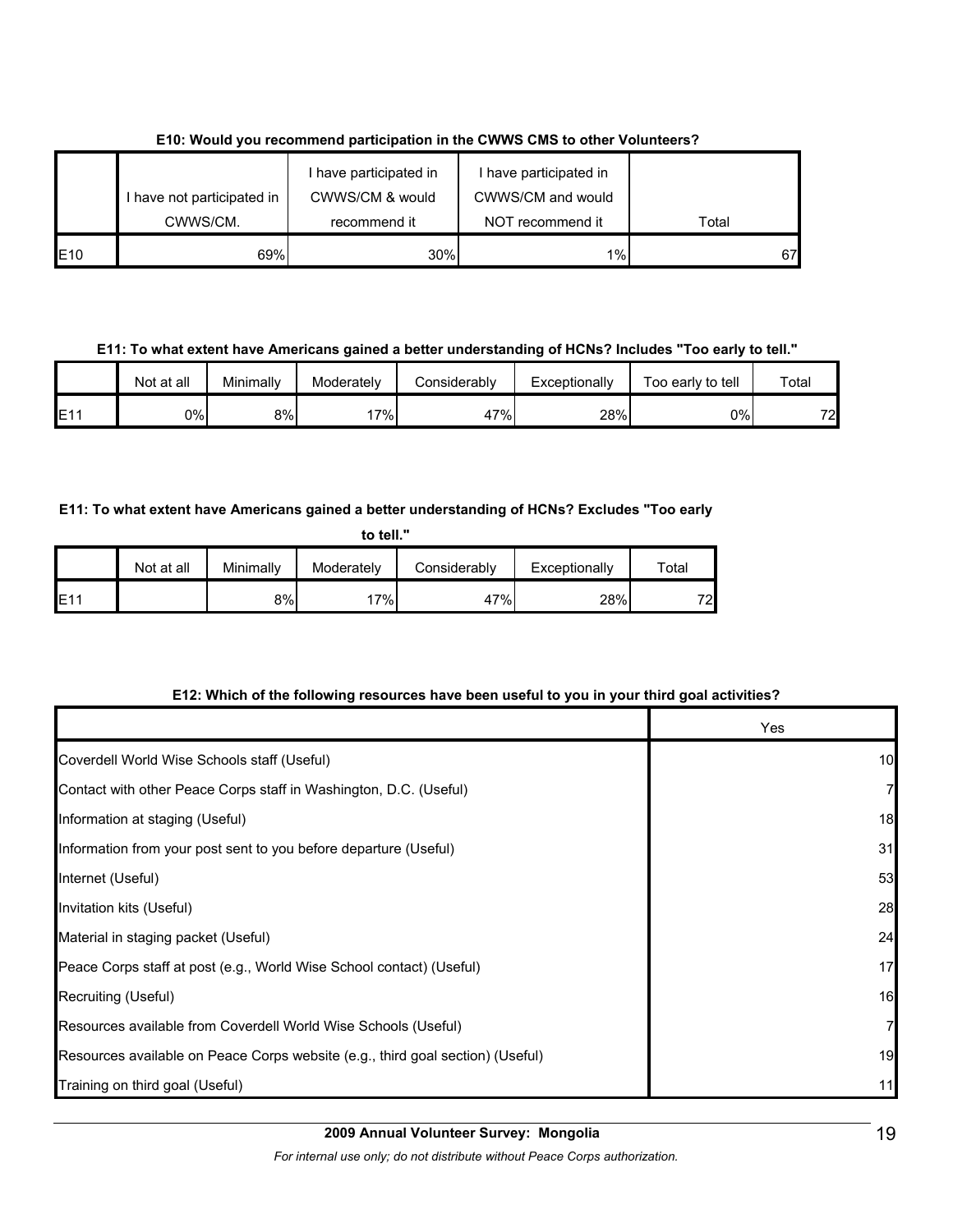|                 |                            | I have participated in | I have participated in |       |
|-----------------|----------------------------|------------------------|------------------------|-------|
|                 | I have not participated in | CWWS/CM & would        | CWWS/CM and would      |       |
|                 | CWWS/CM.                   | recommend it           | NOT recommend it       | Total |
| E <sub>10</sub> | 69%                        | 30%                    | 1%                     | 67    |

**E10: Would you recommend participation in the CWWS CMS to other Volunteers?**

#### **E11: To what extent have Americans gained a better understanding of HCNs? Includes "Too early to tell."**

|     | Not at all | Minimally | Moderatelv | Considerably | Exceptionally | Too early to tell | Total |
|-----|------------|-----------|------------|--------------|---------------|-------------------|-------|
| E1' | 0%l        | 8%l       | $'7\%$     | 47%          | 28%           | $0\%$             | 72    |

#### **E11: To what extent have Americans gained a better understanding of HCNs? Excludes "Too early**

|      | to tell."  |           |            |              |               |       |  |  |
|------|------------|-----------|------------|--------------|---------------|-------|--|--|
|      | Not at all | Minimally | Moderately | Considerably | Exceptionally | Total |  |  |
| IE11 |            | 8%        | 17%        | 47%          | 28%           | 72    |  |  |

#### **E12: Which of the following resources have been useful to you in your third goal activities?**

|                                                                                | Yes |
|--------------------------------------------------------------------------------|-----|
| Coverdell World Wise Schools staff (Useful)                                    | 10  |
| Contact with other Peace Corps staff in Washington, D.C. (Useful)              |     |
| Information at staging (Useful)                                                | 18  |
| Information from your post sent to you before departure (Useful)               | 31  |
| Internet (Useful)                                                              | 53  |
| Invitation kits (Useful)                                                       | 28  |
| Material in staging packet (Useful)                                            | 24  |
| Peace Corps staff at post (e.g., World Wise School contact) (Useful)           | 17  |
| Recruiting (Useful)                                                            | 16  |
| Resources available from Coverdell World Wise Schools (Useful)                 | 7   |
| Resources available on Peace Corps website (e.g., third goal section) (Useful) | 19  |
| Training on third goal (Useful)                                                | 11  |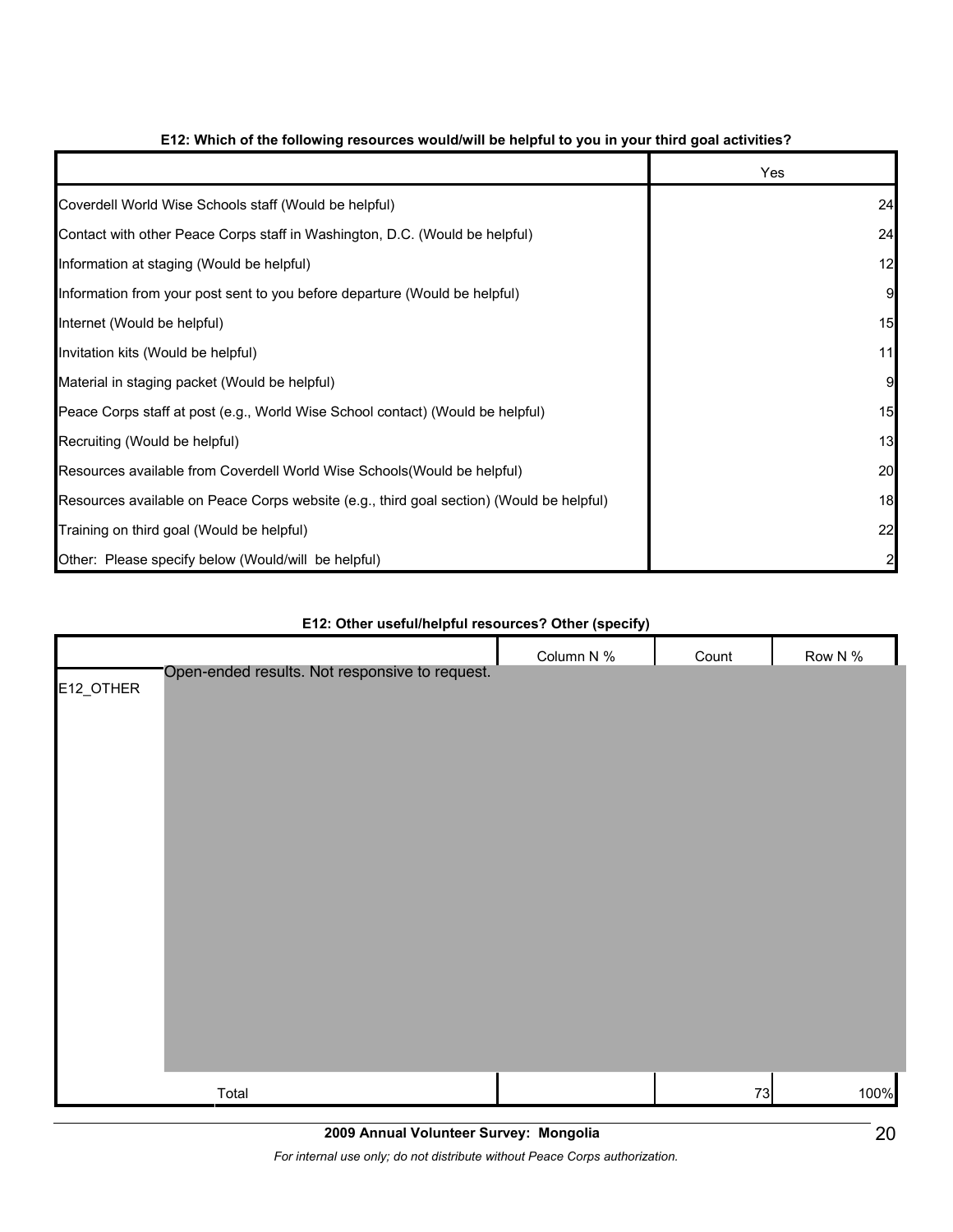|                                                                                          | Yes |
|------------------------------------------------------------------------------------------|-----|
| Coverdell World Wise Schools staff (Would be helpful)                                    | 24  |
| Contact with other Peace Corps staff in Washington, D.C. (Would be helpful)              | 24  |
| Information at staging (Would be helpful)                                                | 12  |
| Information from your post sent to you before departure (Would be helpful)               | 9   |
| Internet (Would be helpful)                                                              | 15  |
| Invitation kits (Would be helpful)                                                       | 11  |
| Material in staging packet (Would be helpful)                                            | 9   |
| Peace Corps staff at post (e.g., World Wise School contact) (Would be helpful)           | 15  |
| Recruiting (Would be helpful)                                                            | 13  |
| Resources available from Coverdell World Wise Schools (Would be helpful)                 | 20  |
| Resources available on Peace Corps website (e.g., third goal section) (Would be helpful) | 18  |
| Training on third goal (Would be helpful)                                                | 22  |
| Other: Please specify below (Would/will be helpful)                                      |     |

#### **E12: Which of the following resources would/will be helpful to you in your third goal activities?**

# Column N % Count Row N % E12\_OTHER Total 73 100% Open-ended results. Not responsive to request.

#### **E12: Other useful/helpful resources? Other (specify)**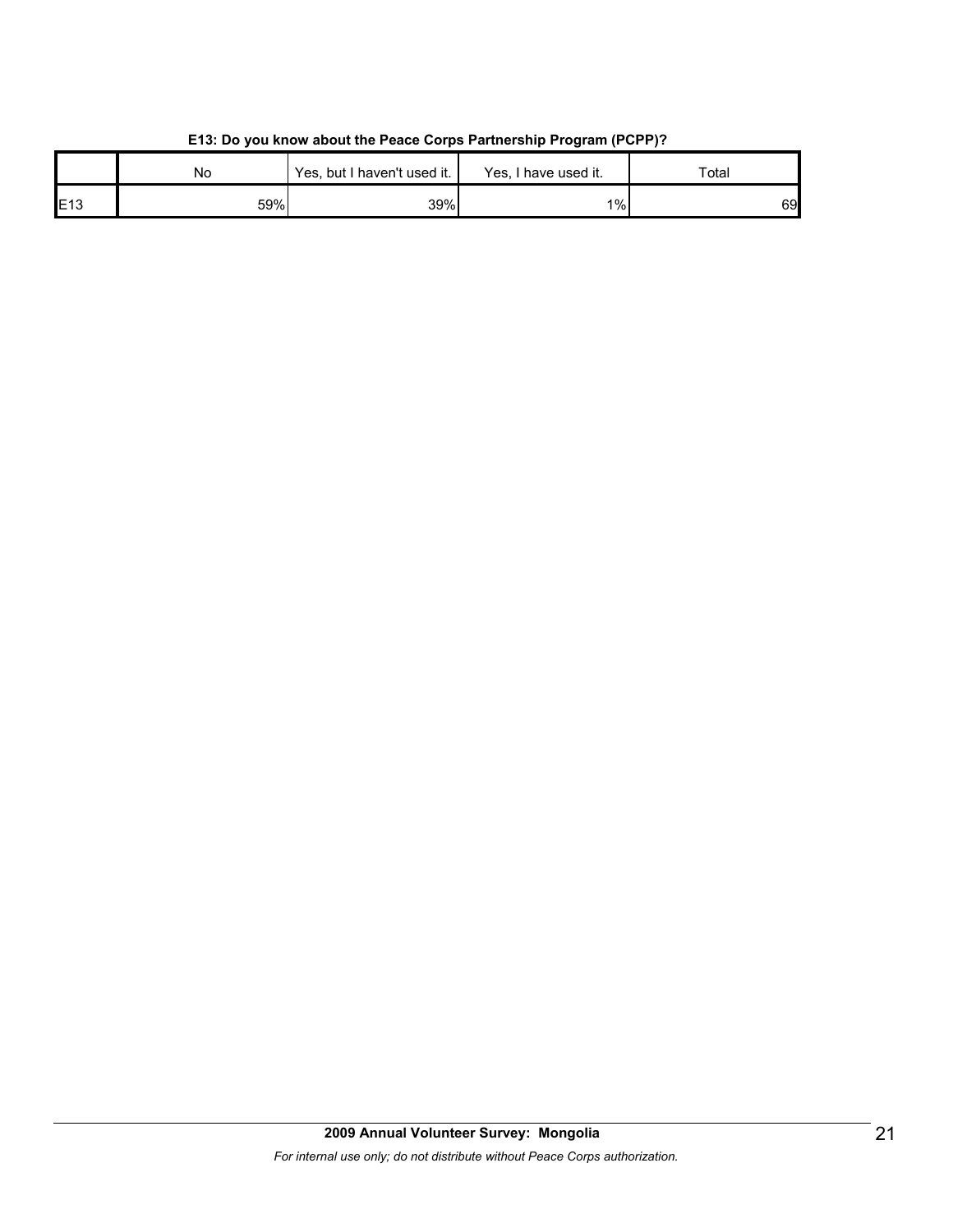|     | No  | Yes, but I haven't used it. | Yes, I have used it. | Total |
|-----|-----|-----------------------------|----------------------|-------|
| E13 | 59% | 39%                         | 1%                   | 69    |

#### **E13: Do you know about the Peace Corps Partnership Program (PCPP)?**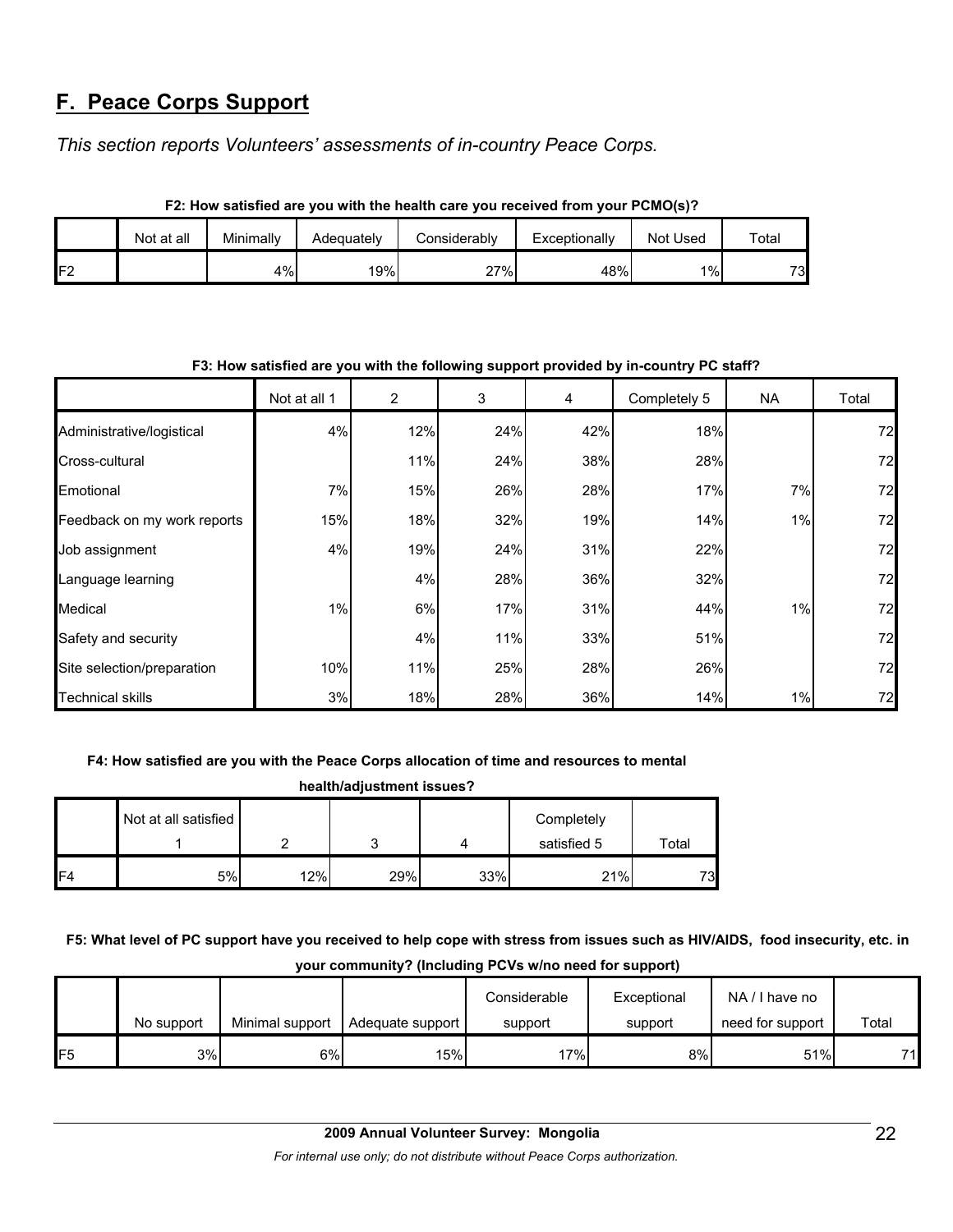# **F. Peace Corps Support**

*This section reports Volunteers' assessments of in-country Peace Corps.* 

| F2: How satisfied are you with the health care you received from your PCMO(s)? |            |           |            |              |               |                    |       |  |
|--------------------------------------------------------------------------------|------------|-----------|------------|--------------|---------------|--------------------|-------|--|
|                                                                                | Not at all | Minimally | Adequately | Considerably | Exceptionally | Not Used           | Total |  |
| F <sub>2</sub>                                                                 |            | 4%        | 19%        | 27%          | 48%           | $1\%$ <sub>1</sub> | 73    |  |

| F3: How satisfied are you with the following support provided by in-country PC staff? |              |     |     |     |              |     |       |  |
|---------------------------------------------------------------------------------------|--------------|-----|-----|-----|--------------|-----|-------|--|
|                                                                                       | Not at all 1 | 2   | 3   | 4   | Completely 5 | NA. | Total |  |
| Administrative/logistical                                                             | 4%           | 12% | 24% | 42% | 18%          |     | 72    |  |
| Cross-cultural                                                                        |              | 11% | 24% | 38% | 28%          |     | 72    |  |
| Emotional                                                                             | 7%           | 15% | 26% | 28% | 17%          | 7%  | 72    |  |
| Feedback on my work reports                                                           | 15%          | 18% | 32% | 19% | 14%          | 1%  | 72    |  |
| Job assignment                                                                        | 4%           | 19% | 24% | 31% | 22%          |     | 72    |  |
| Language learning                                                                     |              | 4%  | 28% | 36% | 32%          |     | 72    |  |
| Medical                                                                               | $1\%$        | 6%  | 17% | 31% | 44%          | 1%  | 72    |  |
| Safety and security                                                                   |              | 4%  | 11% | 33% | 51%          |     | 72    |  |
| Site selection/preparation                                                            | 10%          | 11% | 25% | 28% | 26%          |     | 72    |  |
| <b>Technical skills</b>                                                               | 3%           | 18% | 28% | 36% | 14%          | 1%  | 72    |  |

#### **F3: How satisfied are you with the following support provided by in-country PC staff?**

#### **F4: How satisfied are you with the Peace Corps allocation of time and resources to mental**

| health/adjustment issues? |                      |     |     |     |                           |       |  |
|---------------------------|----------------------|-----|-----|-----|---------------------------|-------|--|
|                           | Not at all satisfied | ົ   |     |     | Completely<br>satisfied 5 | Total |  |
| F <sub>4</sub>            | 5%                   | 12% | 29% | 33% | 21%                       | 73    |  |

**F5: What level of PC support have you received to help cope with stress from issues such as HIV/AIDS, food insecurity, etc. in your community? (Including PCVs w/no need for support)**

|     |            |                 |                  | Considerable | Exceptional | NA/I have no     |       |
|-----|------------|-----------------|------------------|--------------|-------------|------------------|-------|
|     | No support | Minimal support | Adequate support | support      | support     | need for support | Total |
| IF5 | 3%         | 6%              | 15%              | 17%          | 8%          | 51%              | 71    |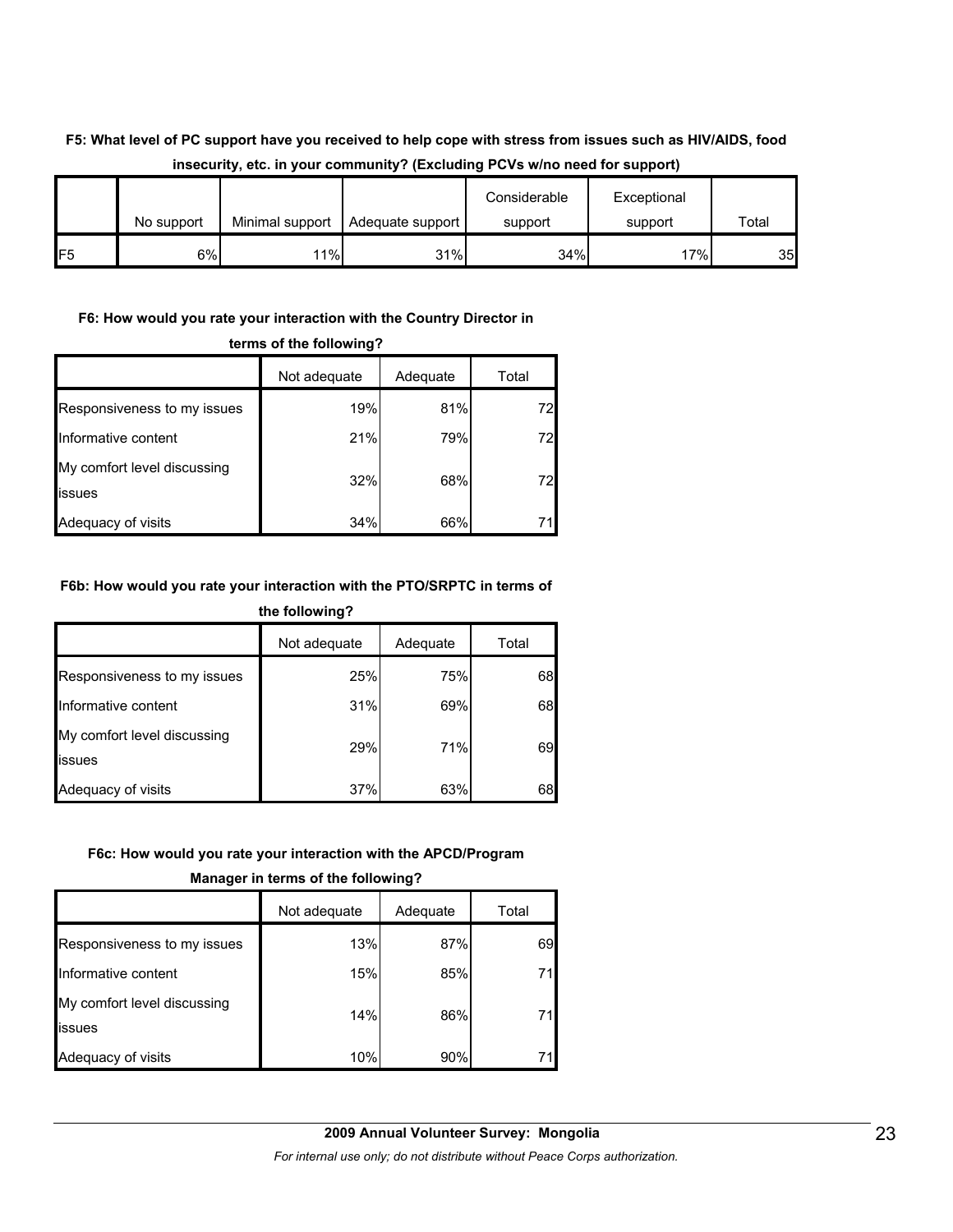#### **F5: What level of PC support have you received to help cope with stress from issues such as HIV/AIDS, food insecurity, etc. in your community? (Excluding PCVs w/no need for support)**

|                 | No support | Minimal support | Adequate support | Considerable<br>support | Exceptional<br>support | Total |
|-----------------|------------|-----------------|------------------|-------------------------|------------------------|-------|
| IF <sub>5</sub> | 6%l        | 11%             | 31%              | 34%                     | 17%                    | 35    |

#### **F6: How would you rate your interaction with the Country Director in**

|                                       | Not adequate | Adequate | Total |  |  |
|---------------------------------------|--------------|----------|-------|--|--|
| Responsiveness to my issues           | 19%          | 81%      | 72    |  |  |
| Informative content                   | 21%          | 79%      | 72    |  |  |
| My comfort level discussing<br>issues | 32%          | 68%      | 72    |  |  |
| Adequacy of visits                    | 34%          | 66%      |       |  |  |

#### **terms of the following?**

#### **F6b: How would you rate your interaction with the PTO/SRPTC in terms of the following?**

|                                       | Not adequate | Adequate | Total |
|---------------------------------------|--------------|----------|-------|
| Responsiveness to my issues           | 25%          | 75%      | 68    |
| Informative content                   | 31%          | 69%      | 68    |
| My comfort level discussing<br>issues | 29%          | 71%      | 69    |
| Adequacy of visits                    | 37%          | 63%      | 68    |

#### **F6c: How would you rate your interaction with the APCD/Program**

#### **Manager in terms of the following?**

|                                               | Not adequate | Adequate | Total |
|-----------------------------------------------|--------------|----------|-------|
| Responsiveness to my issues                   | 13%          | 87%      | 69    |
| Informative content                           | 15%          | 85%      |       |
| My comfort level discussing<br><b>lissues</b> | 14%          | 86%      |       |
| Adequacy of visits                            | 10%          | 90%      |       |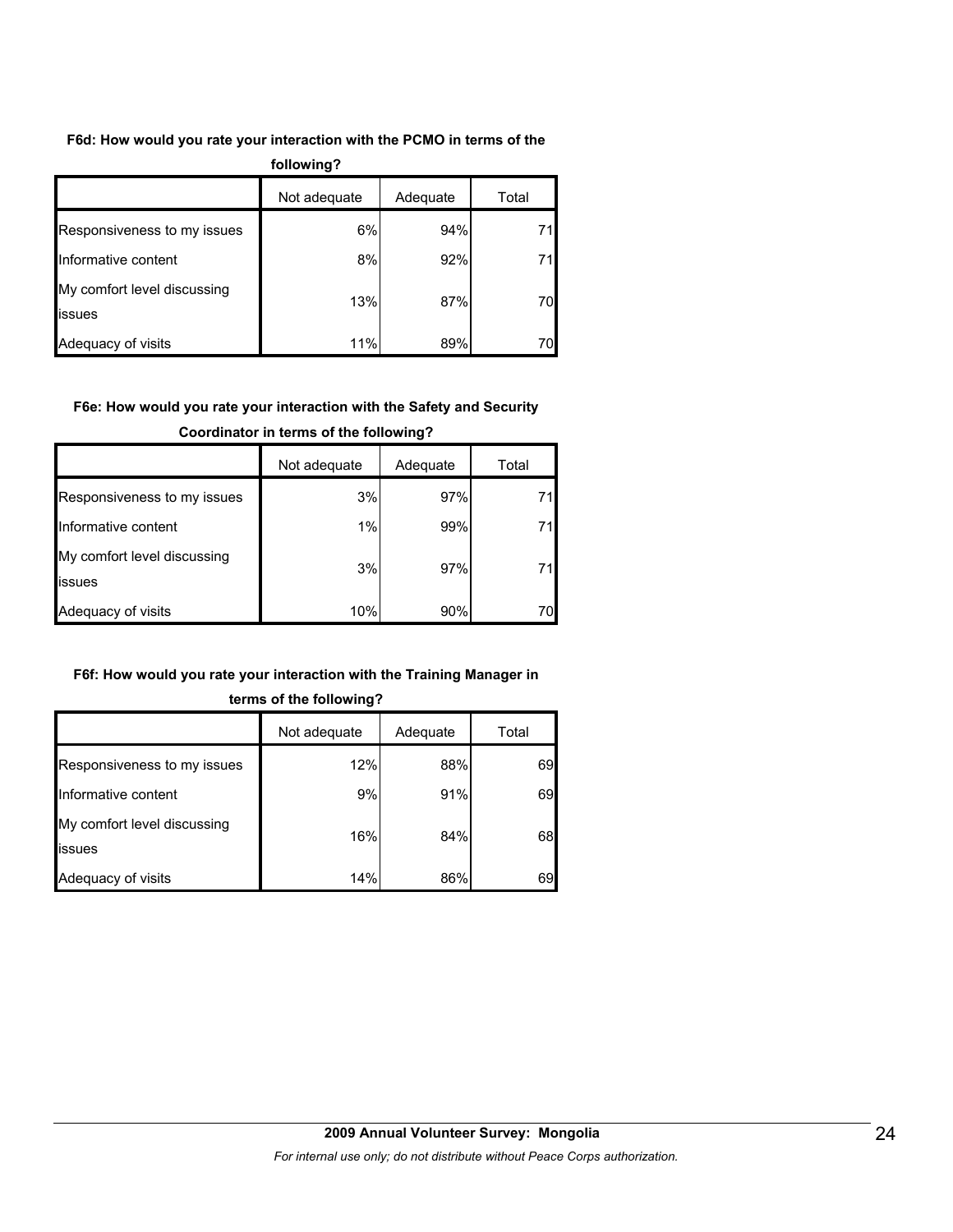#### **F6d: How would you rate your interaction with the PCMO in terms of the**

| following?                            |              |          |       |  |  |  |
|---------------------------------------|--------------|----------|-------|--|--|--|
|                                       | Not adequate | Adequate | Total |  |  |  |
| Responsiveness to my issues           | 6%           | 94%      | 71    |  |  |  |
| Informative content                   | 8%           | 92%      | 71    |  |  |  |
| My comfort level discussing<br>issues | 13%          | 87%      | 70    |  |  |  |
| Adequacy of visits                    | 11%          | 89%      | 70    |  |  |  |

#### **F6e: How would you rate your interaction with the Safety and Security**

|                                       | Not adequate | Adequate | Total |
|---------------------------------------|--------------|----------|-------|
| Responsiveness to my issues           | 3%           | 97%      |       |
| Informative content                   | 1%           | 99%      |       |
| My comfort level discussing<br>issues | 3%           | 97%      |       |
| Adequacy of visits                    | 10%          | 90%      | 70I   |

#### **Coordinator in terms of the following?**

#### **F6f: How would you rate your interaction with the Training Manager in**

|                                       | Not adequate | Adequate | Total |
|---------------------------------------|--------------|----------|-------|
| Responsiveness to my issues           | 12%          | 88%      | 69    |
| Informative content                   | 9%           | 91%      | 69    |
| My comfort level discussing<br>issues | 16%          | 84%      | 68    |
| Adequacy of visits                    | 14%          | 86%      | 69    |

#### **terms of the following?**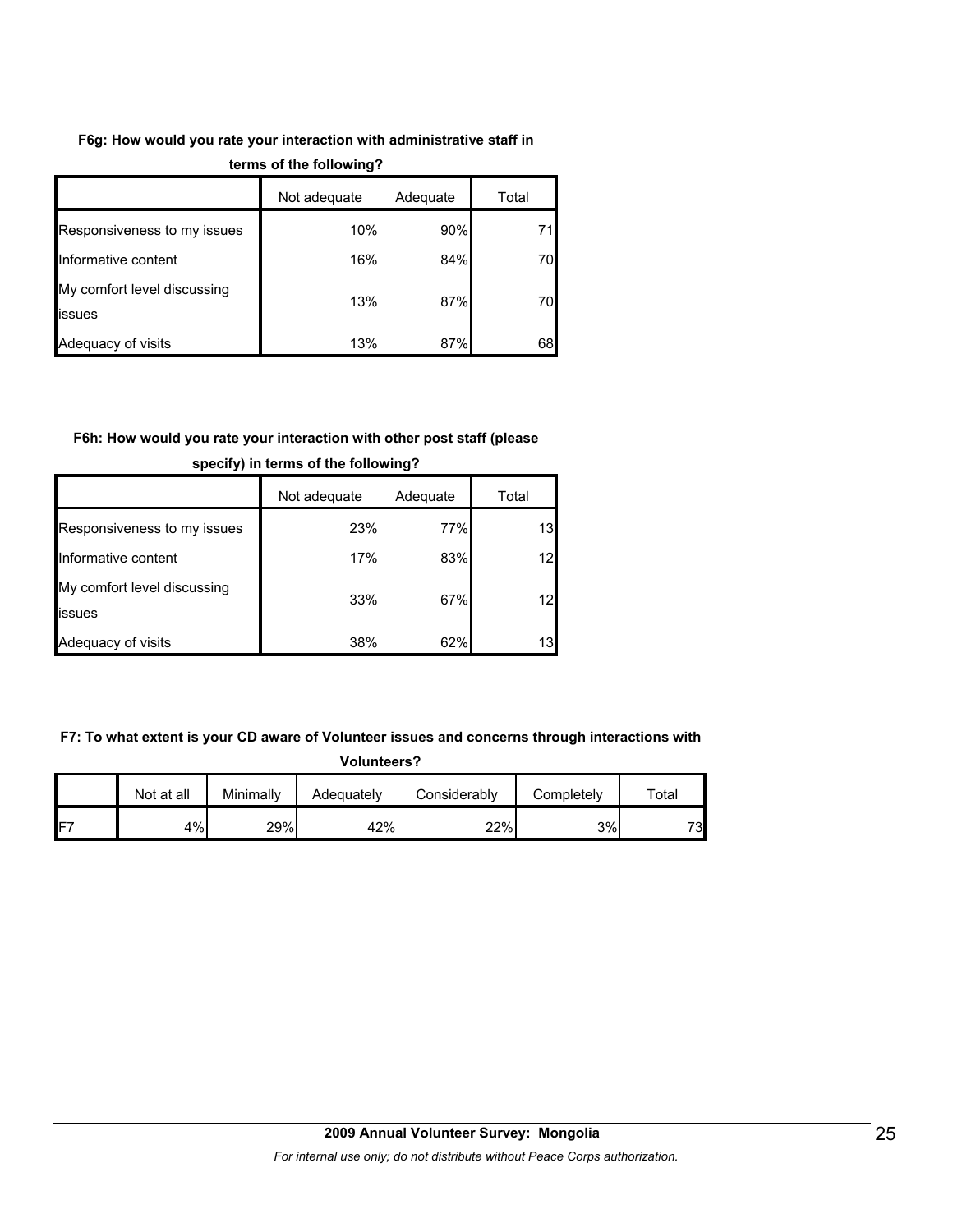#### **F6g: How would you rate your interaction with administrative staff in**

|                                              | Not adequate | Adequate | Total |
|----------------------------------------------|--------------|----------|-------|
| Responsiveness to my issues                  | 10%          | 90%      | 71    |
| Informative content                          | 16%          | 84%      | 70    |
| My comfort level discussing<br><b>issues</b> | 13%          | 87%      | 70    |
| Adequacy of visits                           | 13%          | 87%      | 68    |

#### **terms of the following?**

#### **F6h: How would you rate your interaction with other post staff (please**

|                                       | Not adequate | Adequate | Total |
|---------------------------------------|--------------|----------|-------|
| Responsiveness to my issues           | 23%          | 77%      | 13    |
| Informative content                   | 17%          | 83%      | 12    |
| My comfort level discussing<br>issues | 33%          | 67%      | 12    |
| Adequacy of visits                    | 38%          | 62%      | 13    |

#### **specify) in terms of the following?**

#### **F7: To what extent is your CD aware of Volunteer issues and concerns through interactions with**

| <b>Volunteers?</b> |  |
|--------------------|--|
|                    |  |

|                 | Not at all | Minimally | Adequately | Considerablv | Completelv | $\tau$ otal |
|-----------------|------------|-----------|------------|--------------|------------|-------------|
| IF <sub>7</sub> | 4%         | 29%       | 42%        | 22%          | 3%         | 73          |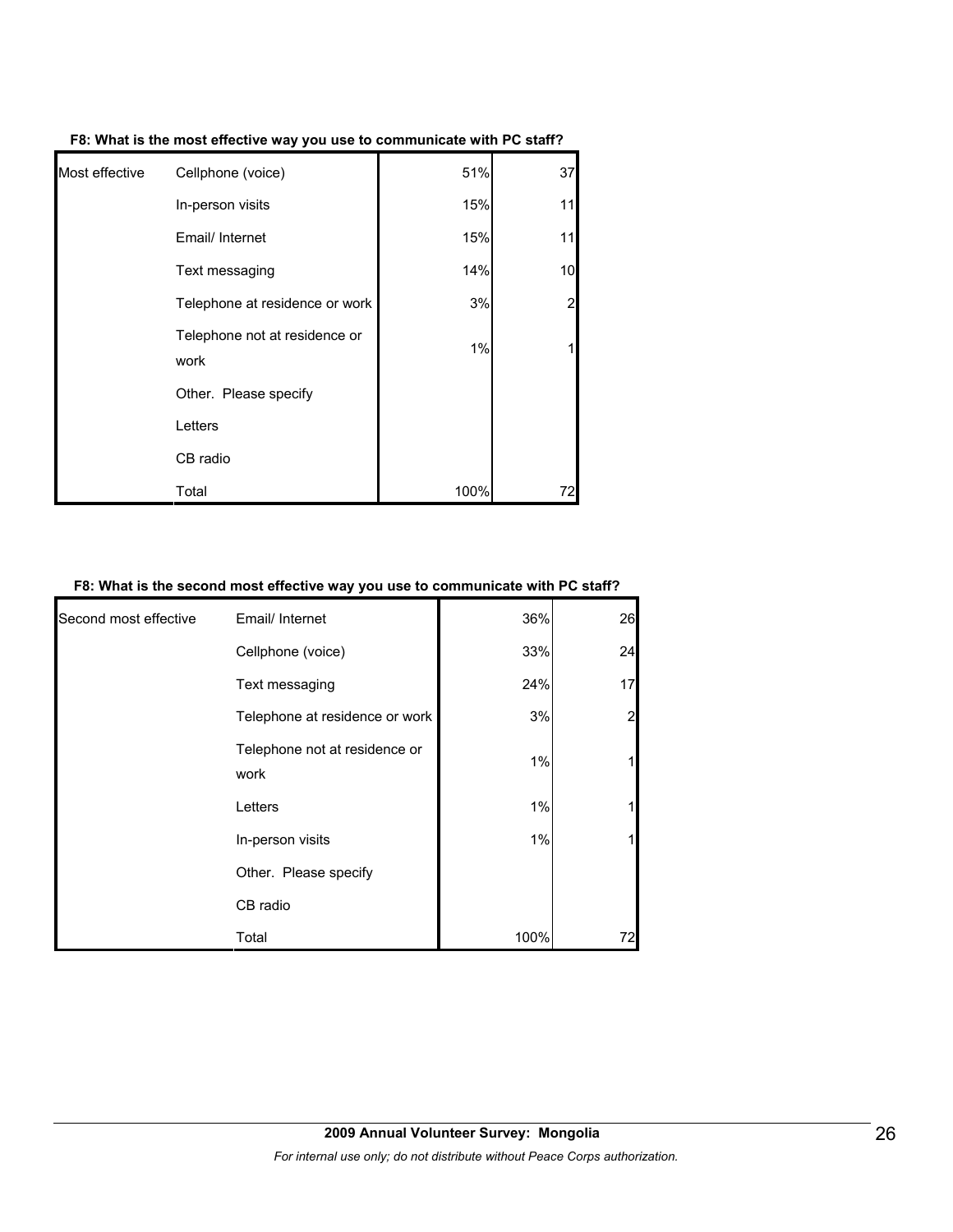| Most effective | Cellphone (voice)                     | 51%  | 37             |
|----------------|---------------------------------------|------|----------------|
|                | In-person visits                      | 15%  | 11             |
|                | Email/ Internet                       | 15%  | 11             |
|                | Text messaging                        | 14%  | 10             |
|                | Telephone at residence or work        | 3%   | $\overline{2}$ |
|                | Telephone not at residence or<br>work | 1%   |                |
|                | Other. Please specify                 |      |                |
|                | Letters                               |      |                |
|                | CB radio                              |      |                |
|                | Total                                 | 100% | 72             |

**F8: What is the most effective way you use to communicate with PC staff?**

#### **F8: What is the second most effective way you use to communicate with PC staff?**

| Second most effective | Email/ Internet                       | 36%  | 26 |
|-----------------------|---------------------------------------|------|----|
|                       | Cellphone (voice)                     | 33%  | 24 |
|                       | Text messaging                        | 24%  | 17 |
|                       | Telephone at residence or work        | 3%   |    |
|                       | Telephone not at residence or<br>work | 1%   |    |
|                       | Letters                               | 1%   |    |
|                       | In-person visits                      | 1%   |    |
|                       | Other. Please specify                 |      |    |
|                       | CB radio                              |      |    |
|                       | Total                                 | 100% |    |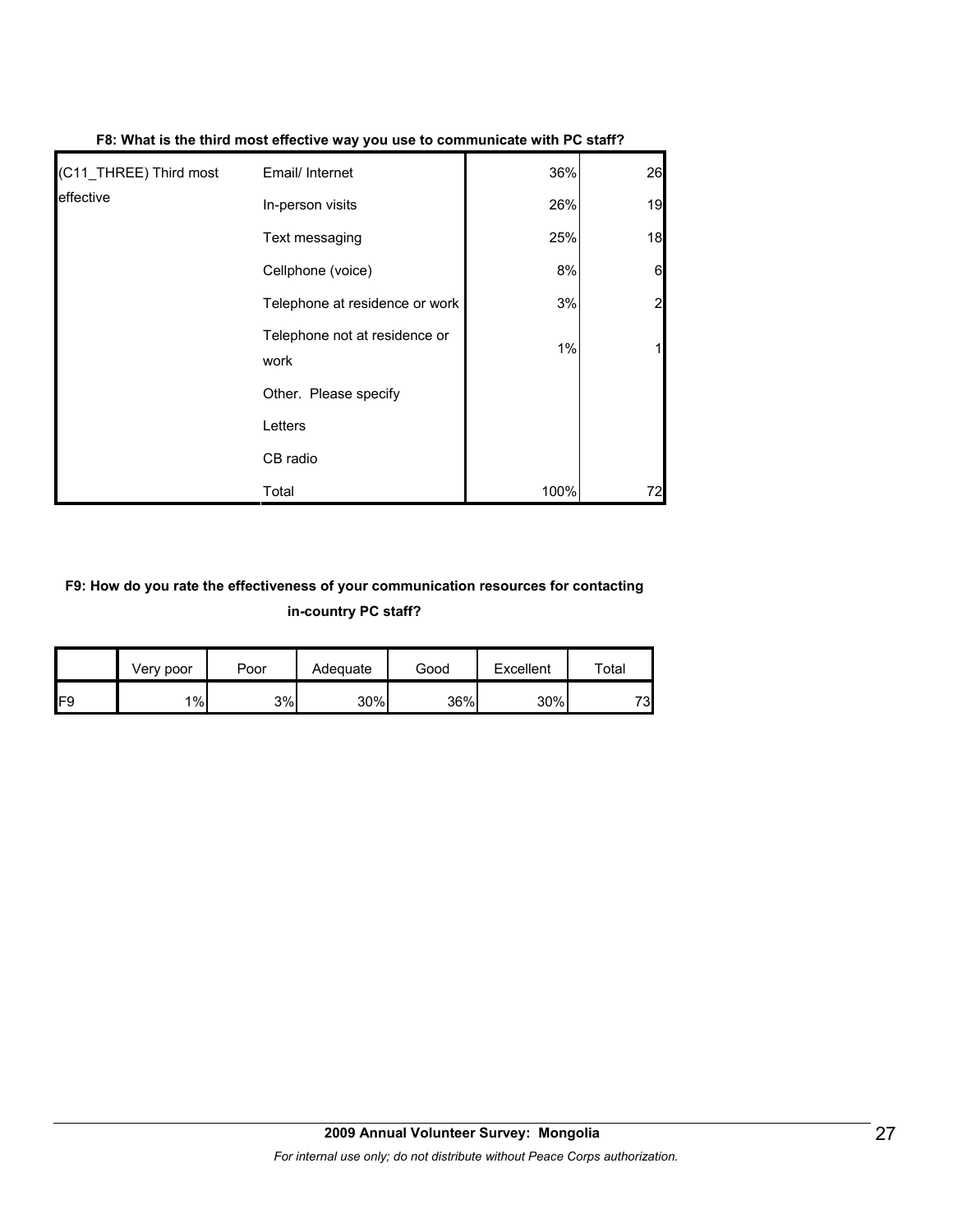| (C11 THREE) Third most | Email/ Internet                       | 36%  | 26 |
|------------------------|---------------------------------------|------|----|
| leffective             | In-person visits                      | 26%  | 19 |
|                        | Text messaging                        | 25%  | 18 |
|                        | Cellphone (voice)                     | 8%   | 6  |
|                        | Telephone at residence or work        | 3%   | 2  |
|                        | Telephone not at residence or<br>work | 1%   |    |
|                        | Other. Please specify                 |      |    |
|                        | Letters                               |      |    |
|                        | CB radio                              |      |    |
|                        | Total                                 | 100% | 72 |

#### **F8: What is the third most effective way you use to communicate with PC staff?**

#### **F9: How do you rate the effectiveness of your communication resources for contacting in-country PC staff?**

|                 | Very poor | Poor | Adequate | Good | Excellent | Total |
|-----------------|-----------|------|----------|------|-----------|-------|
| IF <sub>9</sub> | 1%        | 3%   | 30%      | 36%  | 30%       | 73    |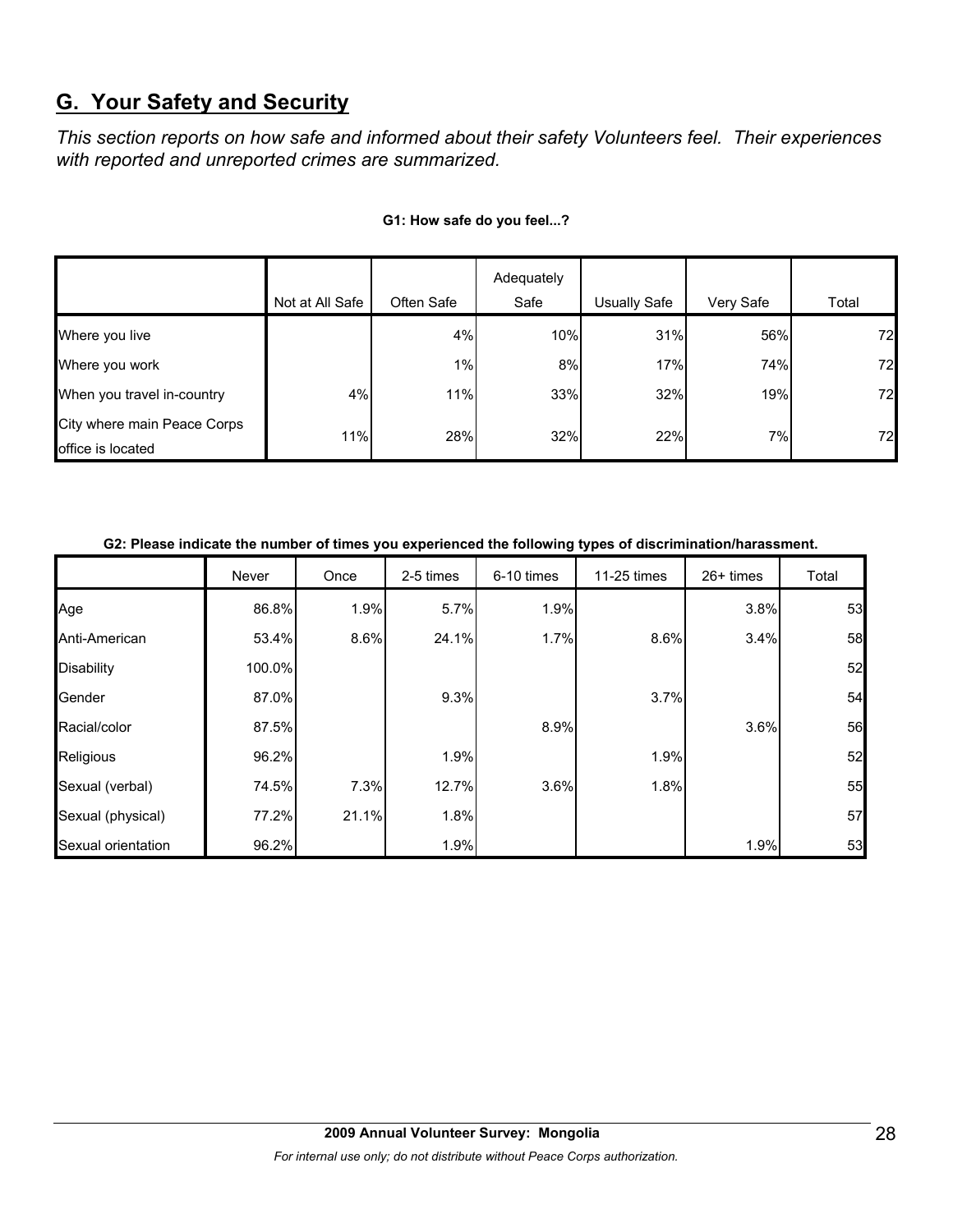# **G. Your Safety and Security**

*This section reports on how safe and informed about their safety Volunteers feel. Their experiences with reported and unreported crimes are summarized.* 

|                                                  |                 |            | Adequately |              |           |       |
|--------------------------------------------------|-----------------|------------|------------|--------------|-----------|-------|
|                                                  | Not at All Safe | Often Safe | Safe       | Usually Safe | Very Safe | Total |
| Where you live                                   |                 | 4%         | 10%        | 31%          | 56%       | 72    |
| Where you work                                   |                 | $1\%$      | 8%         | 17%          | 74%       | 72    |
| When you travel in-country                       | 4%              | 11%        | 33%        | 32%          | 19%       | 72    |
| City where main Peace Corps<br>office is located | 11%             | 28%        | 32%        | 22%          | 7%        | 72    |

#### **G1: How safe do you feel...?**

#### **G2: Please indicate the number of times you experienced the following types of discrimination/harassment.**

|                    | Never  | Once  | 2-5 times | 6-10 times | 11-25 times | $26+$ times | Total |
|--------------------|--------|-------|-----------|------------|-------------|-------------|-------|
| Age                | 86.8%  | 1.9%  | 5.7%      | 1.9%       |             | 3.8%        | 53    |
| Anti-American      | 53.4%  | 8.6%  | 24.1%     | 1.7%       | 8.6%        | 3.4%        | 58    |
| <b>Disability</b>  | 100.0% |       |           |            |             |             | 52    |
| Gender             | 87.0%  |       | 9.3%      |            | 3.7%        |             | 54    |
| Racial/color       | 87.5%  |       |           | 8.9%       |             | 3.6%        | 56    |
| Religious          | 96.2%  |       | 1.9%      |            | 1.9%        |             | 52    |
| Sexual (verbal)    | 74.5%  | 7.3%  | 12.7%     | 3.6%       | 1.8%        |             | 55    |
| Sexual (physical)  | 77.2%  | 21.1% | 1.8%      |            |             |             | 57    |
| Sexual orientation | 96.2%  |       | 1.9%      |            |             | 1.9%        | 53    |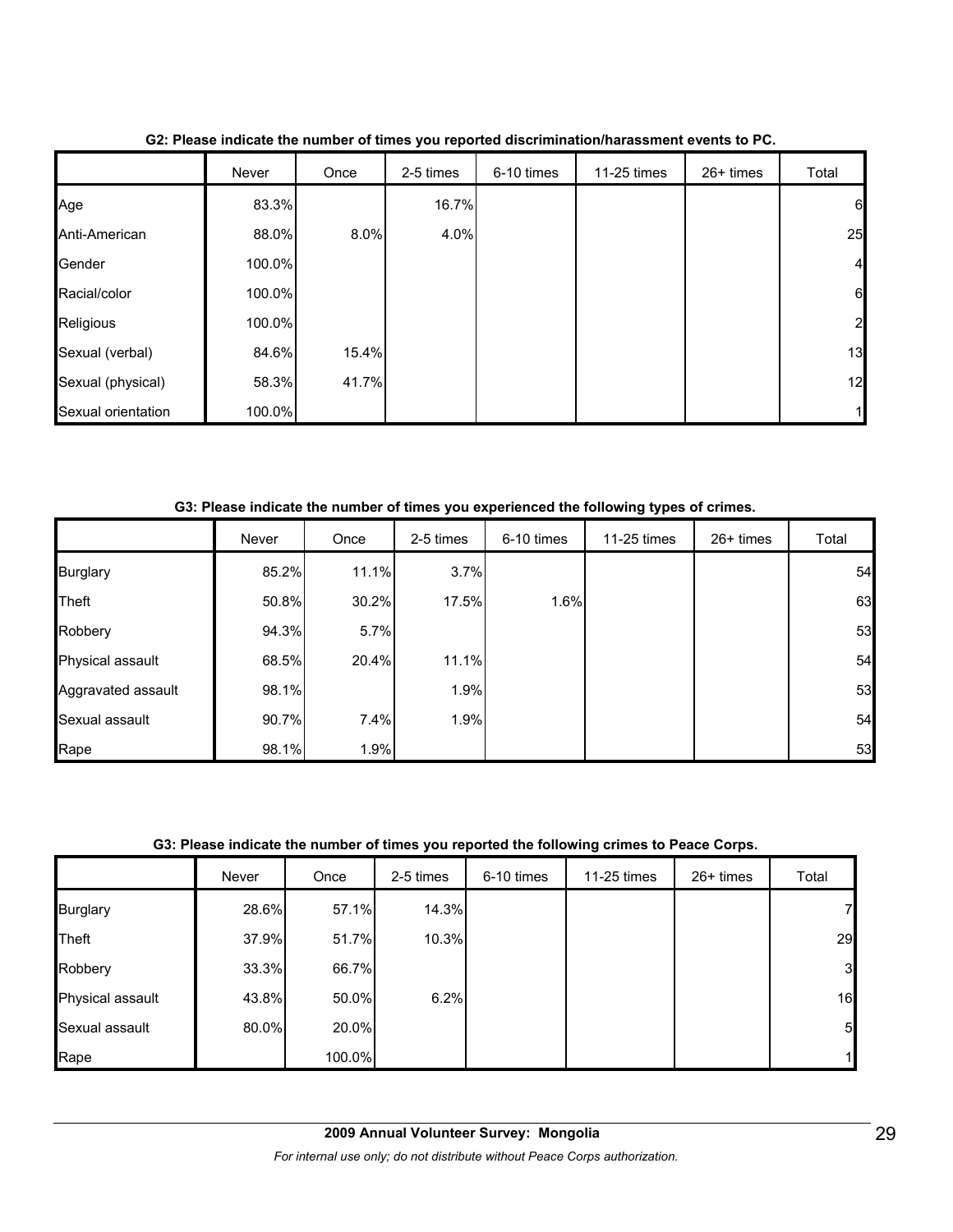|                    | Never  | Once  | 2-5 times | 6-10 times | 11-25 times | 26+ times | Total          |
|--------------------|--------|-------|-----------|------------|-------------|-----------|----------------|
| Age                | 83.3%  |       | 16.7%     |            |             |           | 6              |
| Anti-American      | 88.0%  | 8.0%  | 4.0%      |            |             |           | 25             |
| Gender             | 100.0% |       |           |            |             |           | $\overline{a}$ |
| Racial/color       | 100.0% |       |           |            |             |           | 6              |
| Religious          | 100.0% |       |           |            |             |           | 2              |
| Sexual (verbal)    | 84.6%  | 15.4% |           |            |             |           | 13             |
| Sexual (physical)  | 58.3%  | 41.7% |           |            |             |           | 12             |
| Sexual orientation | 100.0% |       |           |            |             |           |                |

**G2: Please indicate the number of times you reported discrimination/harassment events to PC.**

**G3: Please indicate the number of times you experienced the following types of crimes.**

|                    | Never | Once  | 2-5 times | 6-10 times | 11-25 times | $26+$ times | Total |
|--------------------|-------|-------|-----------|------------|-------------|-------------|-------|
| <b>Burglary</b>    | 85.2% | 11.1% | 3.7%      |            |             |             | 54    |
| Theft              | 50.8% | 30.2% | 17.5%     | 1.6%       |             |             | 63    |
| Robbery            | 94.3% | 5.7%  |           |            |             |             | 53    |
| Physical assault   | 68.5% | 20.4% | 11.1%     |            |             |             | 54    |
| Aggravated assault | 98.1% |       | 1.9%      |            |             |             | 53    |
| Sexual assault     | 90.7% | 7.4%  | 1.9%      |            |             |             | 54    |
| Rape               | 98.1% | 1.9%  |           |            |             |             | 53    |

#### **G3: Please indicate the number of times you reported the following crimes to Peace Corps.**

|                  | Never | Once   | 2-5 times | 6-10 times | 11-25 times | 26+ times | Total        |
|------------------|-------|--------|-----------|------------|-------------|-----------|--------------|
| <b>Burglary</b>  | 28.6% | 57.1%  | 14.3%     |            |             |           | 7            |
| Theft            | 37.9% | 51.7%  | 10.3%     |            |             |           | 29           |
| Robbery          | 33.3% | 66.7%  |           |            |             |           | $\mathbf{3}$ |
| Physical assault | 43.8% | 50.0%  | 6.2%      |            |             |           | 16           |
| Sexual assault   | 80.0% | 20.0%  |           |            |             |           | 5            |
| Rape             |       | 100.0% |           |            |             |           | 1            |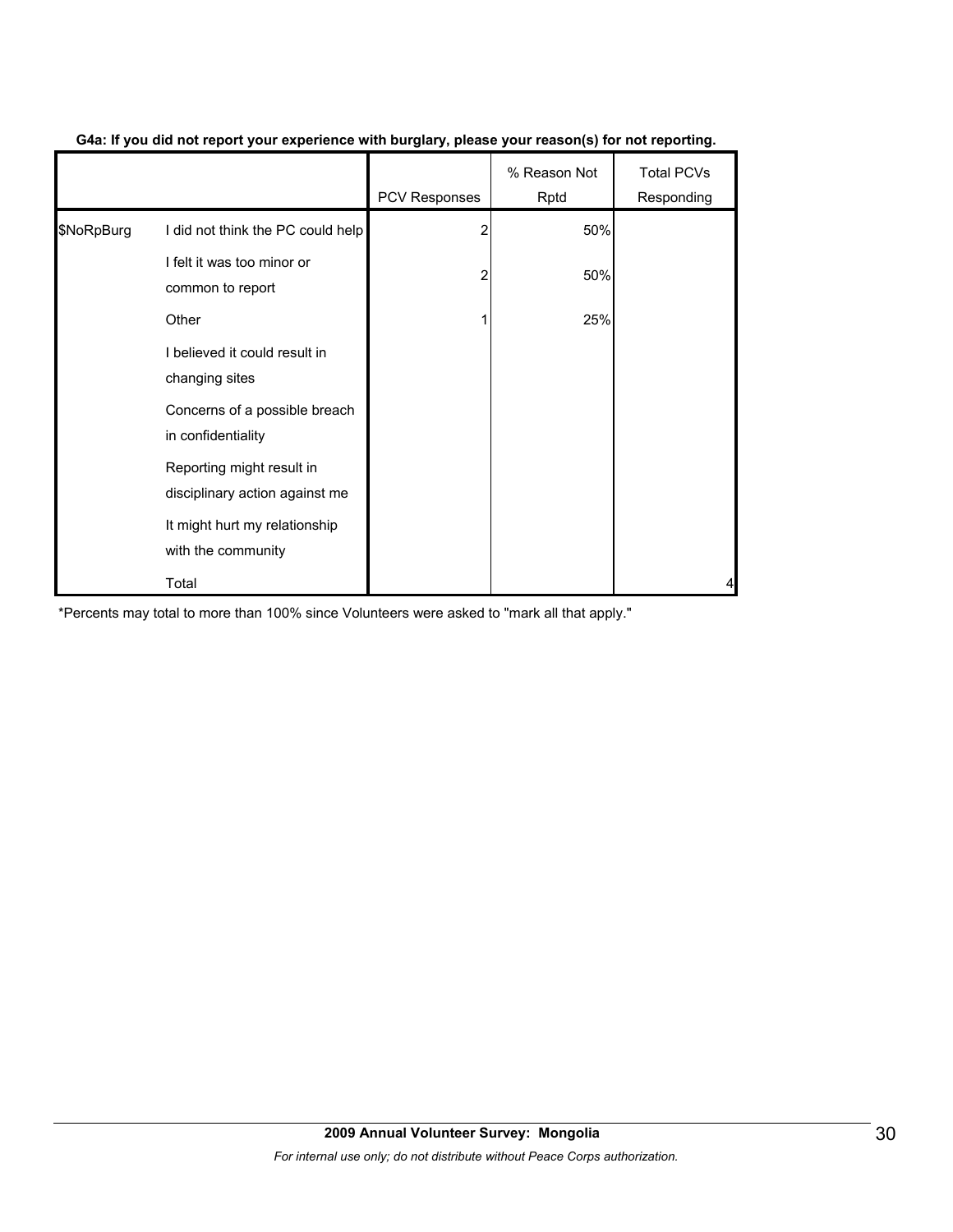|            |                                                             | <b>PCV Responses</b> | % Reason Not<br>Rptd | <b>Total PCVs</b><br>Responding |
|------------|-------------------------------------------------------------|----------------------|----------------------|---------------------------------|
| \$NoRpBurg | I did not think the PC could help                           |                      | 50%                  |                                 |
|            | I felt it was too minor or<br>common to report              | 2                    | 50%                  |                                 |
| Other      |                                                             |                      | 25%                  |                                 |
|            | I believed it could result in<br>changing sites             |                      |                      |                                 |
|            | Concerns of a possible breach<br>in confidentiality         |                      |                      |                                 |
|            | Reporting might result in<br>disciplinary action against me |                      |                      |                                 |
|            | It might hurt my relationship<br>with the community         |                      |                      |                                 |
|            | Total                                                       |                      |                      |                                 |

#### **G4a: If you did not report your experience with burglary, please your reason(s) for not reporting.**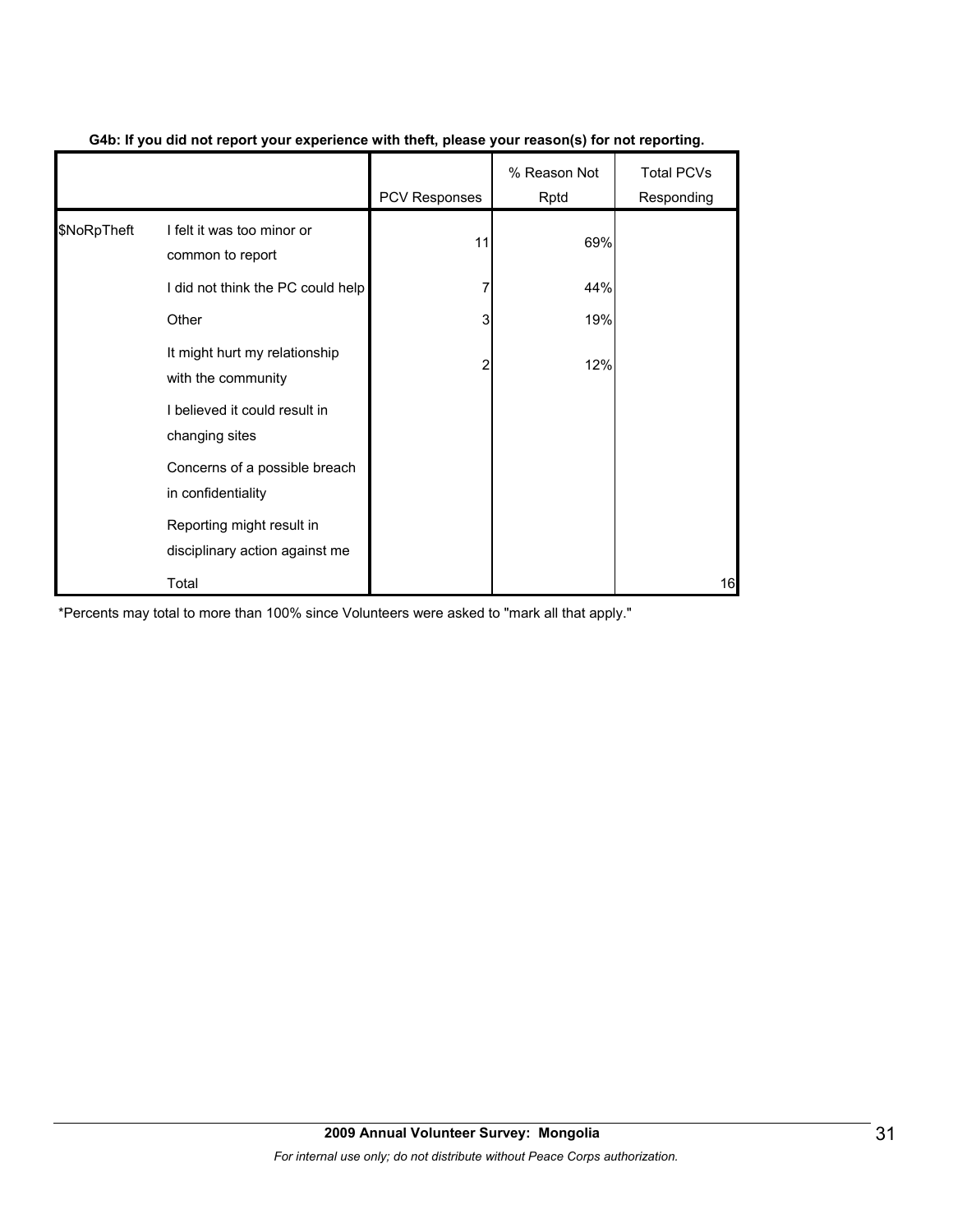|             |                                                             | <b>PCV Responses</b> | % Reason Not<br>Rptd | <b>Total PCVs</b><br>Responding |
|-------------|-------------------------------------------------------------|----------------------|----------------------|---------------------------------|
| \$NoRpTheft | I felt it was too minor or<br>common to report              | 11                   | 69%                  |                                 |
|             | I did not think the PC could help                           |                      | 44%                  |                                 |
|             | Other                                                       | 3                    | 19%                  |                                 |
|             | It might hurt my relationship<br>with the community         | 2                    | 12%                  |                                 |
|             | I believed it could result in<br>changing sites             |                      |                      |                                 |
|             | Concerns of a possible breach<br>in confidentiality         |                      |                      |                                 |
|             | Reporting might result in<br>disciplinary action against me |                      |                      |                                 |
|             | Total                                                       |                      |                      | 16                              |

#### **G4b: If you did not report your experience with theft, please your reason(s) for not reporting.**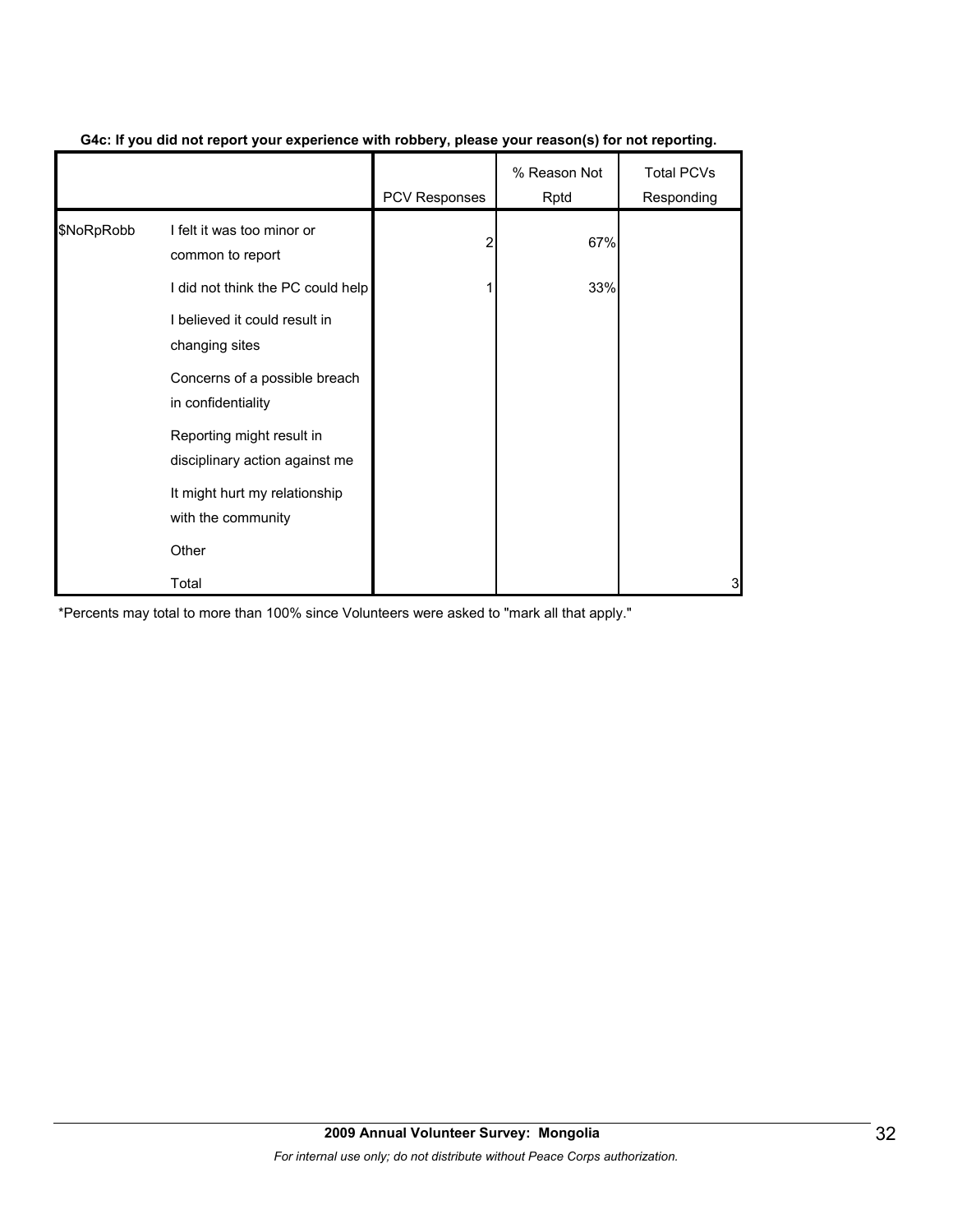|            |                                                             | <b>PCV Responses</b> | % Reason Not<br>Rptd | <b>Total PCVs</b><br>Responding |
|------------|-------------------------------------------------------------|----------------------|----------------------|---------------------------------|
| \$NoRpRobb | I felt it was too minor or<br>common to report              | 2                    | 67%                  |                                 |
|            | I did not think the PC could help                           |                      | 33%                  |                                 |
|            | I believed it could result in<br>changing sites             |                      |                      |                                 |
|            | Concerns of a possible breach<br>in confidentiality         |                      |                      |                                 |
|            | Reporting might result in<br>disciplinary action against me |                      |                      |                                 |
|            | It might hurt my relationship<br>with the community         |                      |                      |                                 |
|            | Other                                                       |                      |                      |                                 |
|            | Total                                                       |                      |                      | 3                               |

#### **G4c: If you did not report your experience with robbery, please your reason(s) for not reporting.**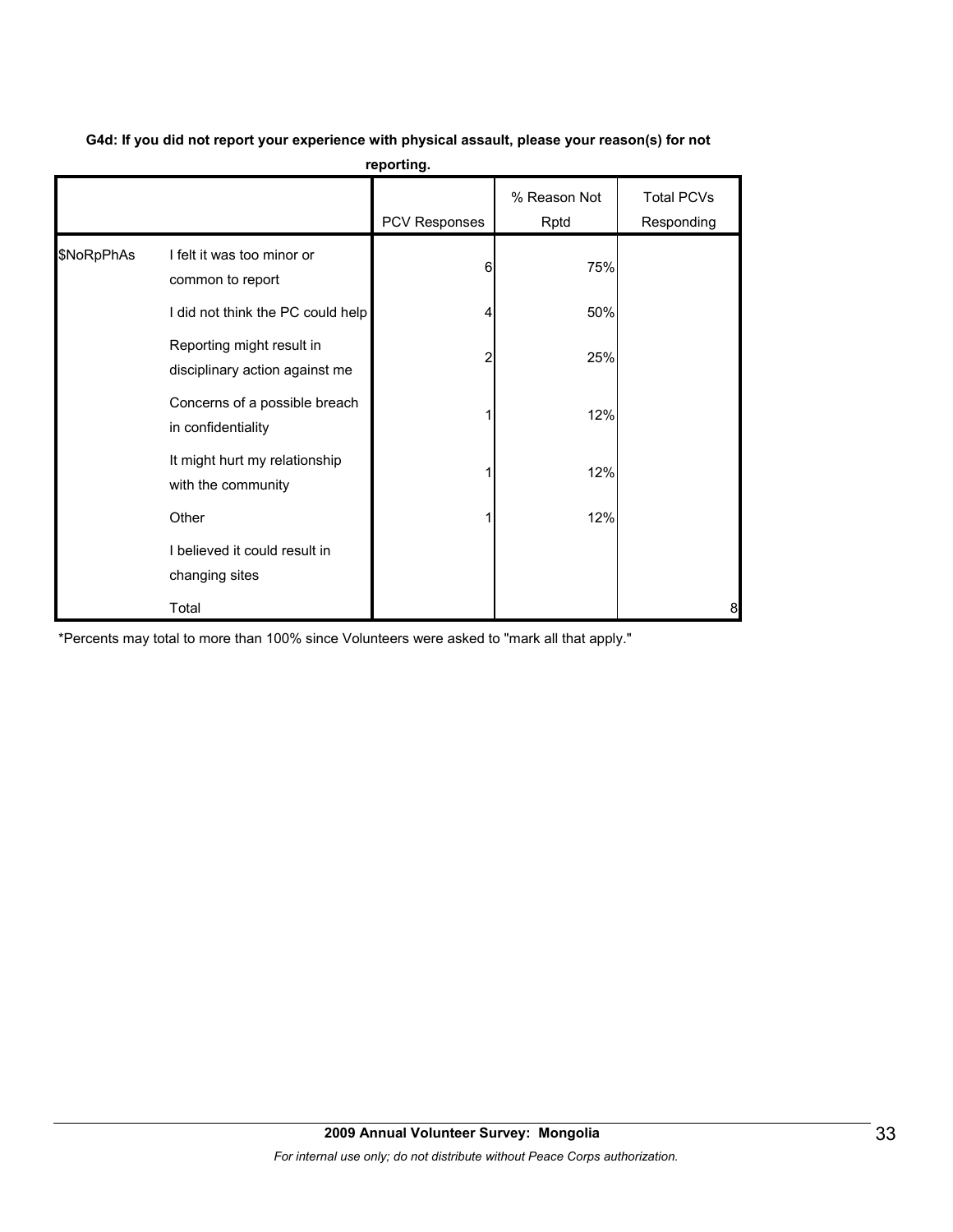|            |                                                             | reporting.    |                      |                                 |
|------------|-------------------------------------------------------------|---------------|----------------------|---------------------------------|
|            |                                                             | PCV Responses | % Reason Not<br>Rptd | <b>Total PCVs</b><br>Responding |
| \$NoRpPhAs | I felt it was too minor or<br>common to report              | 6             | 75%                  |                                 |
|            | I did not think the PC could help                           |               | 50%                  |                                 |
|            | Reporting might result in<br>disciplinary action against me | 2             | 25%                  |                                 |
|            | Concerns of a possible breach<br>in confidentiality         |               | 12%                  |                                 |
|            | It might hurt my relationship<br>with the community         |               | 12%                  |                                 |
|            | Other                                                       |               | 12%                  |                                 |
|            | I believed it could result in<br>changing sites             |               |                      |                                 |
|            | Total                                                       |               |                      | 8                               |

**G4d: If you did not report your experience with physical assault, please your reason(s) for not reporting.**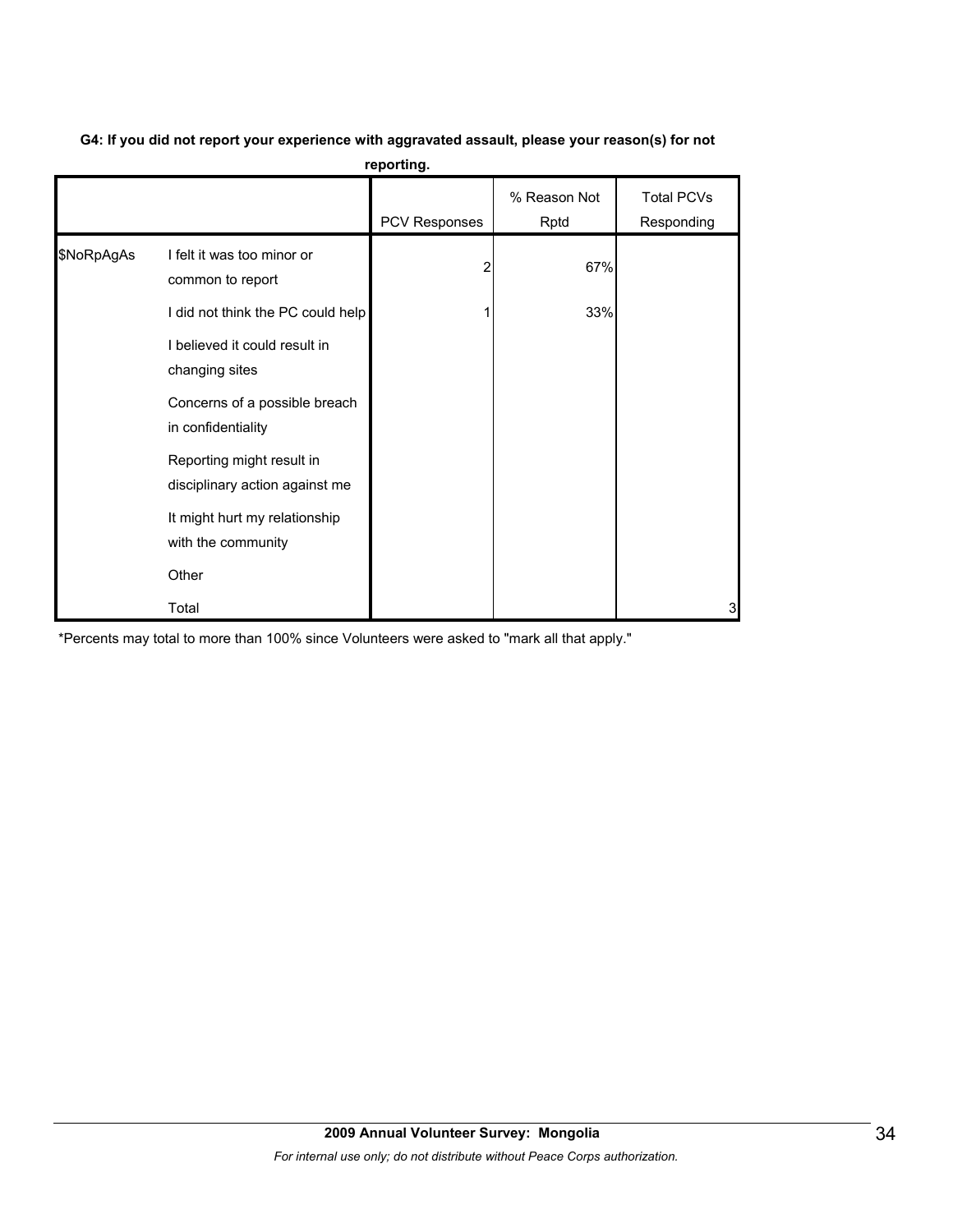|            |                                                             | reporting.           |                      |                          |
|------------|-------------------------------------------------------------|----------------------|----------------------|--------------------------|
|            |                                                             | <b>PCV Responses</b> | % Reason Not<br>Rptd | Total PCVs<br>Responding |
| \$NoRpAgAs | I felt it was too minor or<br>common to report              |                      | 67%                  |                          |
|            | I did not think the PC could help                           |                      | 33%                  |                          |
|            | I believed it could result in<br>changing sites             |                      |                      |                          |
|            | Concerns of a possible breach<br>in confidentiality         |                      |                      |                          |
|            | Reporting might result in<br>disciplinary action against me |                      |                      |                          |
|            | It might hurt my relationship<br>with the community         |                      |                      |                          |
|            | Other                                                       |                      |                      |                          |
|            | Total                                                       |                      |                      | 3                        |

#### **G4: If you did not report your experience with aggravated assault, please your reason(s) for not reporting.**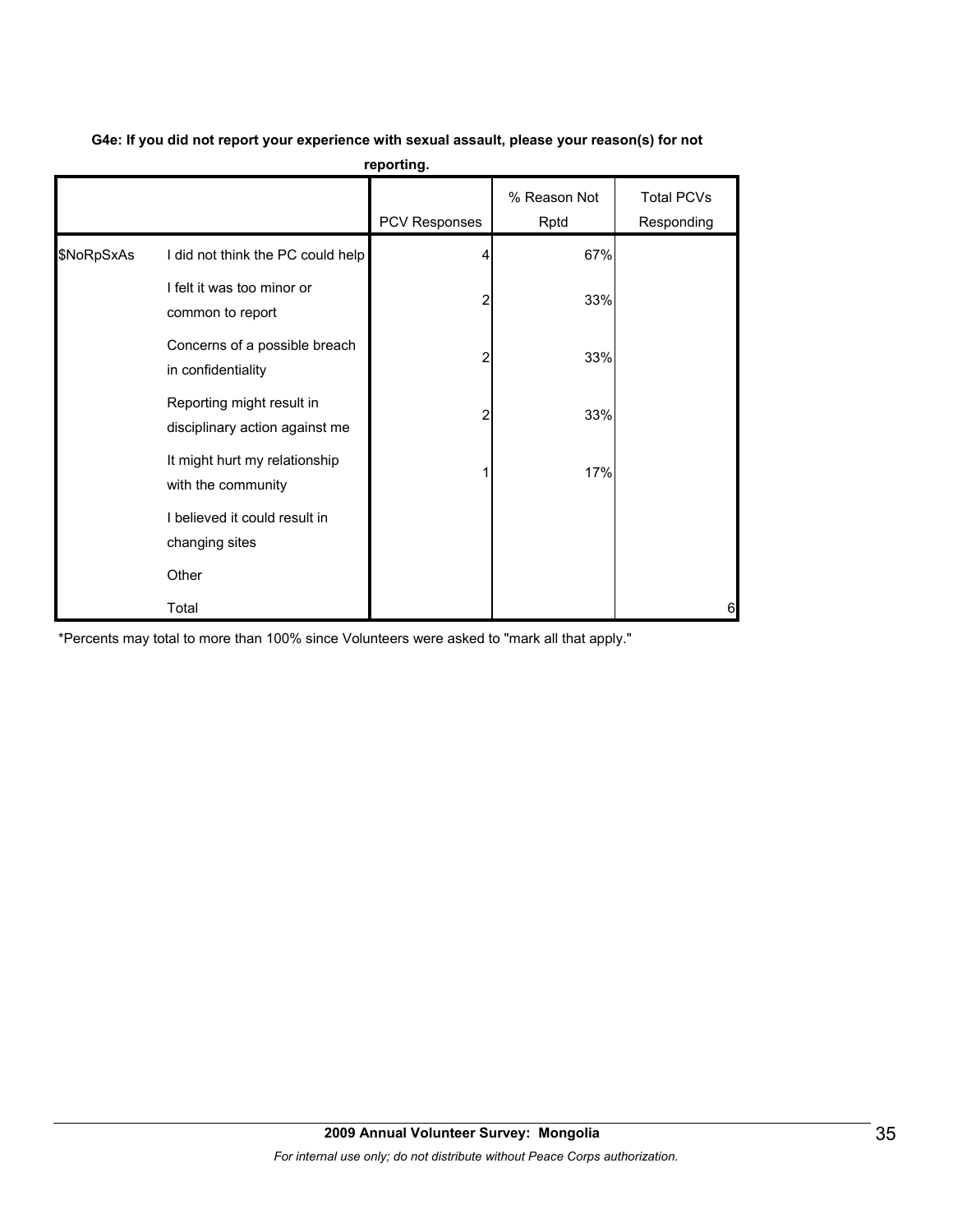|            | reporting.                                                  |               |                      |                                 |  |  |  |  |
|------------|-------------------------------------------------------------|---------------|----------------------|---------------------------------|--|--|--|--|
|            |                                                             | PCV Responses | % Reason Not<br>Rptd | <b>Total PCVs</b><br>Responding |  |  |  |  |
| \$NoRpSxAs | I did not think the PC could help                           |               | 67%                  |                                 |  |  |  |  |
|            | I felt it was too minor or<br>common to report              | 2             | 33%                  |                                 |  |  |  |  |
|            | Concerns of a possible breach<br>in confidentiality         | 2             | 33%                  |                                 |  |  |  |  |
|            | Reporting might result in<br>disciplinary action against me | 2             | 33%                  |                                 |  |  |  |  |
|            | It might hurt my relationship<br>with the community         |               | 17%                  |                                 |  |  |  |  |
|            | I believed it could result in<br>changing sites             |               |                      |                                 |  |  |  |  |
|            | Other                                                       |               |                      |                                 |  |  |  |  |
|            | Total                                                       |               |                      | 6                               |  |  |  |  |

#### **G4e: If you did not report your experience with sexual assault, please your reason(s) for not**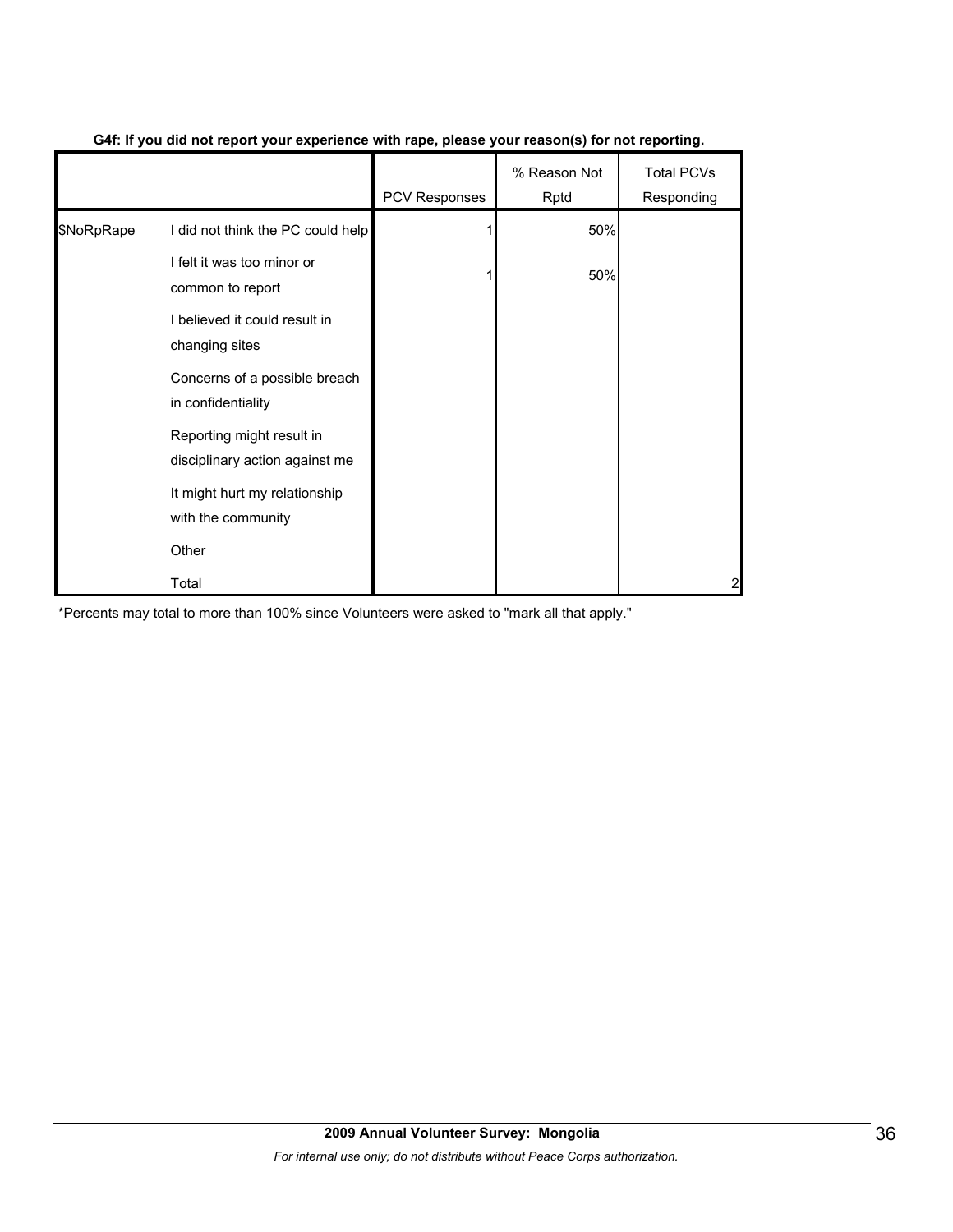|            |                                                             | <b>PCV Responses</b> | % Reason Not<br>Rptd | <b>Total PCVs</b><br>Responding |
|------------|-------------------------------------------------------------|----------------------|----------------------|---------------------------------|
| \$NoRpRape | I did not think the PC could help                           |                      | 50%                  |                                 |
|            | I felt it was too minor or<br>common to report              |                      | 50%                  |                                 |
|            | I believed it could result in<br>changing sites             |                      |                      |                                 |
|            | Concerns of a possible breach<br>in confidentiality         |                      |                      |                                 |
|            | Reporting might result in<br>disciplinary action against me |                      |                      |                                 |
|            | It might hurt my relationship<br>with the community         |                      |                      |                                 |
|            | Other                                                       |                      |                      |                                 |
|            | Total                                                       |                      |                      | 2                               |

#### **G4f: If you did not report your experience with rape, please your reason(s) for not reporting.**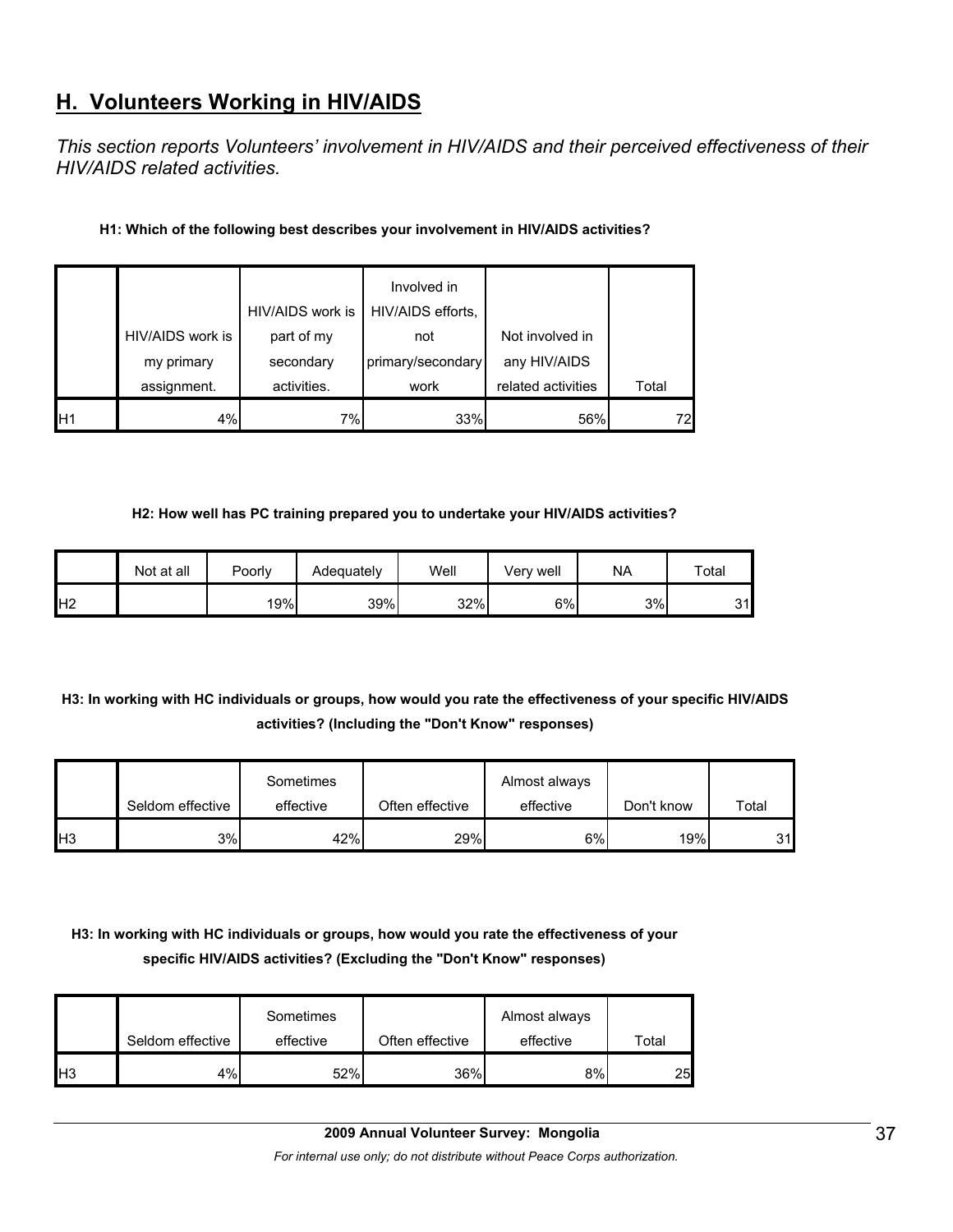# **H. Volunteers Working in HIV/AIDS**

*This section reports Volunteers' involvement in HIV/AIDS and their perceived effectiveness of their HIV/AIDS related activities.* 

#### **H1: Which of the following best describes your involvement in HIV/AIDS activities?**

|                 |                                | HIV/AIDS work is        | Involved in<br>HIV/AIDS efforts, |                                 |       |
|-----------------|--------------------------------|-------------------------|----------------------------------|---------------------------------|-------|
|                 | HIV/AIDS work is<br>my primary | part of my<br>secondary | not<br>primary/secondary         | Not involved in<br>any HIV/AIDS |       |
|                 | assignment.                    | activities.             | work                             | related activities              | Total |
| IH <sub>1</sub> | 4%                             | 7%                      | 33%                              | 56%                             | 72    |

#### **H2: How well has PC training prepared you to undertake your HIV/AIDS activities?**

|                | Not at all | Poorly | Adequately | Well | Verv well | NA | $\tau$ otal |
|----------------|------------|--------|------------|------|-----------|----|-------------|
| H <sub>2</sub> |            | 19%    | 39%        | 32%  | 6%        | 3% | 31          |

#### **H3: In working with HC individuals or groups, how would you rate the effectiveness of your specific HIV/AIDS activities? (Including the "Don't Know" responses)**

|                 |                  | Sometimes |                 | Almost always |                  |       |
|-----------------|------------------|-----------|-----------------|---------------|------------------|-------|
|                 | Seldom effective | effective | Often effective | effective     | Don't know       | Total |
| IH <sub>3</sub> | 3%I              | 42%       | 29%             | 6%l           | 19% <sub>L</sub> | 31    |

#### **H3: In working with HC individuals or groups, how would you rate the effectiveness of your specific HIV/AIDS activities? (Excluding the "Don't Know" responses)**

|                | Seldom effective | Sometimes<br>effective | Often effective | Almost always<br>effective | Total |
|----------------|------------------|------------------------|-----------------|----------------------------|-------|
| H <sub>3</sub> | 4%               | 52%                    | 36%             | 8%                         | 25    |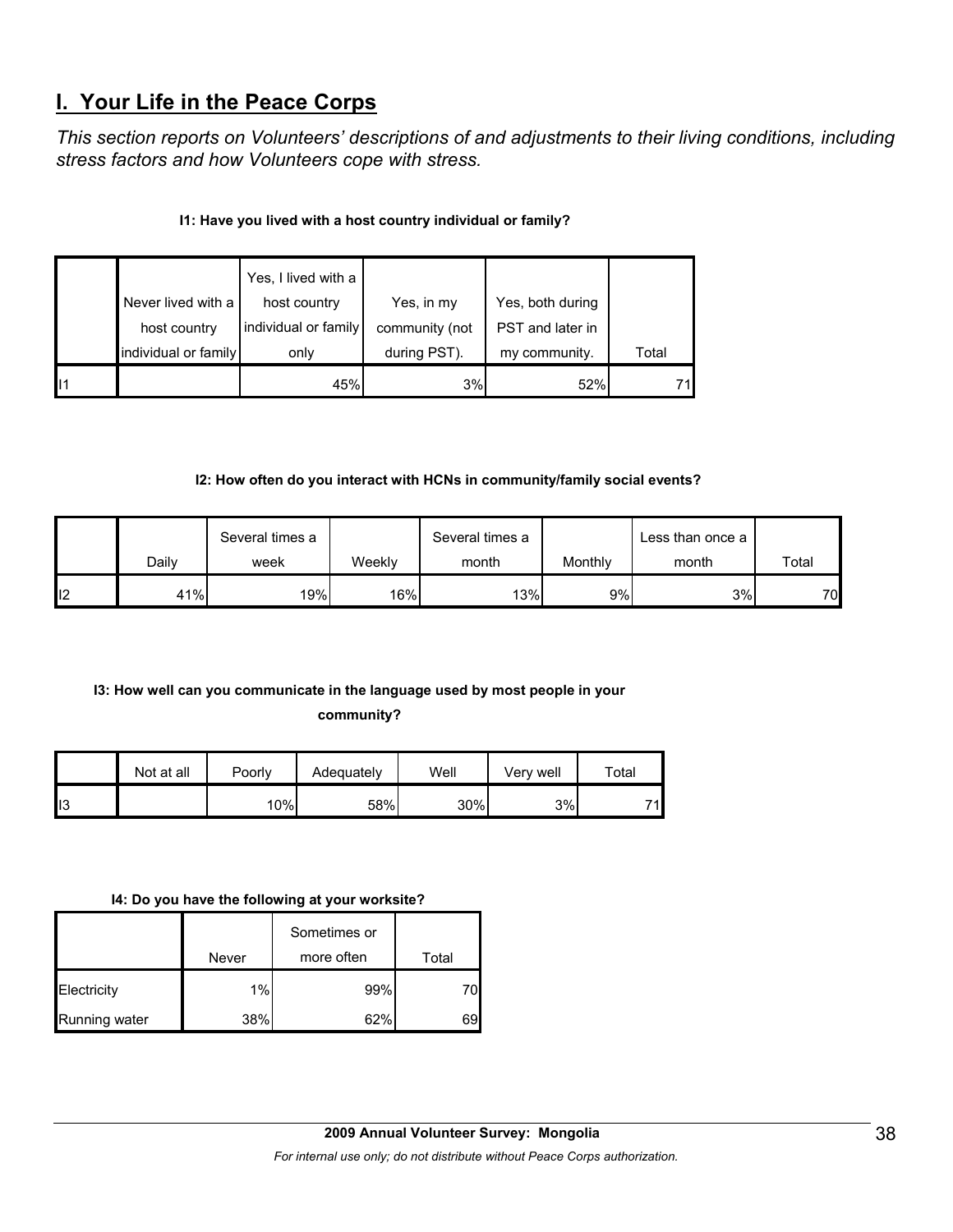# **I. Your Life in the Peace Corps**

*This section reports on Volunteers' descriptions of and adjustments to their living conditions, including stress factors and how Volunteers cope with stress.* 

#### **I1: Have you lived with a host country individual or family?**

|                | Never lived with a<br>host country | Yes, I lived with a<br>host country<br>individual or family | Yes, in my<br>community (not | Yes, both during<br>PST and later in |       |
|----------------|------------------------------------|-------------------------------------------------------------|------------------------------|--------------------------------------|-------|
|                | individual or family               | only                                                        | during PST).                 | my community.                        | Total |
| $\blacksquare$ |                                    | 45%                                                         | 3%                           | 52%                                  | 71    |

#### **I2: How often do you interact with HCNs in community/family social events?**

|     |       | Several times a |        | Several times a |         | Less than once a |       |
|-----|-------|-----------------|--------|-----------------|---------|------------------|-------|
|     | Daily | week            | Weekly | month           | Monthly | month            | Total |
| ll2 | 41%   | 19%             | 16%    | 13%             | 9%      | 3%               | 70    |

#### **I3: How well can you communicate in the language used by most people in your**

**community?** 

|                 | Not at all | Poorly | Adequately | Well | Verv well | Total |
|-----------------|------------|--------|------------|------|-----------|-------|
| II <sub>3</sub> |            | 10%    | 58%        | 30%  | 3%        | 71    |

#### **I4: Do you have the following at your worksite?**

|               |       | Sometimes or |       |
|---------------|-------|--------------|-------|
|               | Never | more often   | Total |
| Electricity   | 1%    | 99%          |       |
| Running water | 38%   | 62%          | 69    |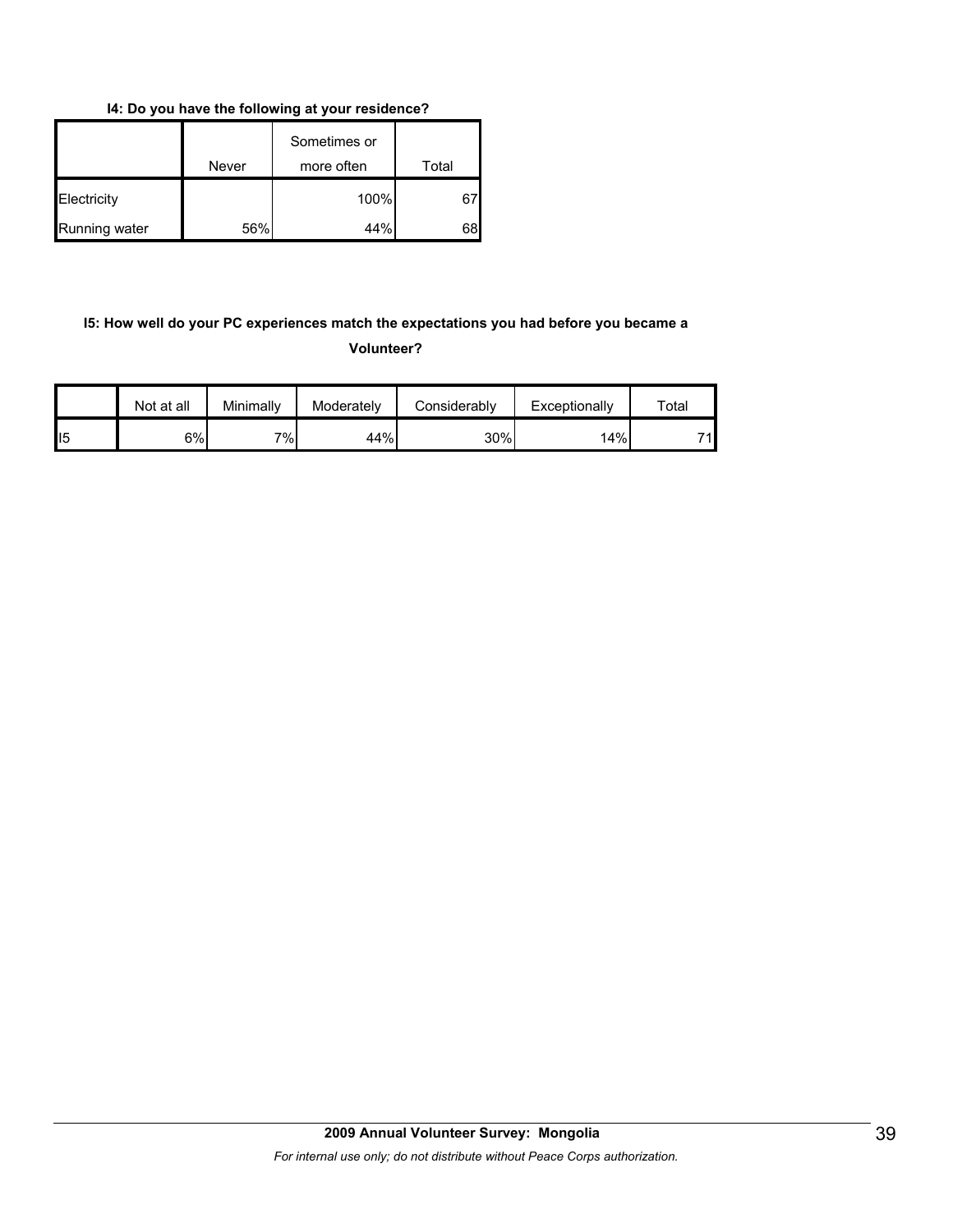**I4: Do you have the following at your residence?**

|               | Never | Sometimes or<br>more often | Total |
|---------------|-------|----------------------------|-------|
| Electricity   |       | 100%                       | 671   |
| Running water | 56%   | 44%                        | 68    |

#### **I5: How well do your PC experiences match the expectations you had before you became a Volunteer?**

|                | Not at all | Minimally   | Moderately | Considerably | Exceptionally | $\tau$ otal |
|----------------|------------|-------------|------------|--------------|---------------|-------------|
| $\mathsf{II}5$ | $6\%$      | 7% <b>1</b> | 44%        | 30%          | 14%           | 71          |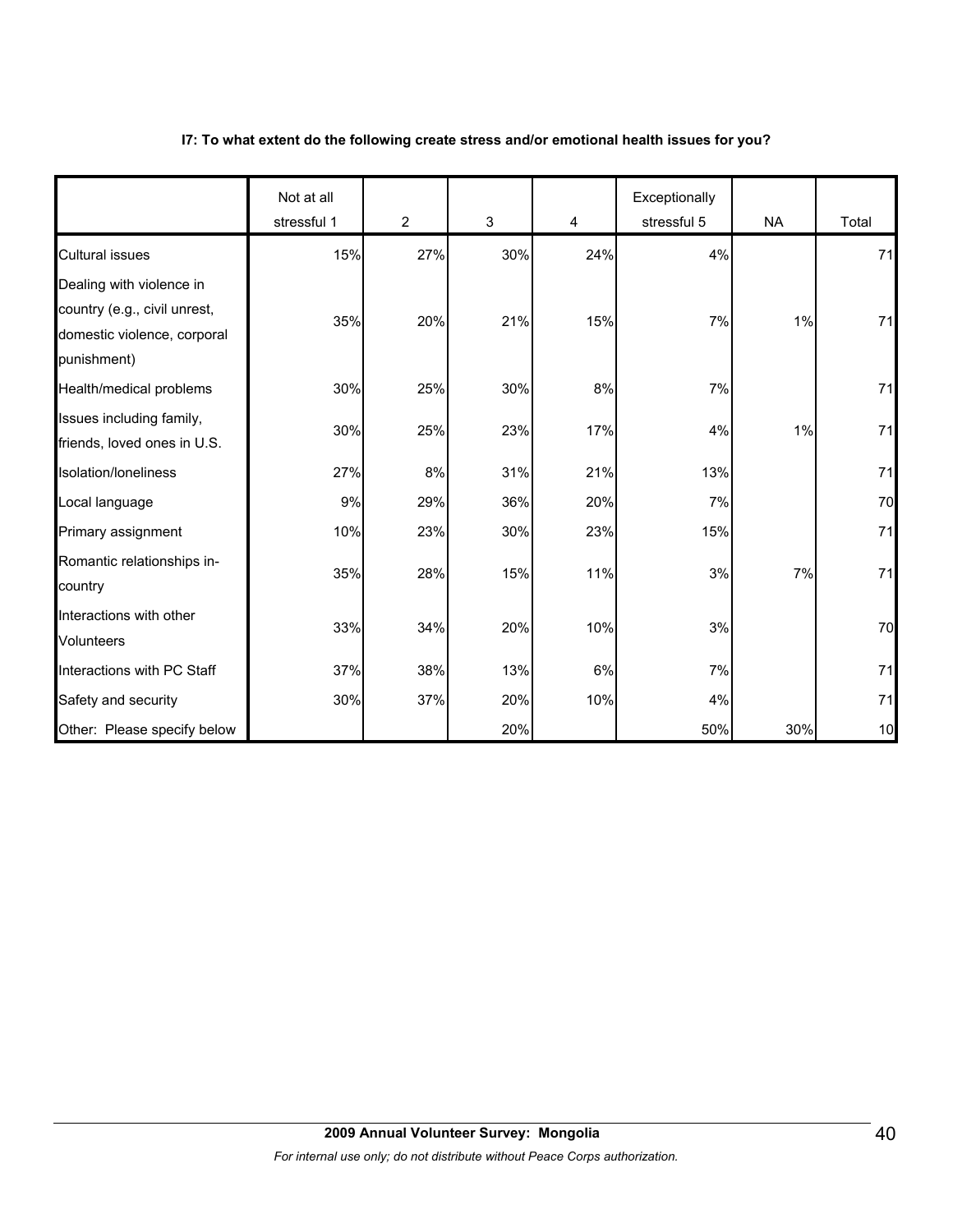#### **I7: To what extent do the following create stress and/or emotional health issues for you?**

|                                                                                                        | Not at all<br>stressful 1 | $\overline{2}$ | 3   | 4   | Exceptionally<br>stressful 5 | <b>NA</b> | Total |
|--------------------------------------------------------------------------------------------------------|---------------------------|----------------|-----|-----|------------------------------|-----------|-------|
| <b>Cultural issues</b>                                                                                 | 15%                       | 27%            | 30% | 24% | 4%                           |           | 71    |
| Dealing with violence in<br>country (e.g., civil unrest,<br>domestic violence, corporal<br>punishment) | 35%                       | 20%            | 21% | 15% | 7%                           | 1%        | 71    |
| Health/medical problems                                                                                | 30%                       | 25%            | 30% | 8%  | 7%                           |           | 71    |
| Issues including family,<br>friends, loved ones in U.S.                                                | 30%                       | 25%            | 23% | 17% | 4%                           | 1%        | 71    |
| Isolation/loneliness                                                                                   | 27%                       | $8\%$          | 31% | 21% | 13%                          |           | 71    |
| Local language                                                                                         | 9%                        | 29%            | 36% | 20% | 7%                           |           | 70    |
| Primary assignment                                                                                     | 10%                       | 23%            | 30% | 23% | 15%                          |           | 71    |
| Romantic relationships in-<br>country                                                                  | 35%                       | 28%            | 15% | 11% | 3%                           | 7%        | 71    |
| Interactions with other<br><b>Volunteers</b>                                                           | 33%                       | 34%            | 20% | 10% | 3%                           |           | 70    |
| Interactions with PC Staff                                                                             | 37%                       | 38%            | 13% | 6%  | 7%                           |           | 71    |
| Safety and security                                                                                    | 30%                       | 37%            | 20% | 10% | 4%                           |           | 71    |
| Other: Please specify below                                                                            |                           |                | 20% |     | 50%                          | 30%       | 10    |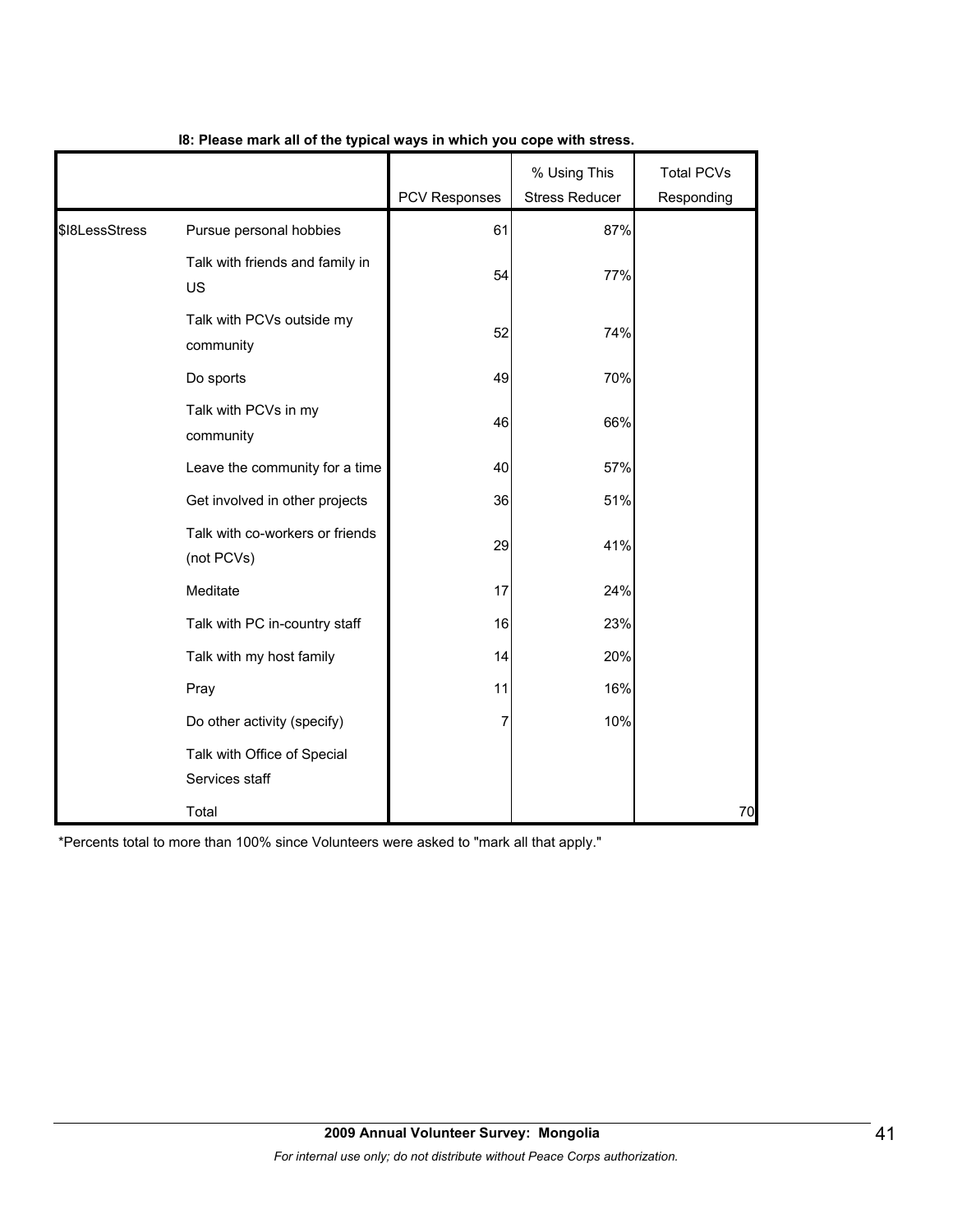|                |                                               | <b>PCV Responses</b> | % Using This<br><b>Stress Reducer</b> | <b>Total PCVs</b><br>Responding |
|----------------|-----------------------------------------------|----------------------|---------------------------------------|---------------------------------|
| \$I8LessStress | Pursue personal hobbies                       | 61                   | 87%                                   |                                 |
|                | Talk with friends and family in<br>US         | 54                   | 77%                                   |                                 |
|                | Talk with PCVs outside my<br>community        | 52                   | 74%                                   |                                 |
|                | Do sports                                     | 49                   | 70%                                   |                                 |
|                | Talk with PCVs in my<br>community             | 46                   | 66%                                   |                                 |
|                | Leave the community for a time                | 40                   | 57%                                   |                                 |
|                | Get involved in other projects                | 36                   | 51%                                   |                                 |
|                | Talk with co-workers or friends<br>(not PCVs) | 29                   | 41%                                   |                                 |
|                | Meditate                                      | 17                   | 24%                                   |                                 |
|                | Talk with PC in-country staff                 | 16                   | 23%                                   |                                 |
|                | Talk with my host family                      | 14                   | 20%                                   |                                 |
|                | Pray                                          | 11                   | 16%                                   |                                 |
|                | Do other activity (specify)                   |                      | 10%                                   |                                 |
|                | Talk with Office of Special<br>Services staff |                      |                                       |                                 |
|                | Total                                         |                      |                                       | 70                              |

#### **I8: Please mark all of the typical ways in which you cope with stress.**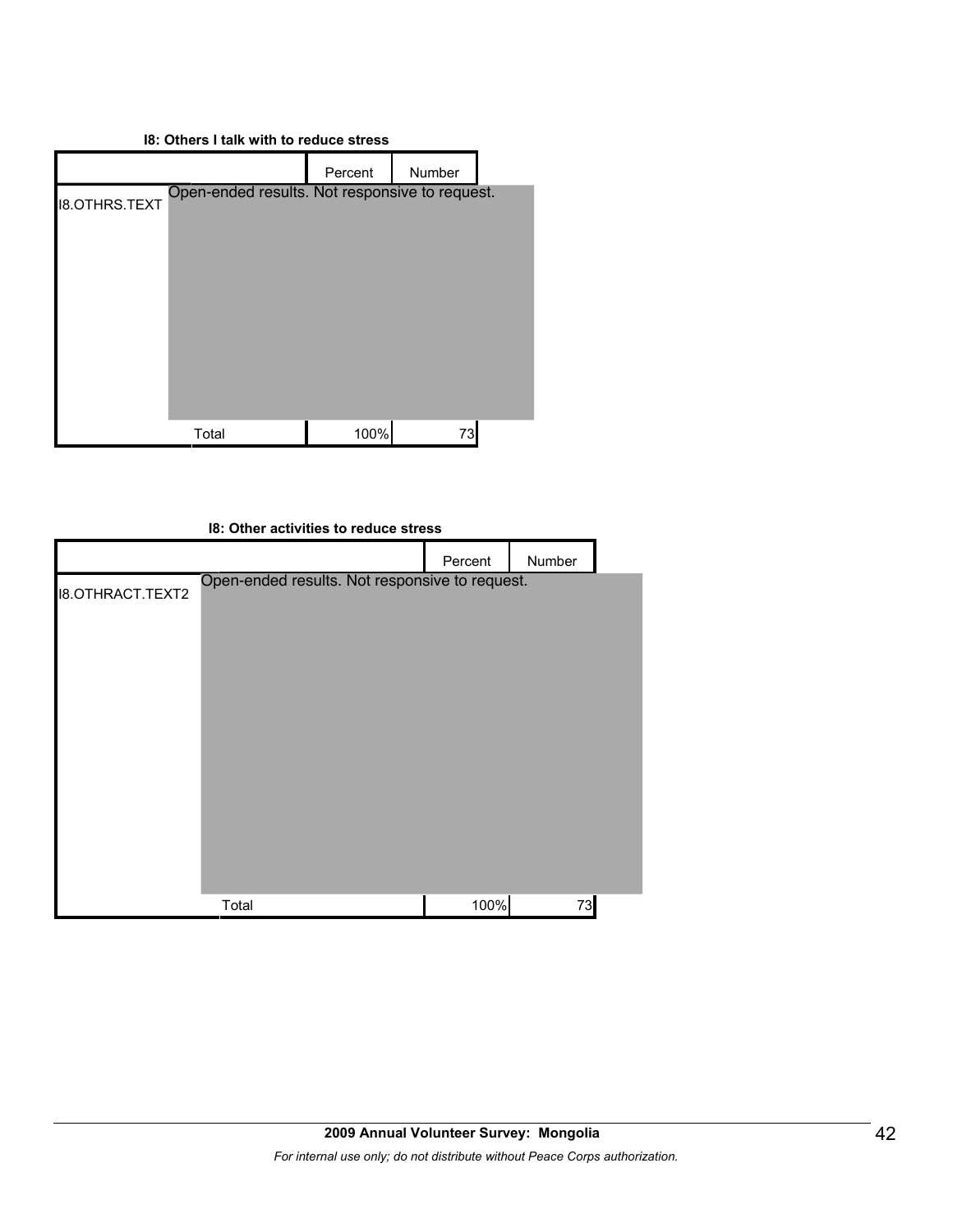#### **I8: Others I talk with to reduce stress**

|               |                                                | Percent | Number |  |
|---------------|------------------------------------------------|---------|--------|--|
| 18.OTHRS.TEXT | Open-ended results. Not responsive to request. |         |        |  |
|               |                                                |         |        |  |
|               |                                                |         |        |  |
|               |                                                |         |        |  |
|               |                                                |         |        |  |
|               |                                                |         |        |  |
|               |                                                |         |        |  |
|               | Total                                          | 100%    | 73     |  |

# **I8: Other activities to reduce stress** Percent Number I8.OTHRACT.TEXT2 Total 100% 73 Open-ended results. Not responsive to request.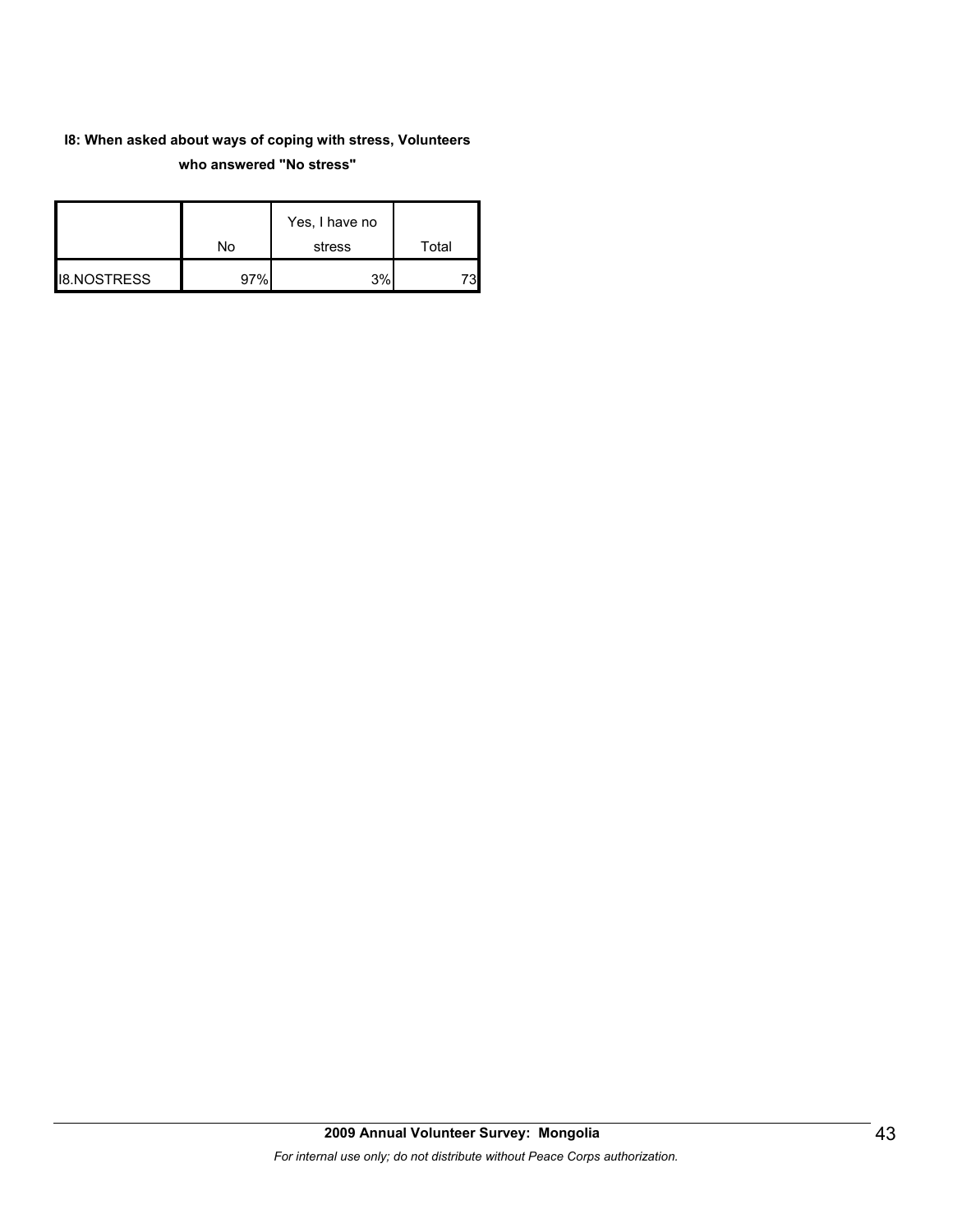#### **I8: When asked about ways of coping with stress, Volunteers who answered "No stress"**

|                    | No  | Yes, I have no<br>stress | Total |
|--------------------|-----|--------------------------|-------|
| <b>I8.NOSTRESS</b> | 97% | 3%                       |       |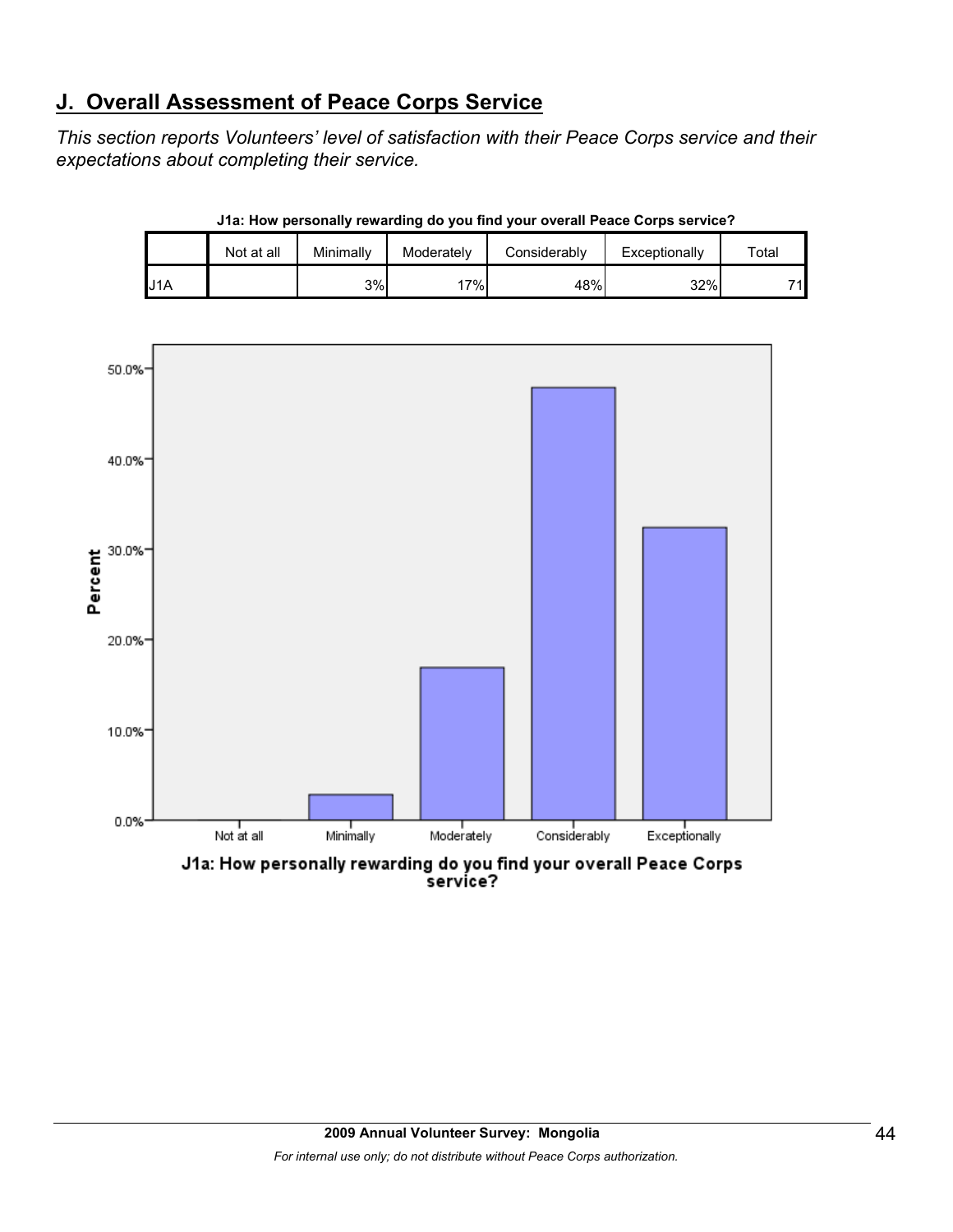# **J. Overall Assessment of Peace Corps Service**

*This section reports Volunteers' level of satisfaction with their Peace Corps service and their expectations about completing their service.* 

|          | Not at all | Minimally | Moderately | Considerably | Exceptionally | $\tau$ otal |
|----------|------------|-----------|------------|--------------|---------------|-------------|
| IA<br>ل. |            | 3%        | 17%        | 48%          | 32%           | 71∎         |

**J1a: How personally rewarding do you find your overall Peace Corps service?**



J1a: How personally rewarding do you find your overall Peace Corps service?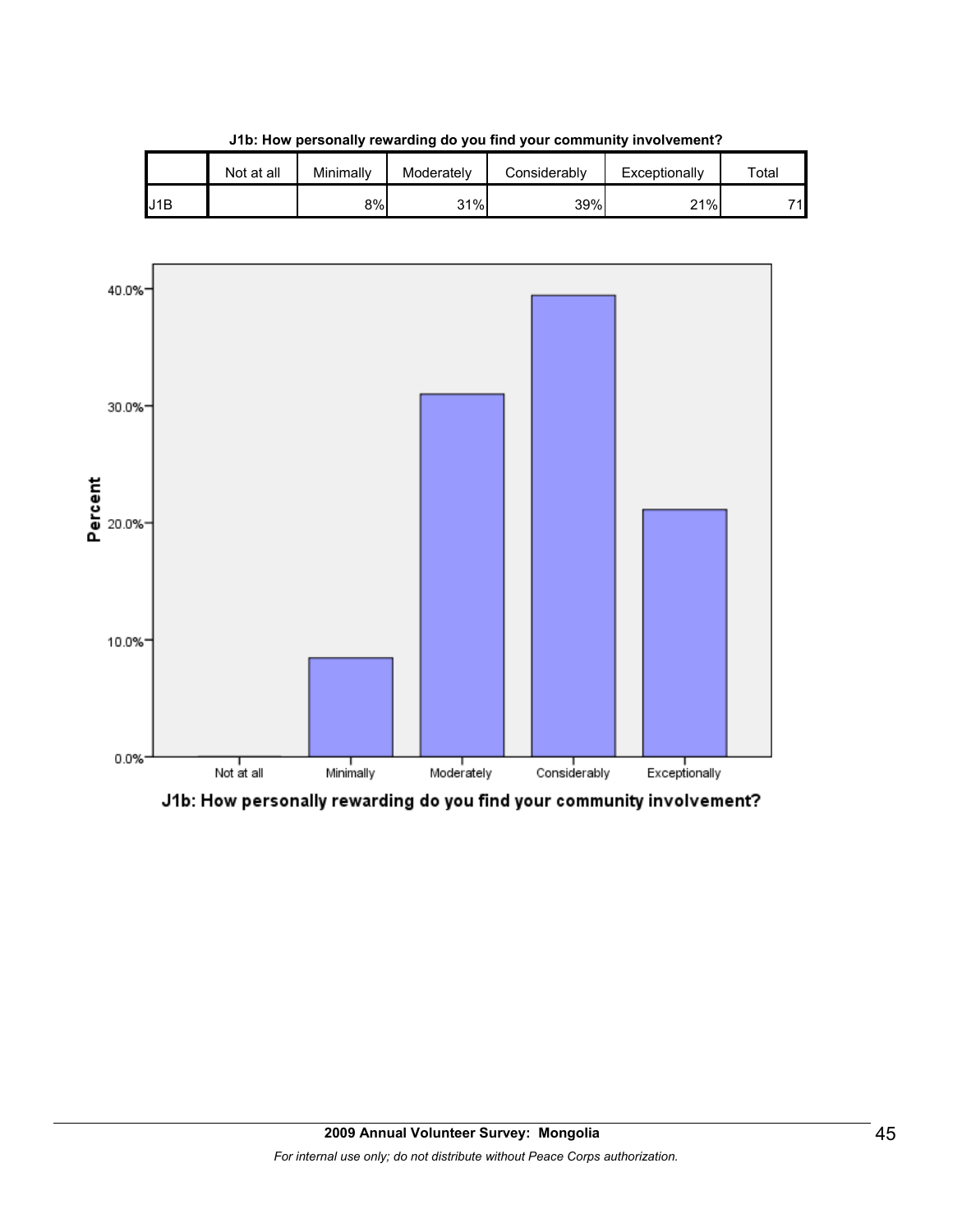|     | Not at all | Minimally | Moderately | Considerablv | Exceptionally | $\tau$ otal |
|-----|------------|-----------|------------|--------------|---------------|-------------|
| J1B |            | 8%        | 31%        | 39%          | 21%           | 74          |

**J1b: How personally rewarding do you find your community involvement?**



J1b: How personally rewarding do you find your community involvement?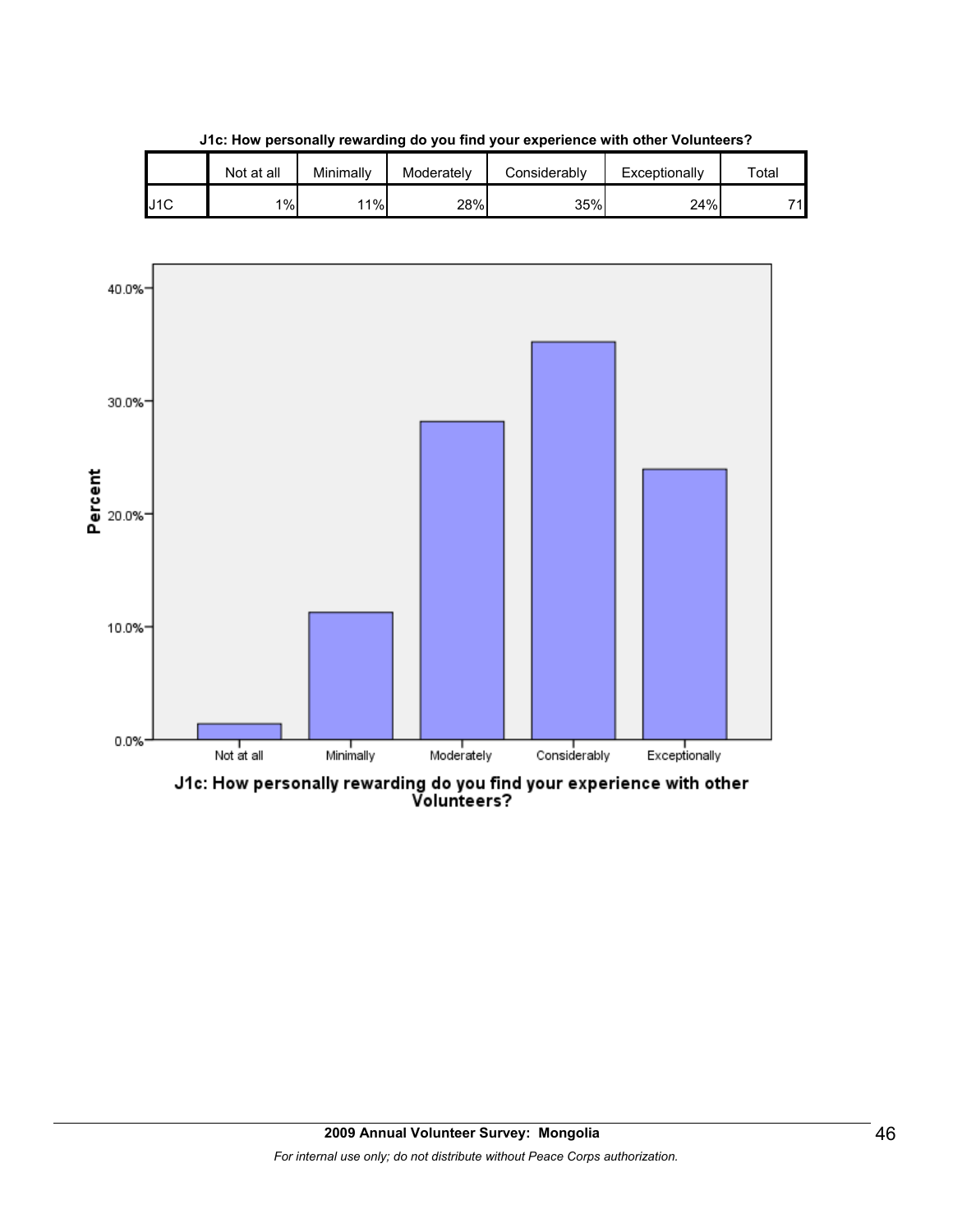|     | Not at all | Minimallv | Moderately | Considerably | Exceptionally | $\tau$ otal |
|-----|------------|-----------|------------|--------------|---------------|-------------|
| J1C | 1%         | 11%       | 28%        | 35%          | 24%           | 74          |

**J1c: How personally rewarding do you find your experience with other Volunteers?**



J1c: How personally rewarding do you find your experience with other<br>Volunteers?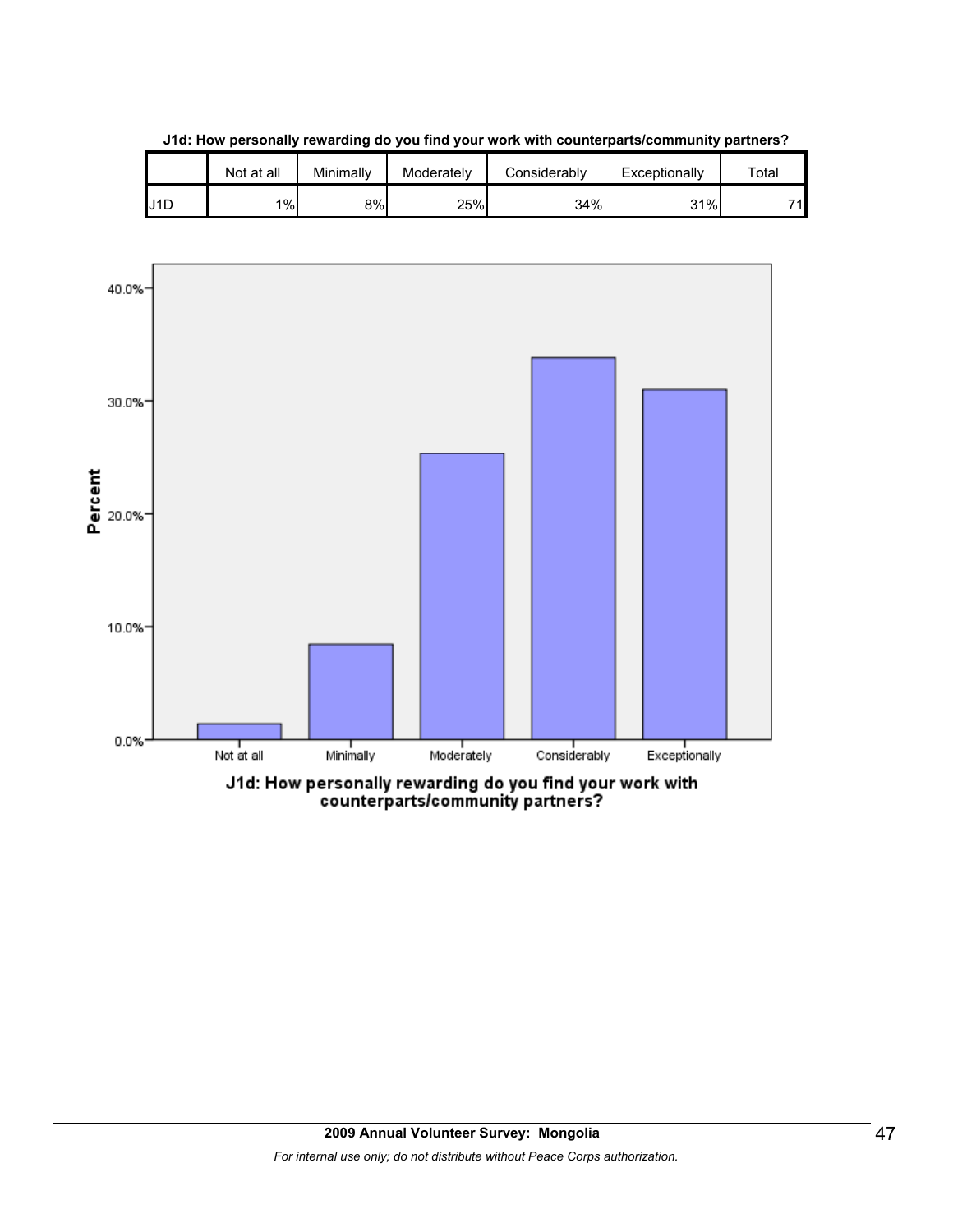

**J1d: How personally rewarding do you find your work with counterparts/community partners?**

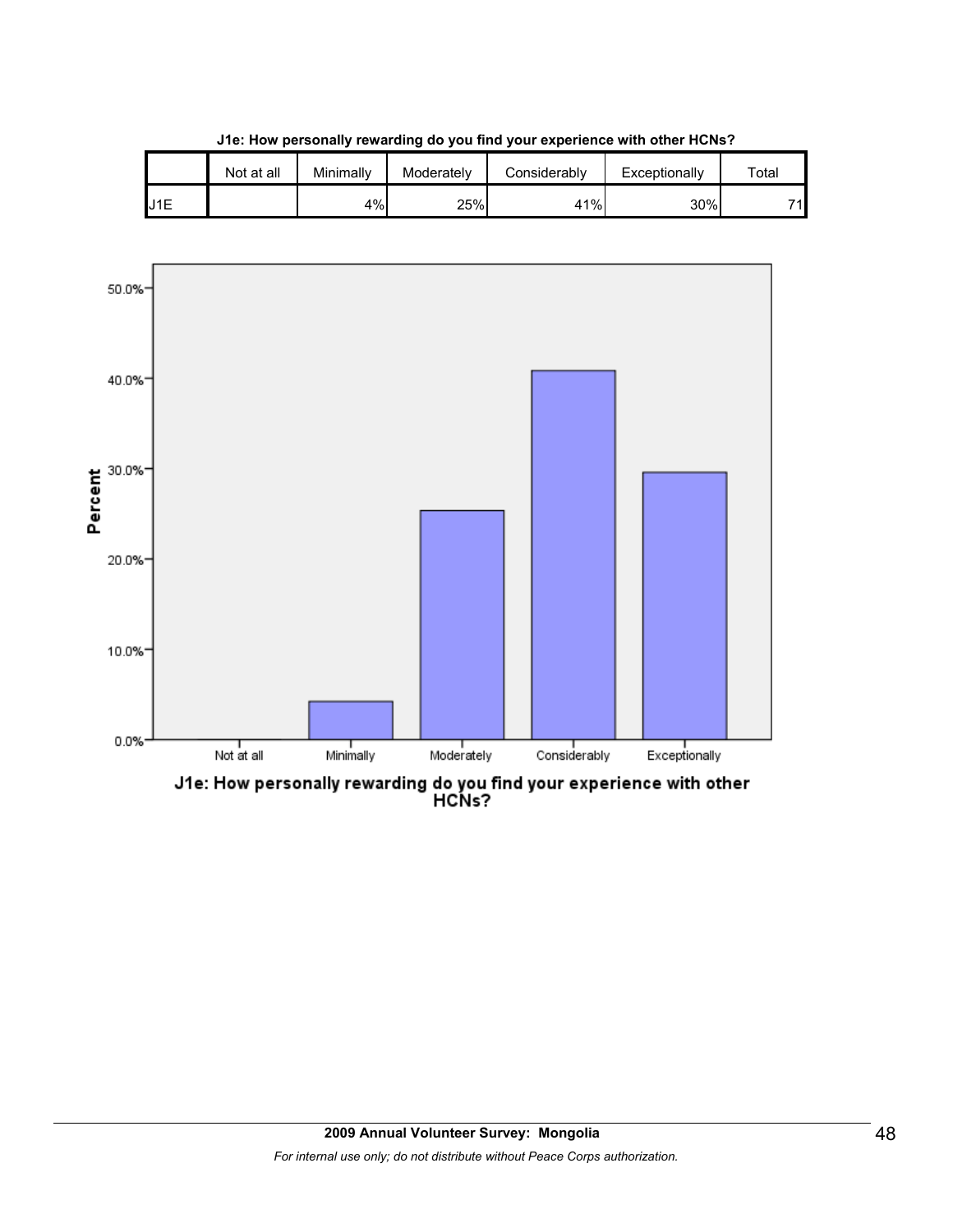|     | Not at all | Minimallv | Moderately | Considerably | Exceptionally | $\tau$ otal |
|-----|------------|-----------|------------|--------------|---------------|-------------|
| J1E |            | 4%        | 25%        | 41%          | 30%           | 74          |

**J1e: How personally rewarding do you find your experience with other HCNs?**



J1e: How personally rewarding do you find your experience with other<br>HCNs?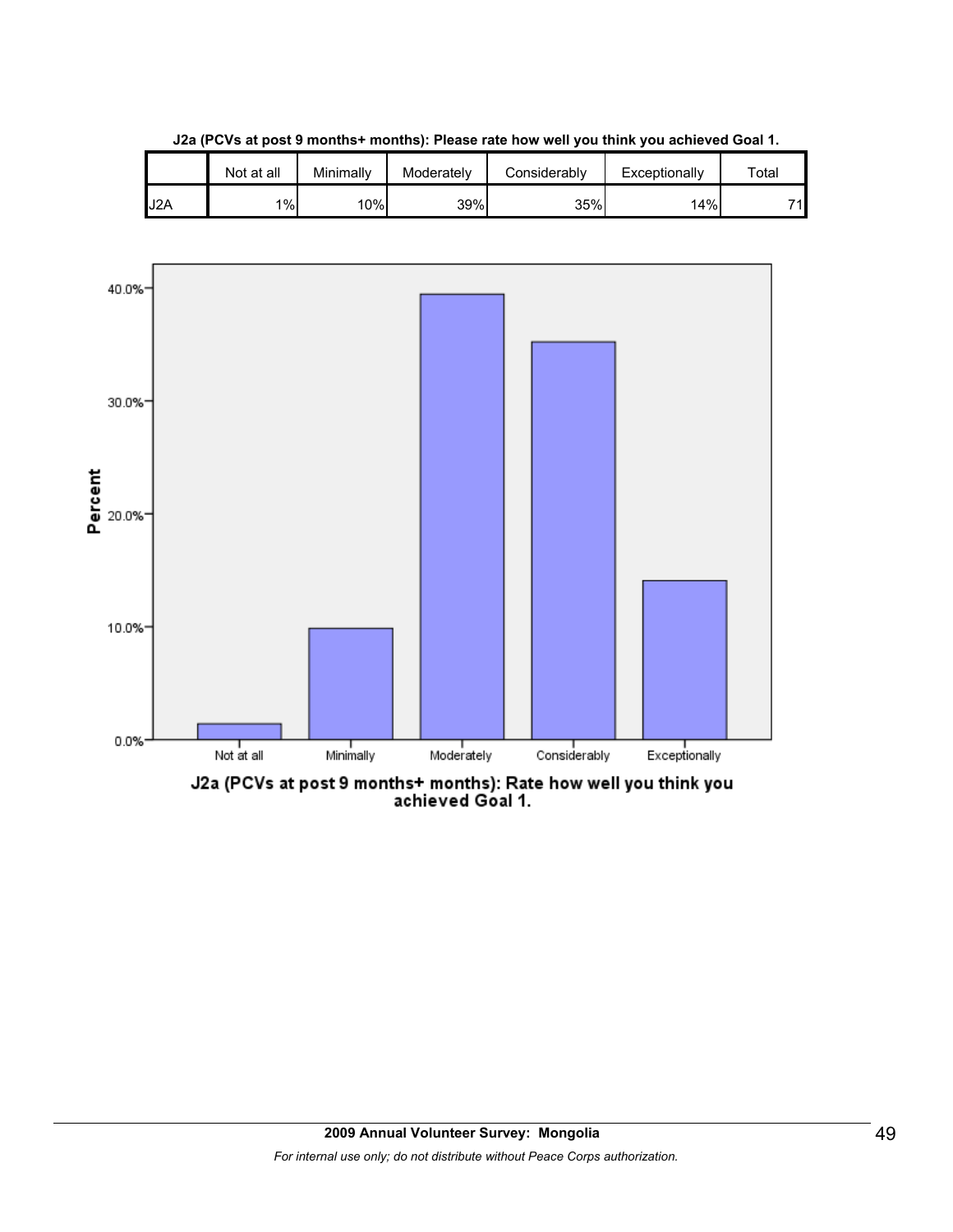

**J2a (PCVs at post 9 months+ months): Please rate how well you think you achieved Goal 1.**

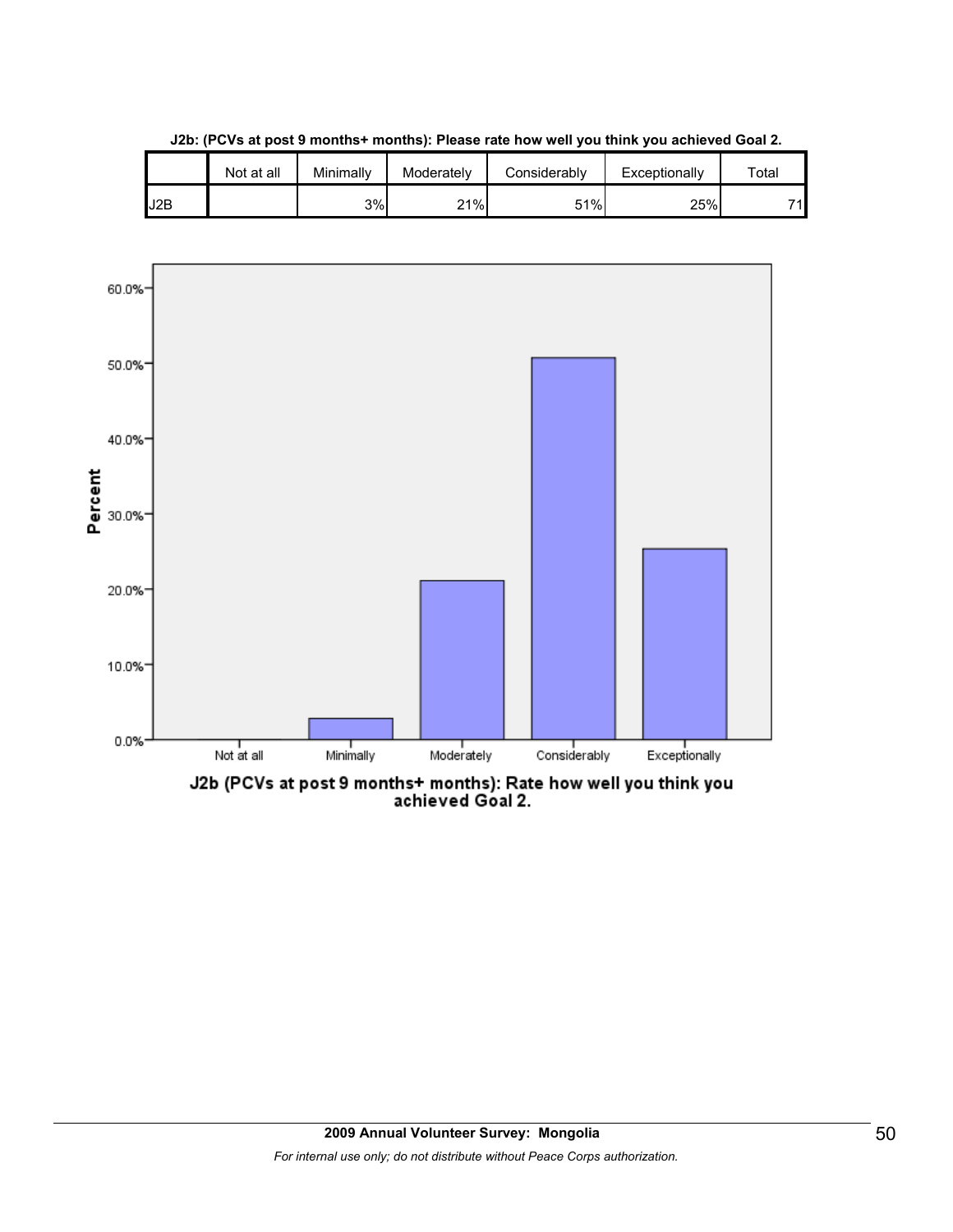

**J2b: (PCVs at post 9 months+ months): Please rate how well you think you achieved Goal 2.**

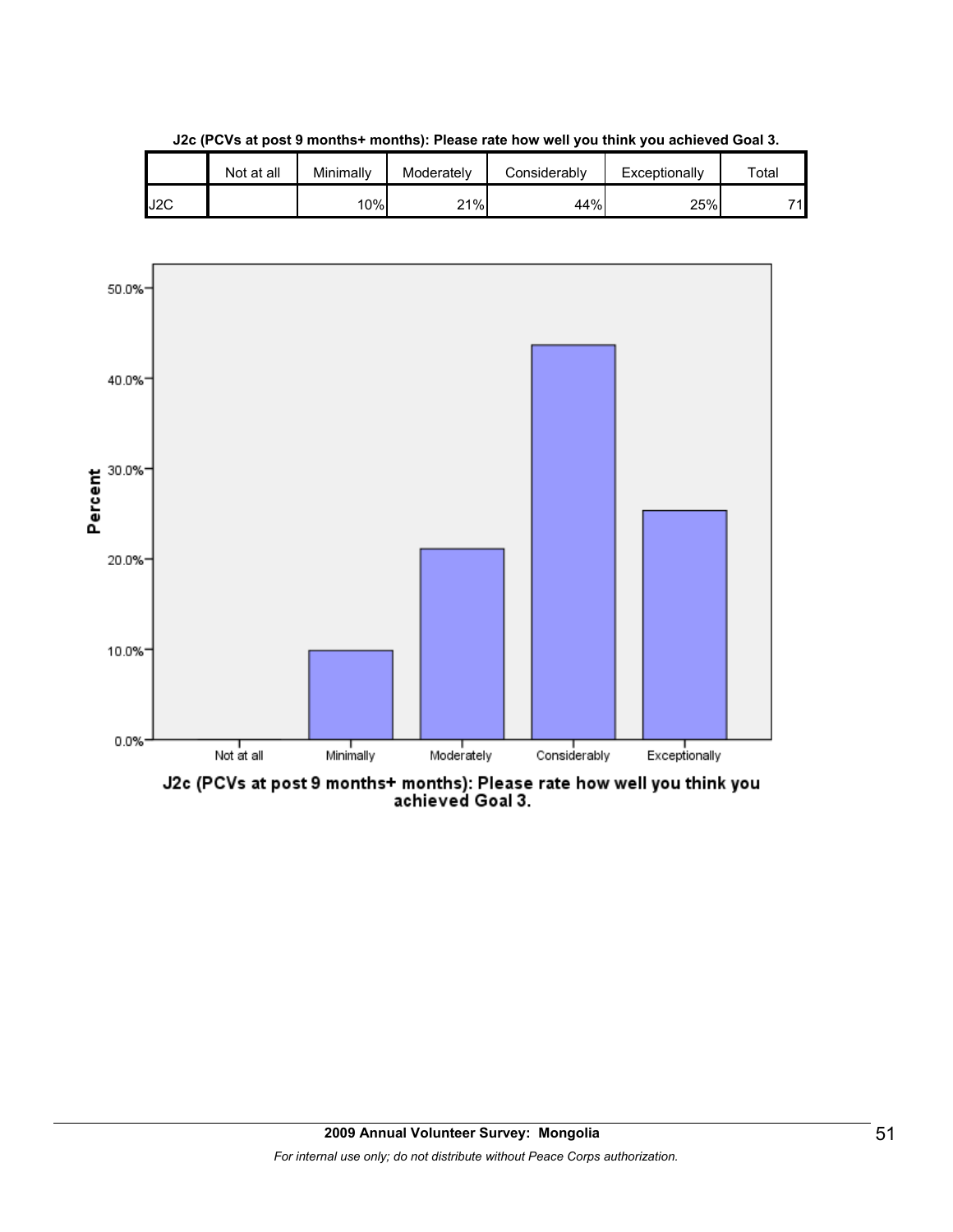|     | Not at all | Minimally | Moderately | Considerably | Exceptionally | $\tau$ otal |
|-----|------------|-----------|------------|--------------|---------------|-------------|
| J2C |            | 10%       | 21%        | 44%          | 25%           | 74          |

**J2c (PCVs at post 9 months+ months): Please rate how well you think you achieved Goal 3.**



J2c (PCVs at post 9 months+ months): Please rate how well you think you<br>achieved Goal 3.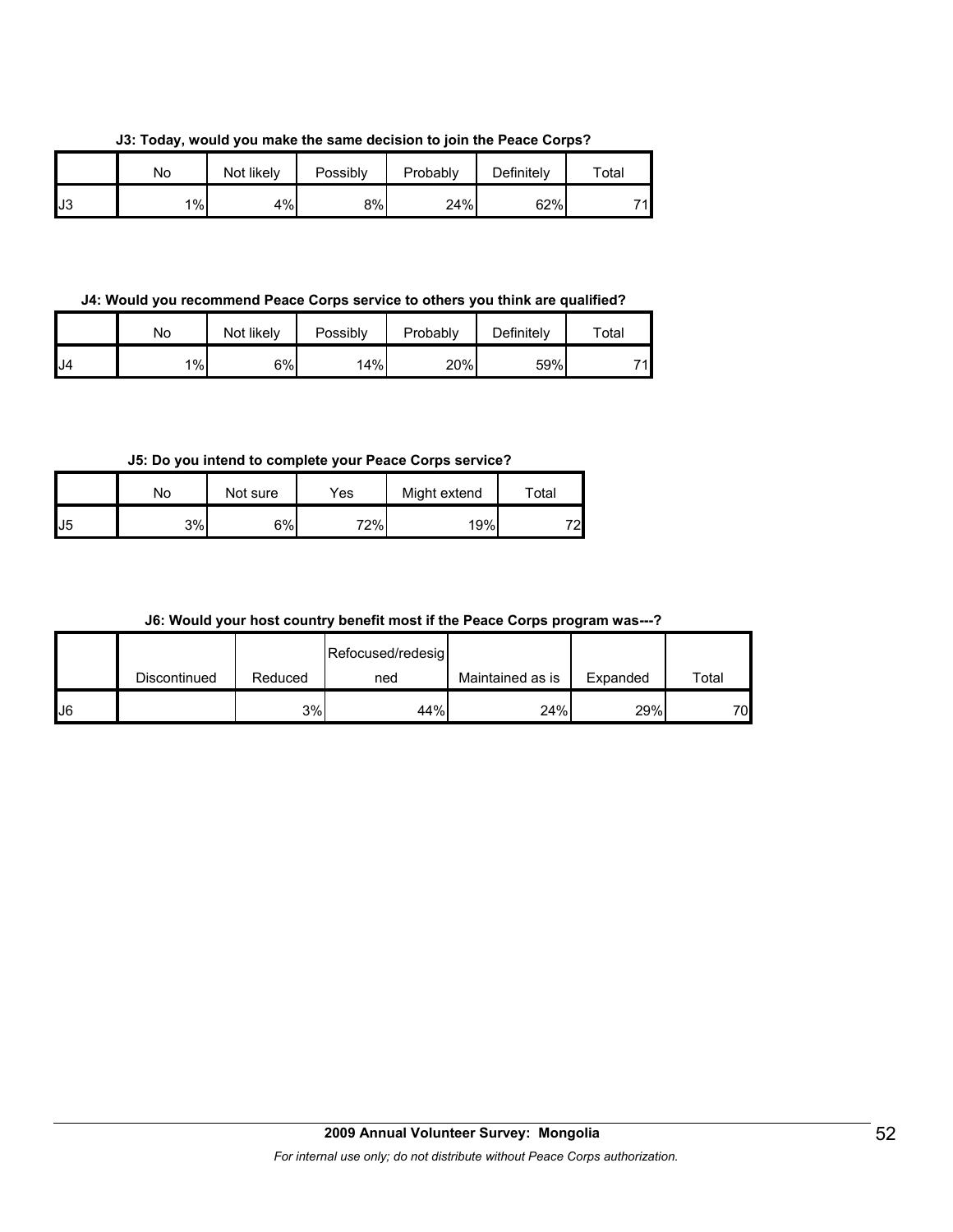**J3: Today, would you make the same decision to join the Peace Corps?**

|    | No | Not likely | Possibly | Probably | Definitely | $\tau$ otal |
|----|----|------------|----------|----------|------------|-------------|
| J3 | 1% | 4%         | 8%       | 24%      | 62%        | 71          |

**J4: Would you recommend Peace Corps service to others you think are qualified?**

|     | No    | Not likely | Possibly | Probably | Definitely | $\tau$ otal |
|-----|-------|------------|----------|----------|------------|-------------|
| IJ4 | $1\%$ | 6%         | 14%      | 20%      | 59%        | 74          |

**J5: Do you intend to complete your Peace Corps service?**

|     | No | Not sure | Yes | Might extend | Total |
|-----|----|----------|-----|--------------|-------|
| IJ5 | 3% | 6%       | 72% | 19%          | 72    |

**J6: Would your host country benefit most if the Peace Corps program was---?**

|    |              |         | Refocused/redesig |                  |          |       |
|----|--------------|---------|-------------------|------------------|----------|-------|
|    | Discontinued | Reduced | ned               | Maintained as is | Expanded | Total |
| J6 |              | 3%      | 44%               | 24%              | 29%      | 70    |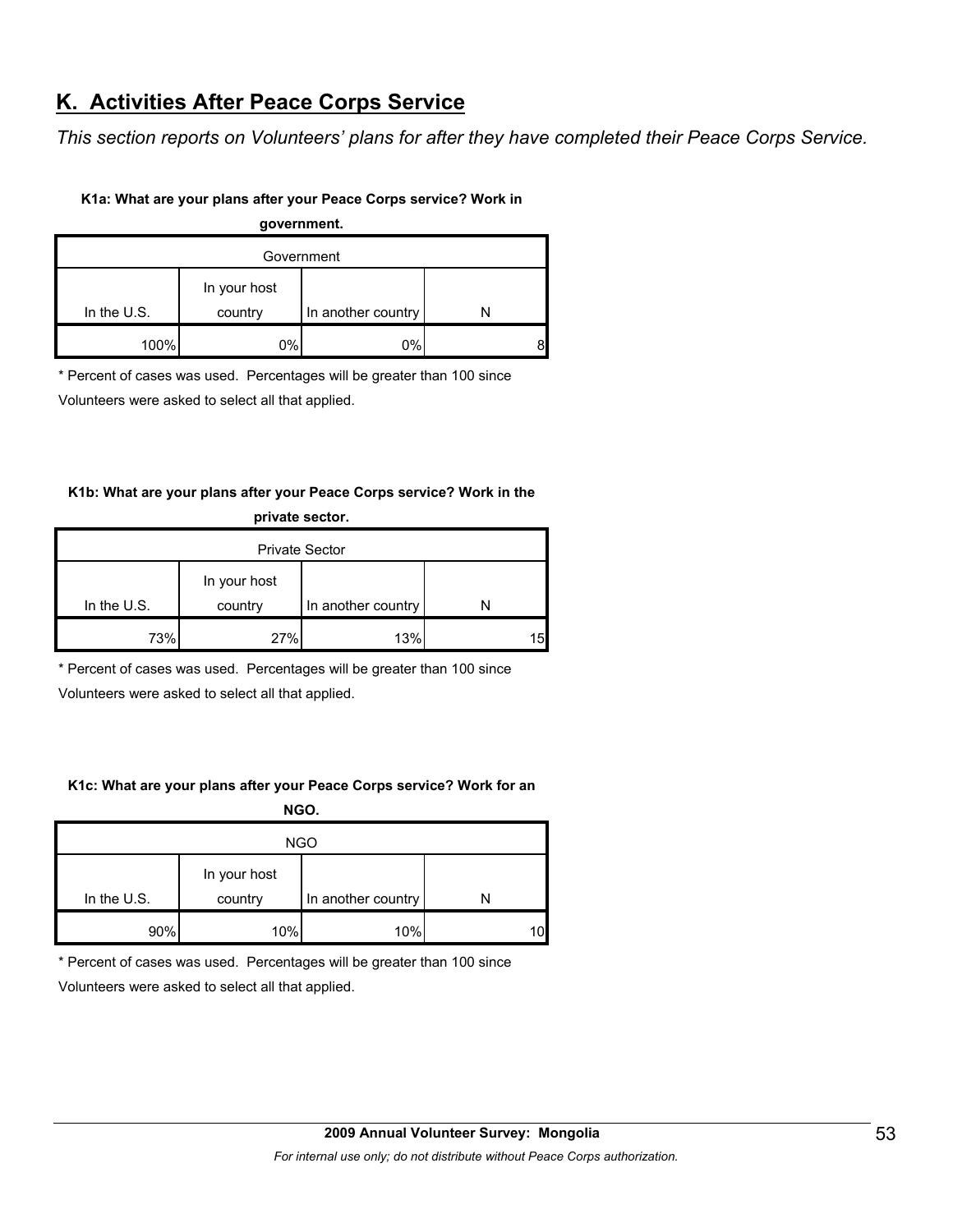# **K. Activities After Peace Corps Service**

*This section reports on Volunteers' plans for after they have completed their Peace Corps Service.* 

#### **K1a: What are your plans after your Peace Corps service? Work in**

**government.**

| Government    |                         |                    |   |  |  |
|---------------|-------------------------|--------------------|---|--|--|
| In the $U.S.$ | In your host<br>country | In another country |   |  |  |
| 100%          | 0%                      | 0%                 | 8 |  |  |

\* Percent of cases was used. Percentages will be greater than 100 since

Volunteers were asked to select all that applied.

#### **K1b: What are your plans after your Peace Corps service? Work in the private sector.**

| <b>Private Sector</b> |                         |                    |   |  |  |
|-----------------------|-------------------------|--------------------|---|--|--|
| In the $U.S.$         | In your host<br>country | In another country |   |  |  |
|                       |                         |                    |   |  |  |
| 73%                   | 27%                     | 13%                | ՟ |  |  |

\* Percent of cases was used. Percentages will be greater than 100 since

Volunteers were asked to select all that applied.

#### **K1c: What are your plans after your Peace Corps service? Work for an**

**NGO.**

| <b>NGO</b>  |                         |                    |    |  |  |
|-------------|-------------------------|--------------------|----|--|--|
| In the U.S. | In your host<br>country | In another country |    |  |  |
| 90%         | 10%                     | 10%                | 10 |  |  |

\* Percent of cases was used. Percentages will be greater than 100 since

Volunteers were asked to select all that applied.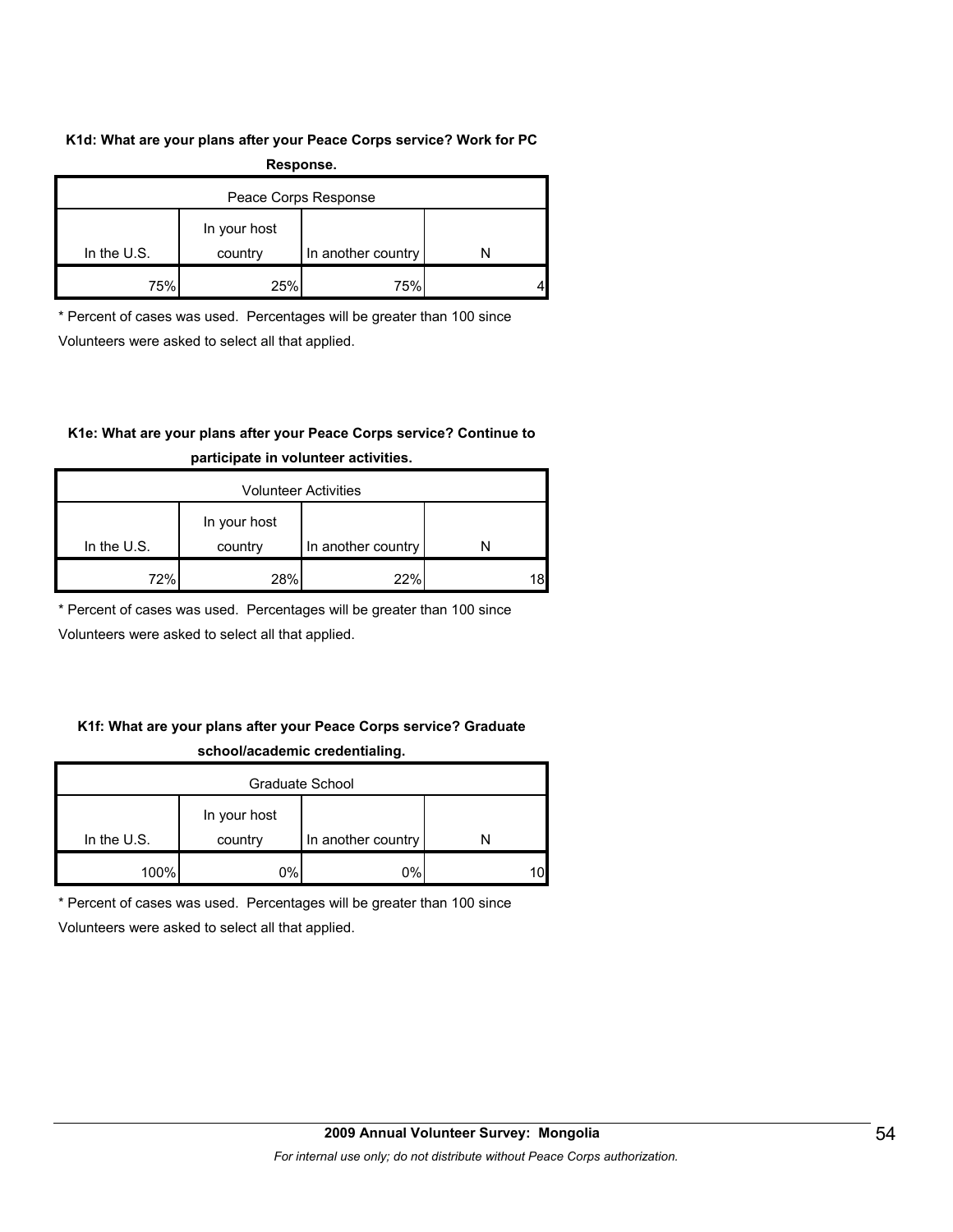#### **K1d: What are your plans after your Peace Corps service? Work for PC**

| Response.            |              |                    |  |  |  |
|----------------------|--------------|--------------------|--|--|--|
| Peace Corps Response |              |                    |  |  |  |
|                      | In your host |                    |  |  |  |
| In the $U.S.$        | country      | In another country |  |  |  |
| 75%                  | 25%          | 75%                |  |  |  |

\* Percent of cases was used. Percentages will be greater than 100 since

Volunteers were asked to select all that applied.

#### **K1e: What are your plans after your Peace Corps service? Continue to**

| <b>Volunteer Activities</b> |              |                    |  |  |  |
|-----------------------------|--------------|--------------------|--|--|--|
|                             | In your host |                    |  |  |  |
| In the $U.S.$               | country      | In another country |  |  |  |
| 72%                         | 28%          | 22%                |  |  |  |

#### **participate in volunteer activities.**

\* Percent of cases was used. Percentages will be greater than 100 since

Volunteers were asked to select all that applied.

#### **K1f: What are your plans after your Peace Corps service? Graduate school/academic credentialing.**

| Graduate School |                         |                    |    |  |  |
|-----------------|-------------------------|--------------------|----|--|--|
| In the $U.S.$   | In your host<br>country | In another country |    |  |  |
| 100%            | 0%                      | 0%                 | 10 |  |  |

\* Percent of cases was used. Percentages will be greater than 100 since

Volunteers were asked to select all that applied.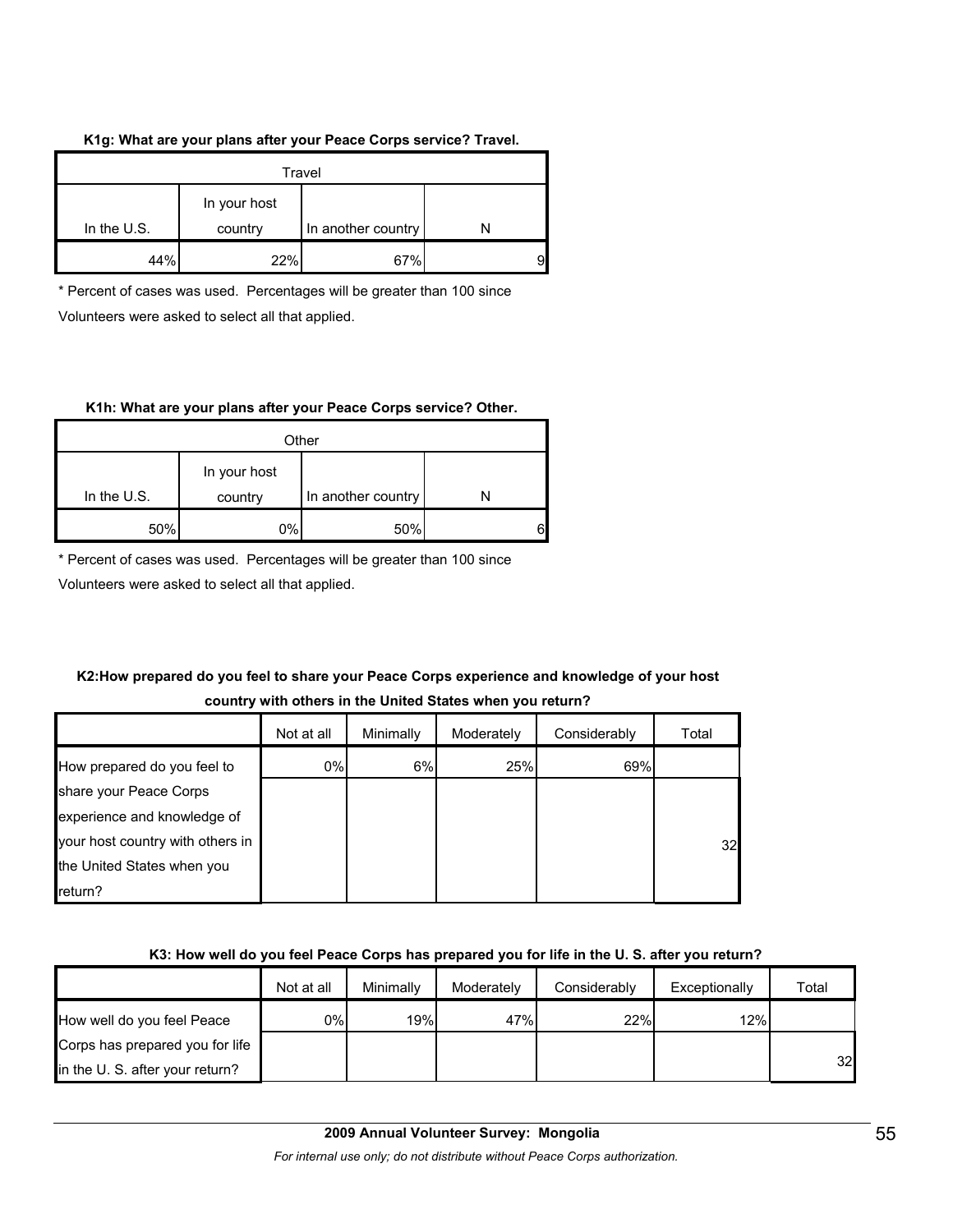#### **K1g: What are your plans after your Peace Corps service? Travel.**

| Travel                                                         |     |     |  |
|----------------------------------------------------------------|-----|-----|--|
| In your host<br>In the $U.S.$<br>In another country<br>country |     |     |  |
| 44%                                                            | 22% | 67% |  |

\* Percent of cases was used. Percentages will be greater than 100 since Volunteers were asked to select all that applied.

#### **K1h: What are your plans after your Peace Corps service? Other.**

| Other         |                                               |     |  |  |
|---------------|-----------------------------------------------|-----|--|--|
| In the $U.S.$ | In your host<br>In another country<br>country |     |  |  |
|               |                                               |     |  |  |
| 50%           | 0%                                            | 50% |  |  |

\* Percent of cases was used. Percentages will be greater than 100 since

Volunteers were asked to select all that applied.

#### **K2:How prepared do you feel to share your Peace Corps experience and knowledge of your host country with others in the United States when you return?**

|                                  | Not at all | Minimally | Moderately | Considerably | Total |
|----------------------------------|------------|-----------|------------|--------------|-------|
| How prepared do you feel to      | 0%         | 6%        | 25%        | 69%          |       |
| share your Peace Corps           |            |           |            |              |       |
| experience and knowledge of      |            |           |            |              |       |
| your host country with others in |            |           |            |              | 32    |
| the United States when you       |            |           |            |              |       |
| return?                          |            |           |            |              |       |

#### **K3: How well do you feel Peace Corps has prepared you for life in the U. S. after you return?**

|                                 | Not at all | Minimally | Moderately | Considerably | Exceptionally | Total |
|---------------------------------|------------|-----------|------------|--------------|---------------|-------|
| How well do you feel Peace      | 0%         | 19%       | 47%        | 22%          | 12%           |       |
| Corps has prepared you for life |            |           |            |              |               |       |
| in the U.S. after your return?  |            |           |            |              |               | 32    |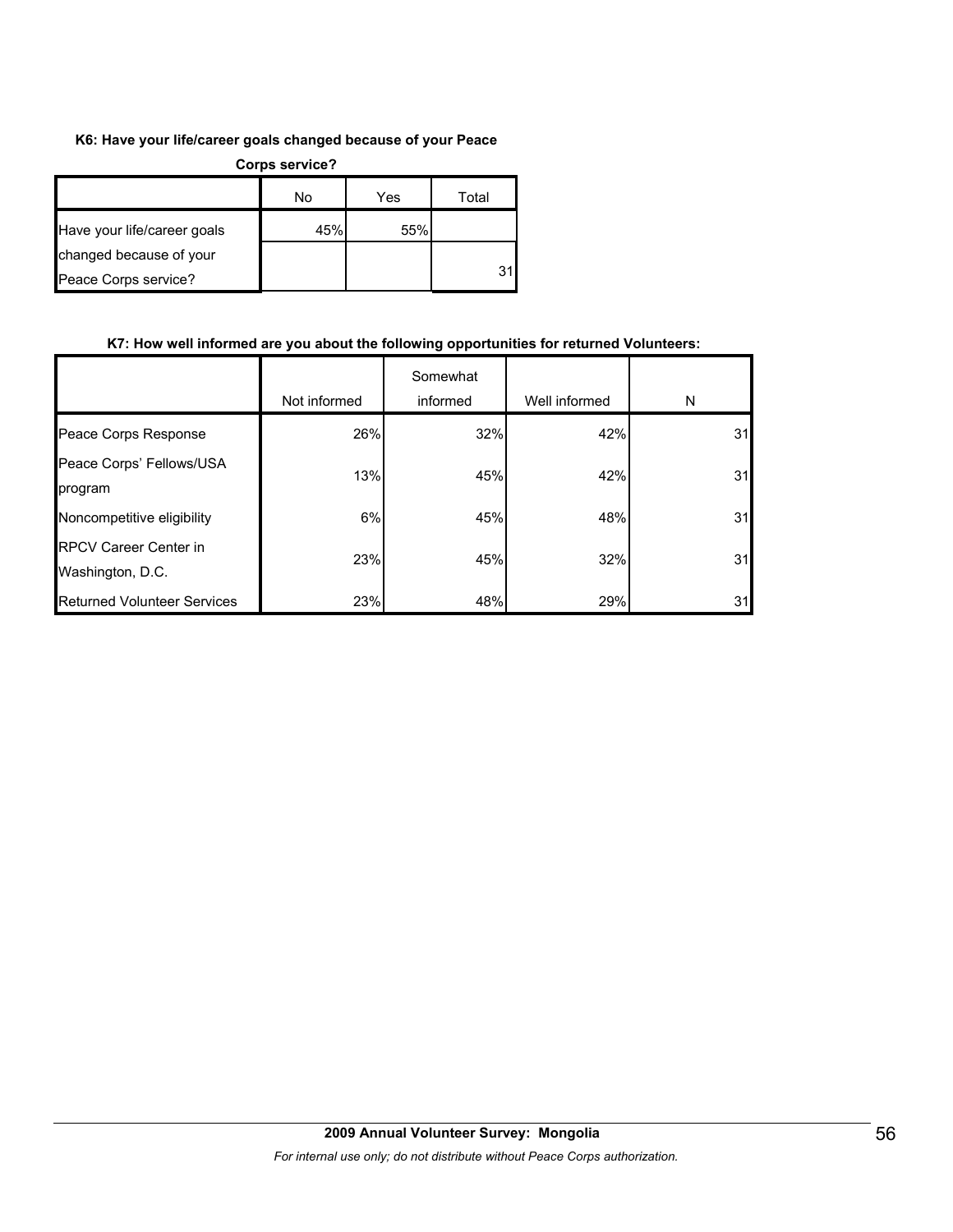#### **K6: Have your life/career goals changed because of your Peace**

| <b>Corps service?</b>       |     |     |       |  |
|-----------------------------|-----|-----|-------|--|
|                             | No  | Yes | Total |  |
| Have your life/career goals | 45% | 55% |       |  |
| changed because of your     |     |     |       |  |
| Peace Corps service?        |     |     | 31    |  |

#### **K7: How well informed are you about the following opportunities for returned Volunteers:**

|                                                  | Not informed | Somewhat<br>informed | Well informed | N  |
|--------------------------------------------------|--------------|----------------------|---------------|----|
| Peace Corps Response                             | 26%          | 32%                  | 42%           | 31 |
| Peace Corps' Fellows/USA<br>program              | 13%          | 45%                  | 42%           | 31 |
| Noncompetitive eligibility                       | 6%           | 45%                  | 48%           | 31 |
| <b>RPCV Career Center in</b><br>Washington, D.C. | 23%          | 45%                  | 32%           | 31 |
| <b>Returned Volunteer Services</b>               | 23%          | 48%                  | 29%           | 31 |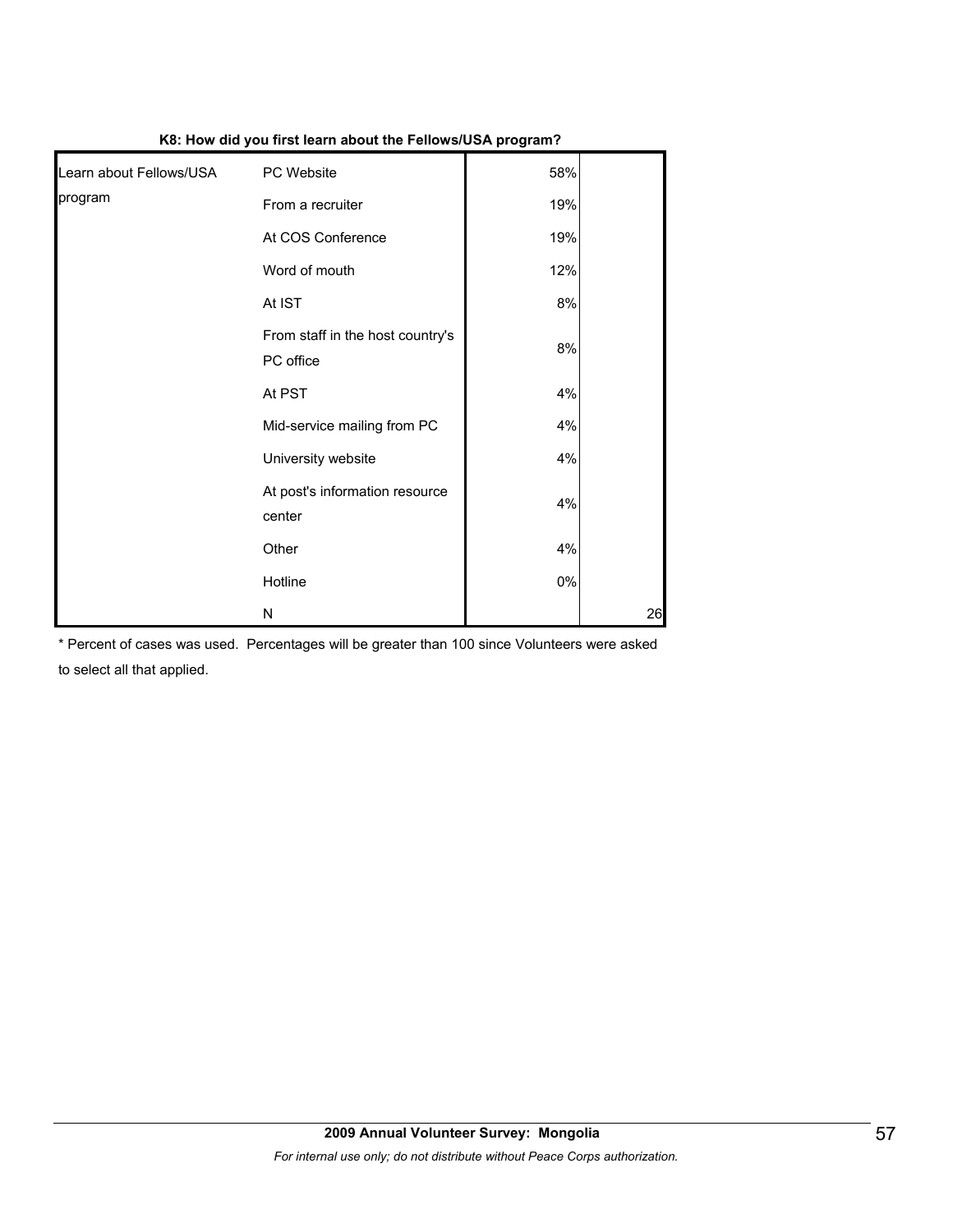|                         |                                               | .     |    |
|-------------------------|-----------------------------------------------|-------|----|
| Learn about Fellows/USA | PC Website                                    | 58%   |    |
| program                 | From a recruiter                              | 19%   |    |
|                         | At COS Conference                             | 19%   |    |
|                         | Word of mouth                                 | 12%   |    |
|                         | At IST                                        | 8%    |    |
|                         | From staff in the host country's<br>PC office | 8%    |    |
|                         | At PST                                        | 4%    |    |
|                         | Mid-service mailing from PC                   | 4%    |    |
|                         | University website                            | 4%    |    |
|                         | At post's information resource<br>center      | 4%    |    |
|                         | Other                                         | 4%    |    |
|                         | Hotline                                       | $0\%$ |    |
|                         | N                                             |       | 26 |

**K8: How did you first learn about the Fellows/USA program?**

\* Percent of cases was used. Percentages will be greater than 100 since Volunteers were asked to select all that applied.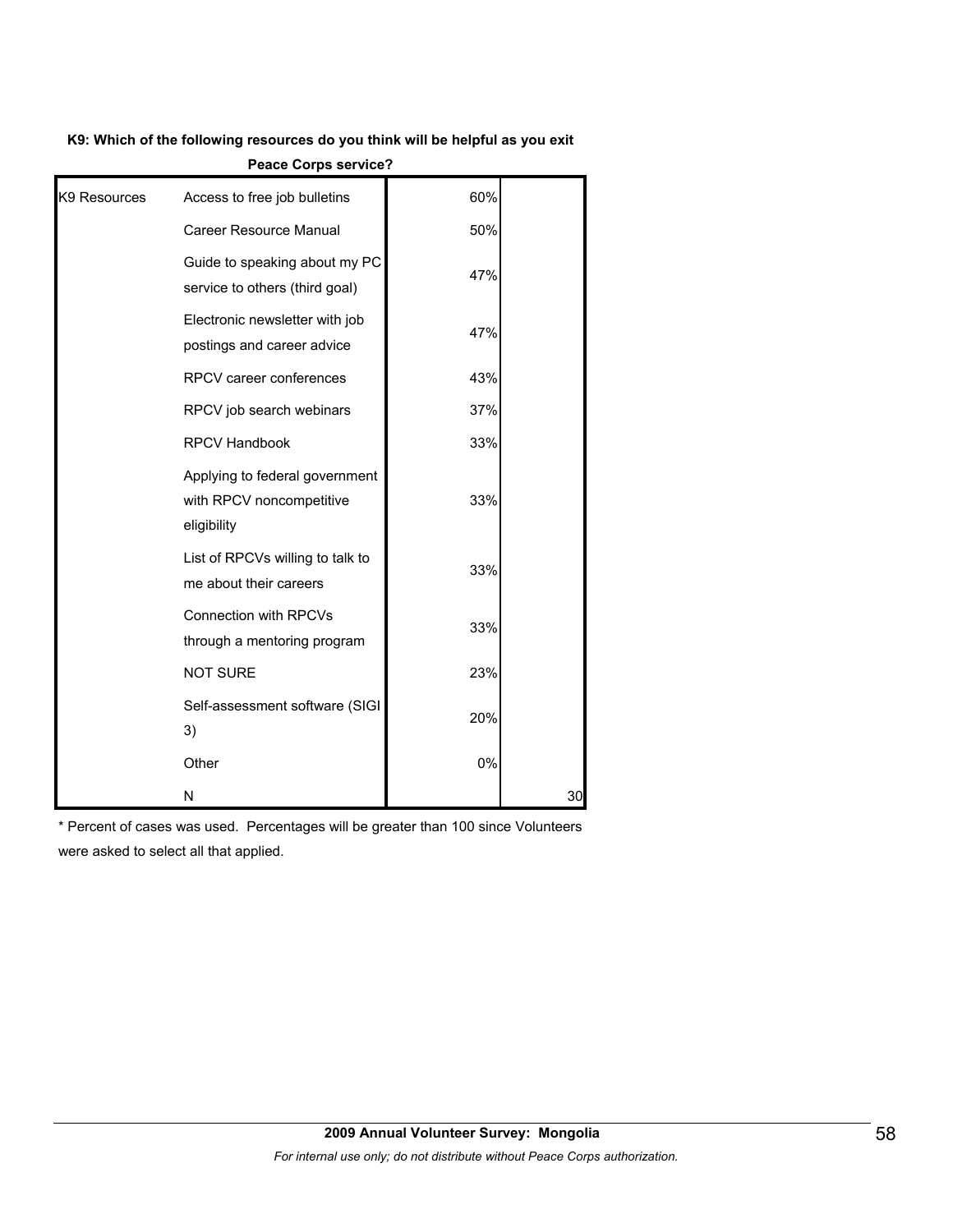#### **K9: Which of the following resources do you think will be helpful as you exit**

|              | <b>CALC ON PS SET TIRE:</b>                                               |     |    |
|--------------|---------------------------------------------------------------------------|-----|----|
| K9 Resources | Access to free job bulletins                                              | 60% |    |
|              | Career Resource Manual                                                    | 50% |    |
|              | Guide to speaking about my PC<br>service to others (third goal)           | 47% |    |
|              | Electronic newsletter with job<br>postings and career advice              | 47% |    |
|              | RPCV career conferences                                                   | 43% |    |
|              | RPCV job search webinars                                                  | 37% |    |
|              | <b>RPCV Handbook</b>                                                      | 33% |    |
|              | Applying to federal government<br>with RPCV noncompetitive<br>eligibility | 33% |    |
|              | List of RPCVs willing to talk to<br>me about their careers                | 33% |    |
|              | <b>Connection with RPCVs</b><br>through a mentoring program               | 33% |    |
|              | <b>NOT SURE</b>                                                           | 23% |    |
|              | Self-assessment software (SIGI<br>3)                                      | 20% |    |
|              | Other                                                                     | 0%  |    |
|              | N                                                                         |     | 30 |

**Peace Corps service?**

\* Percent of cases was used. Percentages will be greater than 100 since Volunteers were asked to select all that applied.